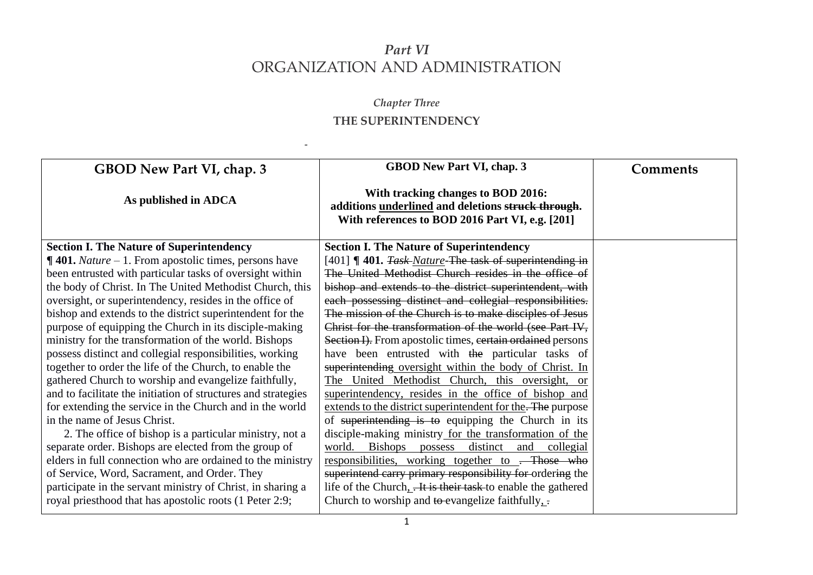## *Part VI* ORGANIZATION AND ADMINISTRATION

## *Chapter Three* **THE SUPERINTENDENCY**

-

| GBOD New Part VI, chap. 3                                                         | <b>GBOD New Part VI, chap. 3</b>                                                                                                            | <b>Comments</b> |
|-----------------------------------------------------------------------------------|---------------------------------------------------------------------------------------------------------------------------------------------|-----------------|
| As published in ADCA                                                              | With tracking changes to BOD 2016:<br>additions underlined and deletions struck through.<br>With references to BOD 2016 Part VI, e.g. [201] |                 |
| <b>Section I. The Nature of Superintendency</b>                                   | <b>Section I. The Nature of Superintendency</b>                                                                                             |                 |
| <b><math>\P</math></b> 401. <i>Nature</i> – 1. From apostolic times, persons have | [401] ¶ 401. <i>Task-Nature-The task of superintending in</i>                                                                               |                 |
| been entrusted with particular tasks of oversight within                          | The United Methodist Church resides in the office of                                                                                        |                 |
| the body of Christ. In The United Methodist Church, this                          | bishop and extends to the district superintendent, with                                                                                     |                 |
| oversight, or superintendency, resides in the office of                           | each possessing distinct and collegial responsibilities.                                                                                    |                 |
| bishop and extends to the district superintendent for the                         | The mission of the Church is to make disciples of Jesus                                                                                     |                 |
| purpose of equipping the Church in its disciple-making                            | Christ for the transformation of the world (see Part IV,                                                                                    |                 |
| ministry for the transformation of the world. Bishops                             | Section I). From apostolic times, certain ordained persons                                                                                  |                 |
| possess distinct and collegial responsibilities, working                          | have been entrusted with the particular tasks of                                                                                            |                 |
| together to order the life of the Church, to enable the                           | superintending oversight within the body of Christ. In                                                                                      |                 |
| gathered Church to worship and evangelize faithfully,                             | The United Methodist Church, this oversight, or                                                                                             |                 |
| and to facilitate the initiation of structures and strategies                     | superintendency, resides in the office of bishop and                                                                                        |                 |
| for extending the service in the Church and in the world                          | extends to the district superintendent for the. The purpose                                                                                 |                 |
| in the name of Jesus Christ.                                                      | of superintending is to equipping the Church in its                                                                                         |                 |
| 2. The office of bishop is a particular ministry, not a                           | disciple-making ministry for the transformation of the                                                                                      |                 |
| separate order. Bishops are elected from the group of                             | world. Bishops possess<br>distinct<br>and<br>collegial                                                                                      |                 |
| elders in full connection who are ordained to the ministry                        | responsibilities, working together to - Those who                                                                                           |                 |
| of Service, Word, Sacrament, and Order. They                                      | superintend carry primary responsibility for ordering the                                                                                   |                 |
| participate in the servant ministry of Christ, in sharing a                       | life of the Church, He is their task to enable the gathered                                                                                 |                 |
| royal priesthood that has apostolic roots (1 Peter 2:9;                           | Church to worship and to evangelize faithfully, $\overline{\cdot}$ .                                                                        |                 |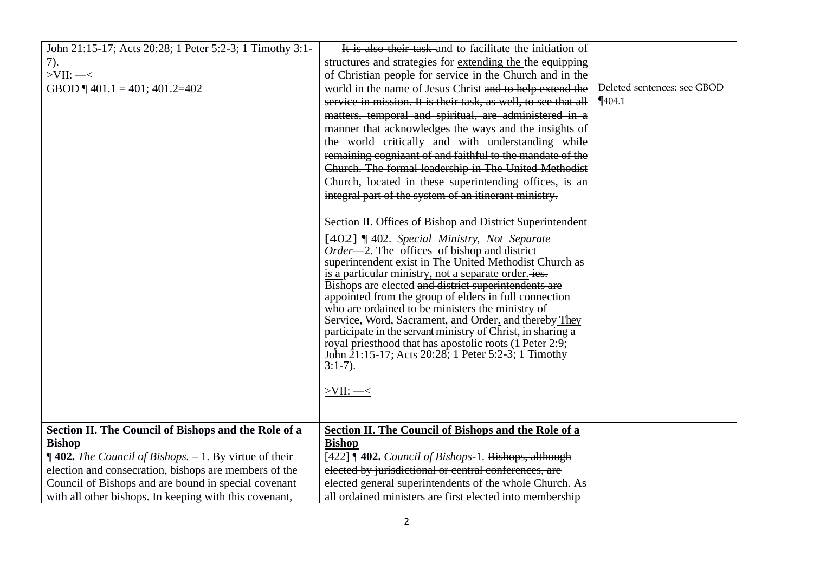| John 21:15-17; Acts 20:28; 1 Peter 5:2-3; 1 Timothy 3:1-                      | It is also their task-and to facilitate the initiation of                                                 |                             |
|-------------------------------------------------------------------------------|-----------------------------------------------------------------------------------------------------------|-----------------------------|
| 7).                                                                           | structures and strategies for extending the the equipping                                                 |                             |
| $>$ VII: $-$ <                                                                | of Christian people for service in the Church and in the                                                  |                             |
| GBOD $\P$ 401.1 = 401; 401.2=402                                              | world in the name of Jesus Christ and to help extend the                                                  | Deleted sentences: see GBOD |
|                                                                               | service in mission. It is their task, as well, to see that all                                            | $\P$ 404.1                  |
|                                                                               | matters, temporal and spiritual, are administered in a                                                    |                             |
|                                                                               | manner that acknowledges the ways and the insights of                                                     |                             |
|                                                                               | the world critically and with understanding while                                                         |                             |
|                                                                               | remaining cognizant of and faithful to the mandate of the                                                 |                             |
|                                                                               | Church. The formal leadership in The United Methodist                                                     |                             |
|                                                                               | Church, located in these superintending offices, is an                                                    |                             |
|                                                                               | integral part of the system of an itinerant ministry.                                                     |                             |
|                                                                               |                                                                                                           |                             |
|                                                                               | Section II. Offices of Bishop and District Superintendent                                                 |                             |
|                                                                               | [402] 1402. Special Ministry, Not Separate                                                                |                             |
|                                                                               | $Order-2$ . The offices of bishop and district                                                            |                             |
|                                                                               | superintendent exist in The United Methodist Church as                                                    |                             |
|                                                                               | is a particular ministry, not a separate order. ies.                                                      |                             |
|                                                                               | Bishops are elected and district superintendents are                                                      |                             |
|                                                                               | appointed from the group of elders in full connection<br>who are ordained to be ministers the ministry of |                             |
|                                                                               | Service, Word, Sacrament, and Order. and thereby They                                                     |                             |
|                                                                               | participate in the servant ministry of Christ, in sharing a                                               |                             |
|                                                                               | royal priesthood that has apostolic roots (1 Peter 2:9;                                                   |                             |
|                                                                               | John 21:15-17; Acts 20:28; 1 Peter 5:2-3; 1 Timothy                                                       |                             |
|                                                                               | $3:1-7$ ).                                                                                                |                             |
|                                                                               |                                                                                                           |                             |
|                                                                               | $>$ VII: $\equiv$                                                                                         |                             |
|                                                                               |                                                                                                           |                             |
|                                                                               |                                                                                                           |                             |
| Section II. The Council of Bishops and the Role of a                          | Section II. The Council of Bishops and the Role of a                                                      |                             |
| <b>Bishop</b>                                                                 | <b>Bishop</b>                                                                                             |                             |
| <b><math>\P</math> 402.</b> The Council of Bishops. $-1$ . By virtue of their | [422] ¶ 402. Council of Bishops-1. Bishops, although                                                      |                             |
| election and consecration, bishops are members of the                         | elected by jurisdictional or central conferences, are                                                     |                             |
| Council of Bishops and are bound in special covenant                          | elected general superintendents of the whole Church. As                                                   |                             |
| with all other bishops. In keeping with this covenant,                        | all ordained ministers are first elected into membership                                                  |                             |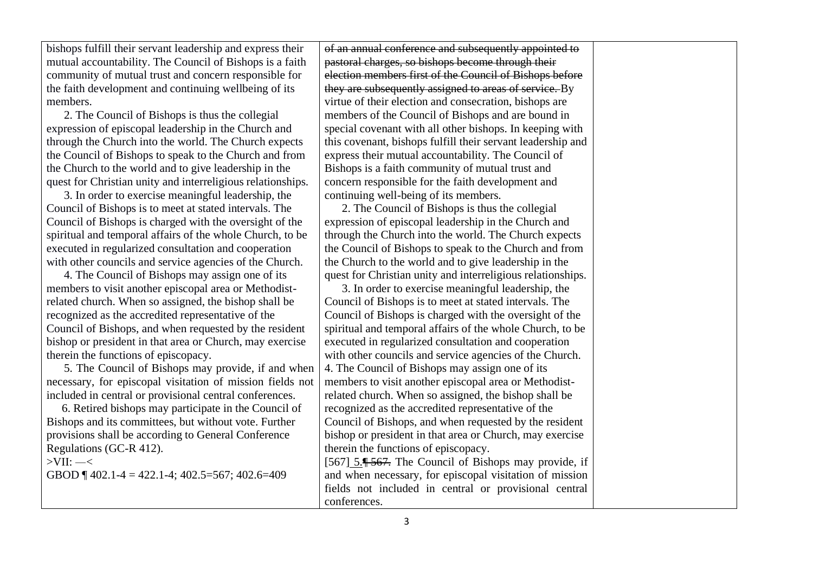bishops fulfill their servant leadership and express their mutual accountability. The Council of Bishops is a faith community of mutual trust and concern responsible for the faith development and continuing wellbeing of its members.

2. The Council of Bishops is thus the collegial expression of episcopal leadership in the Church and through the Church into the world. The Church expects the Council of Bishops to speak to the Church and from the Church to the world and to give leadership in the quest for Christian unity and interreligious relationships.

3. In order to exercise meaningful leadership, the Council of Bishops is to meet at stated intervals. The Council of Bishops is charged with the oversight of the spiritual and temporal affairs of the whole Church, to be executed in regularized consultation and cooperation with other councils and service agencies of the Church.

4. The Council of Bishops may assign one of its members to visit another episcopal area or Methodistrelated church. When so assigned, the bishop shall be recognized as the accredited representative of the Council of Bishops, and when requested by the resident bishop or president in that area or Church, may exercise therein the functions of episcopacy.

5. The Council of Bishops may provide, if and when necessary, for episcopal visitation of mission fields not included in central or provisional central conferences.

6. Retired bishops may participate in the Council of Bishops and its committees, but without vote. Further provisions shall be according to General Conference Regulations (GC-R 412). >VII: *—<* GBOD  $\P$  402.1-4 = 422.1-4; 402.5=567; 402.6=409

of an annual conference and subsequently appointed to pastoral charges, so bishops become through their election members first of the Council of Bishops before they are subsequently assigned to areas of service. By virtue of their election and consecration, bishops are members of the Council of Bishops and are bound in special covenant with all other bishops. In keeping with this covenant, bishops fulfill their servant leadership and express their mutual accountability. The Council of Bishops is a faith community of mutual trust and concern responsible for the faith development and continuing well-being of its members.

2. The Council of Bishops is thus the collegial expression of episcopal leadership in the Church and through the Church into the world. The Church expects the Council of Bishops to speak to the Church and from the Church to the world and to give leadership in the quest for Christian unity and interreligious relationships.

3. In order to exercise meaningful leadership, the Council of Bishops is to meet at stated intervals. The Council of Bishops is charged with the oversight of the spiritual and temporal affairs of the whole Church, to be executed in regularized consultation and cooperation with other councils and service agencies of the Church. 4. The Council of Bishops may assign one of its members to visit another episcopal area or Methodistrelated church. When so assigned, the bishop shall be recognized as the accredited representative of the Council of Bishops, and when requested by the resident bishop or president in that area or Church, may exercise therein the functions of episcopacy.

[567] 5.¶ 567. The Council of Bishops may provide, if and when necessary, for episcopal visitation of mission fields not included in central or provisional central conferences.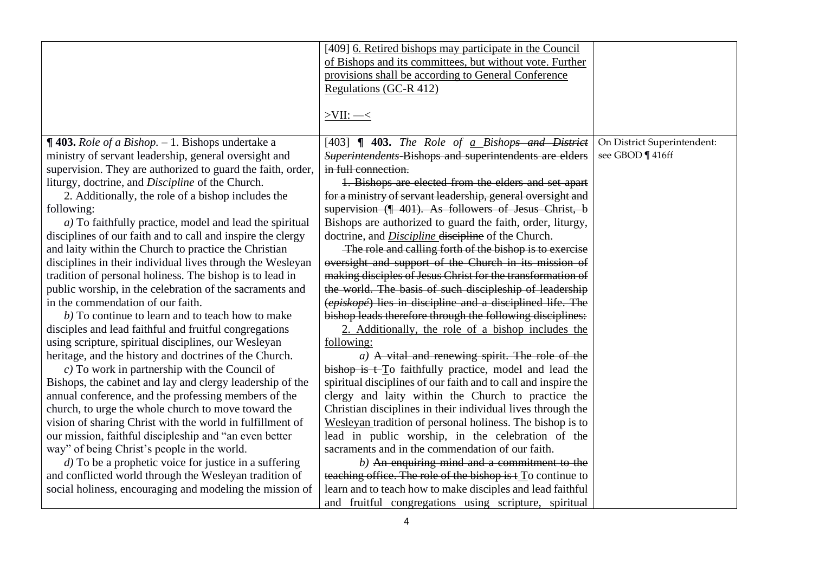|                                                                                                                                                                                                                                                                                                                                                                                                                                                                                                                                                                                                                                                                                                                                                                                                                                                                                                                                                                                                                                                                                                                                                                                                                                                                                                                                           | [409] 6. Retired bishops may participate in the Council<br>of Bishops and its committees, but without vote. Further<br>provisions shall be according to General Conference<br>Regulations (GC-R 412)<br>$>$ VII: $-$                                                                                                                                                                                                                                                                                                                                                                                                                                                                                                                                                                                                                                                                                                                                                                                                                                                                                                                                                                                                                                                                                                                                                  |                                                |
|-------------------------------------------------------------------------------------------------------------------------------------------------------------------------------------------------------------------------------------------------------------------------------------------------------------------------------------------------------------------------------------------------------------------------------------------------------------------------------------------------------------------------------------------------------------------------------------------------------------------------------------------------------------------------------------------------------------------------------------------------------------------------------------------------------------------------------------------------------------------------------------------------------------------------------------------------------------------------------------------------------------------------------------------------------------------------------------------------------------------------------------------------------------------------------------------------------------------------------------------------------------------------------------------------------------------------------------------|-----------------------------------------------------------------------------------------------------------------------------------------------------------------------------------------------------------------------------------------------------------------------------------------------------------------------------------------------------------------------------------------------------------------------------------------------------------------------------------------------------------------------------------------------------------------------------------------------------------------------------------------------------------------------------------------------------------------------------------------------------------------------------------------------------------------------------------------------------------------------------------------------------------------------------------------------------------------------------------------------------------------------------------------------------------------------------------------------------------------------------------------------------------------------------------------------------------------------------------------------------------------------------------------------------------------------------------------------------------------------|------------------------------------------------|
|                                                                                                                                                                                                                                                                                                                                                                                                                                                                                                                                                                                                                                                                                                                                                                                                                                                                                                                                                                                                                                                                                                                                                                                                                                                                                                                                           |                                                                                                                                                                                                                                                                                                                                                                                                                                                                                                                                                                                                                                                                                                                                                                                                                                                                                                                                                                                                                                                                                                                                                                                                                                                                                                                                                                       |                                                |
| <b><math>\P</math></b> 403. <i>Role of a Bishop.</i> - 1. Bishops undertake a<br>ministry of servant leadership, general oversight and<br>supervision. They are authorized to guard the faith, order,<br>liturgy, doctrine, and <i>Discipline</i> of the Church.<br>2. Additionally, the role of a bishop includes the<br>following:<br>a) To faithfully practice, model and lead the spiritual<br>disciplines of our faith and to call and inspire the clergy<br>and laity within the Church to practice the Christian<br>disciplines in their individual lives through the Wesleyan<br>tradition of personal holiness. The bishop is to lead in<br>public worship, in the celebration of the sacraments and<br>in the commendation of our faith.<br>b) To continue to learn and to teach how to make<br>disciples and lead faithful and fruitful congregations<br>using scripture, spiritual disciplines, our Wesleyan<br>heritage, and the history and doctrines of the Church.<br>$c$ ) To work in partnership with the Council of<br>Bishops, the cabinet and lay and clergy leadership of the<br>annual conference, and the professing members of the<br>church, to urge the whole church to move toward the<br>vision of sharing Christ with the world in fulfillment of<br>our mission, faithful discipleship and "an even better | [403] $\blacksquare$ 403. The Role of $\underline{a}$ Bishops and District<br><b>Superintendents-Bishops and superintendents are elders</b><br>in full connection.<br>1. Bishops are elected from the elders and set apart<br>for a ministry of servant leadership, general oversight and<br>supervision (1401). As followers of Jesus Christ, b<br>Bishops are authorized to guard the faith, order, liturgy,<br>doctrine, and <i>Discipline</i> discipline of the Church.<br>The role and calling forth of the bishop is to exercise<br>oversight and support of the Church in its mission of<br>making disciples of Jesus Christ for the transformation of<br>the world. The basis of such discipleship of leadership<br>$\langle episkop\acute{e}\rangle$ lies in discipline and a disciplined life. The<br>bishop leads therefore through the following disciplines:<br>2. Additionally, the role of a bishop includes the<br>following:<br>$a)$ A vital and renewing spirit. The role of the<br>bishop is t-To faithfully practice, model and lead the<br>spiritual disciplines of our faith and to call and inspire the<br>clergy and laity within the Church to practice the<br>Christian disciplines in their individual lives through the<br>Wesleyan tradition of personal holiness. The bishop is to<br>lead in public worship, in the celebration of the | On District Superintendent:<br>see GBOD¶ 416ff |
| way" of being Christ's people in the world.                                                                                                                                                                                                                                                                                                                                                                                                                                                                                                                                                                                                                                                                                                                                                                                                                                                                                                                                                                                                                                                                                                                                                                                                                                                                                               | sacraments and in the commendation of our faith.                                                                                                                                                                                                                                                                                                                                                                                                                                                                                                                                                                                                                                                                                                                                                                                                                                                                                                                                                                                                                                                                                                                                                                                                                                                                                                                      |                                                |
| $d$ ) To be a prophetic voice for justice in a suffering                                                                                                                                                                                                                                                                                                                                                                                                                                                                                                                                                                                                                                                                                                                                                                                                                                                                                                                                                                                                                                                                                                                                                                                                                                                                                  | $b)$ An enquiring mind and a commitment to the                                                                                                                                                                                                                                                                                                                                                                                                                                                                                                                                                                                                                                                                                                                                                                                                                                                                                                                                                                                                                                                                                                                                                                                                                                                                                                                        |                                                |
| and conflicted world through the Wesleyan tradition of                                                                                                                                                                                                                                                                                                                                                                                                                                                                                                                                                                                                                                                                                                                                                                                                                                                                                                                                                                                                                                                                                                                                                                                                                                                                                    | teaching office. The role of the bishop is t To continue to                                                                                                                                                                                                                                                                                                                                                                                                                                                                                                                                                                                                                                                                                                                                                                                                                                                                                                                                                                                                                                                                                                                                                                                                                                                                                                           |                                                |
| social holiness, encouraging and modeling the mission of                                                                                                                                                                                                                                                                                                                                                                                                                                                                                                                                                                                                                                                                                                                                                                                                                                                                                                                                                                                                                                                                                                                                                                                                                                                                                  | learn and to teach how to make disciples and lead faithful<br>and fruitful congregations using scripture, spiritual                                                                                                                                                                                                                                                                                                                                                                                                                                                                                                                                                                                                                                                                                                                                                                                                                                                                                                                                                                                                                                                                                                                                                                                                                                                   |                                                |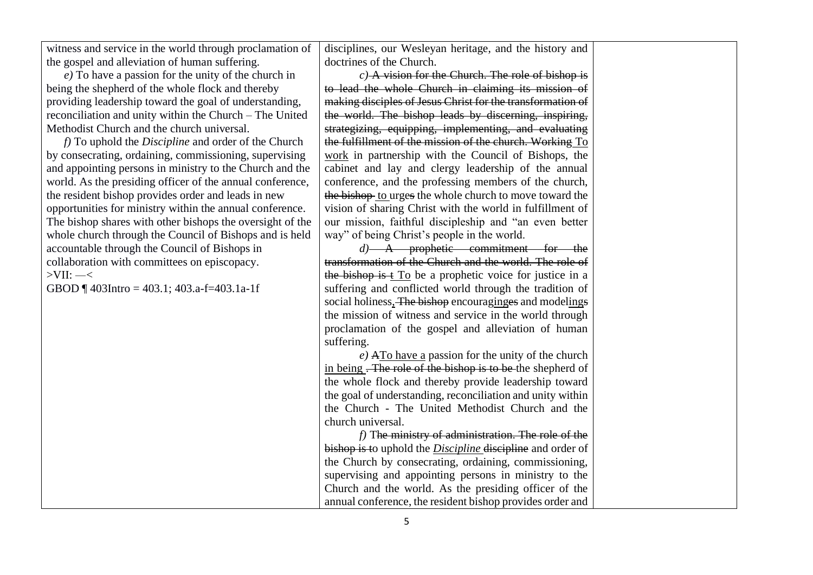witness and service in the world through proclamation of the gospel and alleviation of human suffering.

*e)* To have a passion for the unity of the church in being the shepherd of the whole flock and thereby providing leadership toward the goal of understanding, reconciliation and unity within the Church – The United Methodist Church and the church universal.

*f)* To uphold the *Discipline* and order of the Church by consecrating, ordaining, commissioning, supervising and appointing persons in ministry to the Church and the world. As the presiding officer of the annual conference, the resident bishop provides order and leads in new opportunities for ministry within the annual conference. The bishop shares with other bishops the oversight of the whole church through the Council of Bishops and is held accountable through the Council of Bishops in collaboration with committees on episcopacy. >VII: *—<*

GBOD ¶ 403Intro = 403.1; 403.a-f=403.1a-1f

disciplines, our Wesleyan heritage, and the history and doctrines of the Church.

*c)* A vision for the Church. The role of bishop is to lead the whole Church in claiming its mission of making disciples of Jesus Christ for the transformation of the world. The bishop leads by discerning, inspiring, strategizing, equipping, implementing, and evaluating the fulfillment of the mission of the church. Working To work in partnership with the Council of Bishops, the cabinet and lay and clergy leadership of the annual conference, and the professing members of the church, the bishop to urges the whole church to move toward the vision of sharing Christ with the world in fulfillment of our mission, faithful discipleship and "an even better way" of being Christ's people in the world.

*d)* A prophetic commitment for the transformation of the Church and the world. The role of the bishop is t To be a prophetic voice for justice in a suffering and conflicted world through the tradition of social holiness, The bishop encouraginges and modelings the mission of witness and service in the world through proclamation of the gospel and alleviation of human suffering.

*e)* ATo have a passion for the unity of the church in being . The role of the bishop is to be the shepherd of the whole flock and thereby provide leadership toward the goal of understanding, reconciliation and unity within the Church - The United Methodist Church and the church universal.

*f)* The ministry of administration. The role of the bishop is to uphold the *Discipline* discipline and order of the Church by consecrating, ordaining, commissioning, supervising and appointing persons in ministry to the Church and the world. As the presiding officer of the annual conference, the resident bishop provides order and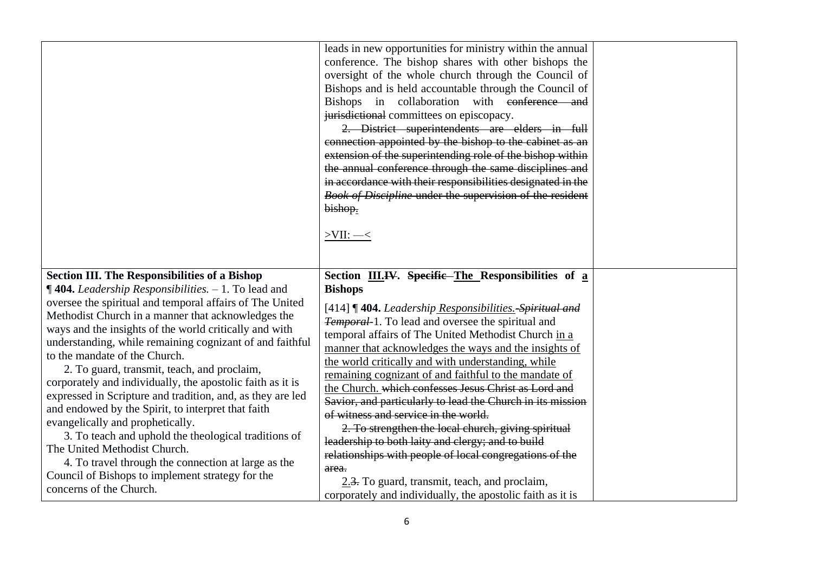|                                                                                                                                                                                                                                                                                                                                                                                                                                                                                                                                                                                                                                                                                                                                                                                                                                                                                                                       | leads in new opportunities for ministry within the annual<br>conference. The bishop shares with other bishops the<br>oversight of the whole church through the Council of<br>Bishops and is held accountable through the Council of<br>Bishops in collaboration with conference and<br>jurisdictional committees on episcopacy.<br>2. District superintendents are elders in full<br>connection appointed by the bishop to the cabinet as an<br>extension of the superintending role of the bishop within<br>the annual conference through the same disciplines and<br>in accordance with their responsibilities designated in the<br><b>Book of Discipline under the supervision of the resident</b><br>bishop.<br>$>$ VII: $-\leq$                                                                                                                                                    |  |
|-----------------------------------------------------------------------------------------------------------------------------------------------------------------------------------------------------------------------------------------------------------------------------------------------------------------------------------------------------------------------------------------------------------------------------------------------------------------------------------------------------------------------------------------------------------------------------------------------------------------------------------------------------------------------------------------------------------------------------------------------------------------------------------------------------------------------------------------------------------------------------------------------------------------------|-----------------------------------------------------------------------------------------------------------------------------------------------------------------------------------------------------------------------------------------------------------------------------------------------------------------------------------------------------------------------------------------------------------------------------------------------------------------------------------------------------------------------------------------------------------------------------------------------------------------------------------------------------------------------------------------------------------------------------------------------------------------------------------------------------------------------------------------------------------------------------------------|--|
| <b>Section III. The Responsibilities of a Bishop</b><br><b><math>\P</math>404.</b> <i>Leadership Responsibilities.</i> $-1$ . To lead and<br>oversee the spiritual and temporal affairs of The United<br>Methodist Church in a manner that acknowledges the<br>ways and the insights of the world critically and with<br>understanding, while remaining cognizant of and faithful<br>to the mandate of the Church.<br>2. To guard, transmit, teach, and proclaim,<br>corporately and individually, the apostolic faith as it is<br>expressed in Scripture and tradition, and, as they are led<br>and endowed by the Spirit, to interpret that faith<br>evangelically and prophetically.<br>3. To teach and uphold the theological traditions of<br>The United Methodist Church.<br>4. To travel through the connection at large as the<br>Council of Bishops to implement strategy for the<br>concerns of the Church. | Section III.HV. Specific-The Responsibilities of a<br><b>Bishops</b><br>[414] [404. Leadership Responsibilities.-Spiritual and<br><b>Temporal-1.</b> To lead and oversee the spiritual and<br>temporal affairs of The United Methodist Church in a<br>manner that acknowledges the ways and the insights of<br>the world critically and with understanding, while<br>remaining cognizant of and faithful to the mandate of<br>the Church. which confesses Jesus Christ as Lord and<br>Savior, and particularly to lead the Church in its mission<br>of witness and service in the world.<br>2. To strengthen the local church, giving spiritual<br>leadership to both laity and clergy; and to build<br>relationships with people of local congregations of the<br>area.<br>2.3. To guard, transmit, teach, and proclaim,<br>corporately and individually, the apostolic faith as it is |  |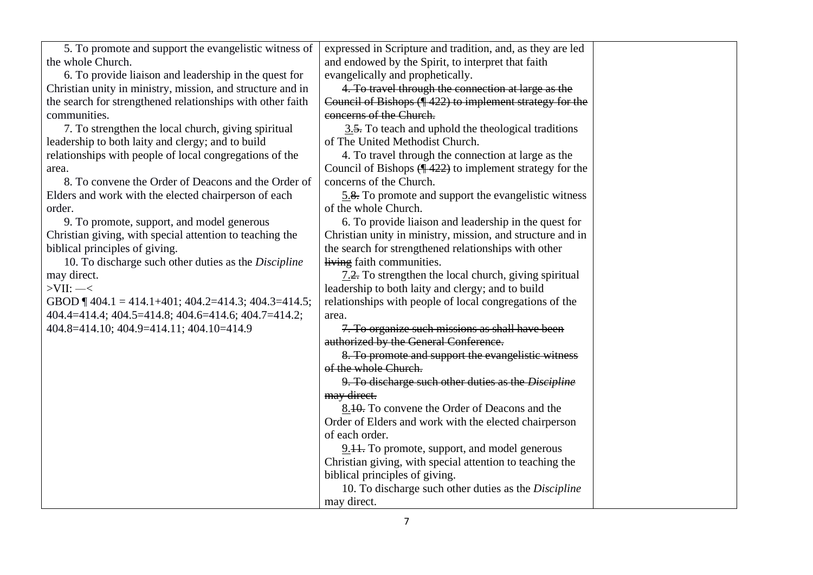5. To promote and support the evangelistic witness of the whole Church.

6. To provide liaison and leadership in the quest for Christian unity in ministry, mission, and structure and in the search for strengthened relationships with other faith communities.

7. To strengthen the local church, giving spiritual leadership to both laity and clergy; and to build relationships with people of local congregations of the area.

8. To convene the Order of Deacons and the Order of Elders and work with the elected chairperson of each order.

9. To promote, support, and model generous Christian giving, with special attention to teaching the biblical principles of giving.

10. To discharge such other duties as the *Discipline* may direct.

>VII: *—<*

GBOD  $\P$  404.1 = 414.1+401; 404.2=414.3; 404.3=414.5; 404.4=414.4; 404.5=414.8; 404.6=414.6; 404.7=414.2; 404.8=414.10; 404.9=414.11; 404.10=414.9

expressed in Scripture and tradition, and, as they are led and endowed by the Spirit, to interpret that faith evangelically and prophetically.

4. To travel through the connection at large as the Council of Bishops (¶ 422) to implement strategy for the concerns of the Church.

 3.5. To teach and uphold the theological traditions of The United Methodist Church.

4. To travel through the connection at large as the Council of Bishops (¶ 422) to implement strategy for the concerns of the Church.

5.8. To promote and support the evangelistic witness of the whole Church.

6. To provide liaison and leadership in the quest for Christian unity in ministry, mission, and structure and in the search for strengthened relationships with other living faith communities.

7.2. To strengthen the local church, giving spiritual leadership to both laity and clergy; and to build relationships with people of local congregations of the area.

7. To organize such missions as shall have been authorized by the General Conference.

8. To promote and support the evangelistic witness of the whole Church.

9. To discharge such other duties as the *Discipline* may direct.

8.10. To convene the Order of Deacons and the Order of Elders and work with the elected chairperson of each order.

9.11. To promote, support, and model generous Christian giving, with special attention to teaching the biblical principles of giving.

10. To discharge such other duties as the *Discipline*  may direct.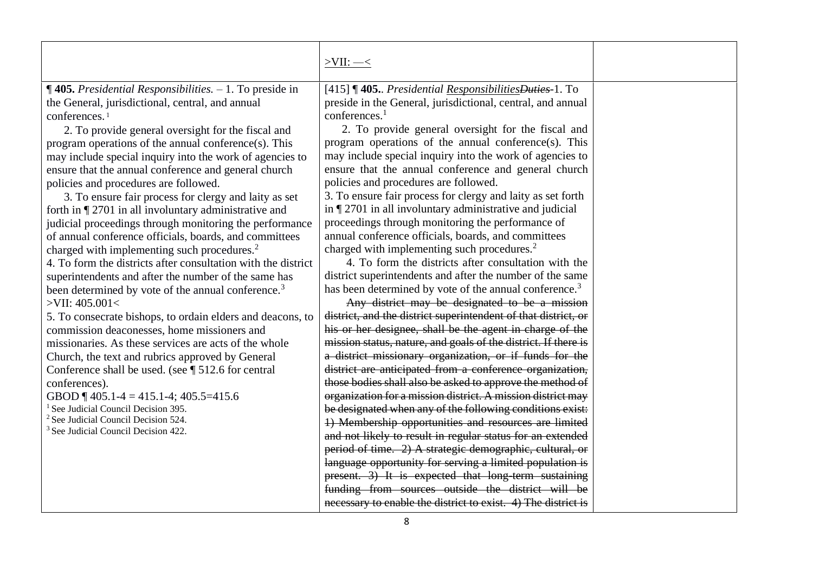| 405. Presidential Responsibilities. $-1$ . To preside in<br>[415] ¶ 405. Presidential ResponsibilitiesDuties-1. To<br>the General, jurisdictional, central, and annual<br>preside in the General, jurisdictional, central, and annual<br>conferences. $1$<br>conferences. <sup>1</sup><br>2. To provide general oversight for the fiscal and<br>2. To provide general oversight for the fiscal and<br>program operations of the annual conference(s). This<br>program operations of the annual conference(s). This<br>may include special inquiry into the work of agencies to<br>may include special inquiry into the work of agencies to<br>ensure that the annual conference and general church<br>ensure that the annual conference and general church<br>policies and procedures are followed.<br>policies and procedures are followed.<br>3. To ensure fair process for clergy and laity as set forth<br>3. To ensure fair process for clergy and laity as set                                                                                                                                                                                                                                                                                                                                                                                                                                                                                                                                                                                                                                                                                                                                                                                                                                                                                                                                                                                                                                                                                                                     |                                                          | $>$ VII: $-$                                                |  |
|------------------------------------------------------------------------------------------------------------------------------------------------------------------------------------------------------------------------------------------------------------------------------------------------------------------------------------------------------------------------------------------------------------------------------------------------------------------------------------------------------------------------------------------------------------------------------------------------------------------------------------------------------------------------------------------------------------------------------------------------------------------------------------------------------------------------------------------------------------------------------------------------------------------------------------------------------------------------------------------------------------------------------------------------------------------------------------------------------------------------------------------------------------------------------------------------------------------------------------------------------------------------------------------------------------------------------------------------------------------------------------------------------------------------------------------------------------------------------------------------------------------------------------------------------------------------------------------------------------------------------------------------------------------------------------------------------------------------------------------------------------------------------------------------------------------------------------------------------------------------------------------------------------------------------------------------------------------------------------------------------------------------------------------------------------------------------------------|----------------------------------------------------------|-------------------------------------------------------------|--|
| proceedings through monitoring the performance of<br>judicial proceedings through monitoring the performance<br>annual conference officials, boards, and committees<br>of annual conference officials, boards, and committees<br>charged with implementing such procedures. <sup>2</sup><br>charged with implementing such procedures. <sup>2</sup><br>4. To form the districts after consultation with the<br>4. To form the districts after consultation with the district<br>district superintendents and after the number of the same<br>superintendents and after the number of the same has<br>has been determined by vote of the annual conference. <sup>3</sup><br>been determined by vote of the annual conference. <sup>3</sup><br>Any district may be designated to be a mission<br>$>$ VII: 405.001<<br>district, and the district superintendent of that district, or<br>5. To consecrate bishops, to ordain elders and deacons, to<br>his or her designee, shall be the agent in charge of the<br>commission deaconesses, home missioners and<br>mission status, nature, and goals of the district. If there is<br>missionaries. As these services are acts of the whole<br>a district missionary organization, or if funds for the<br>Church, the text and rubrics approved by General<br>district are anticipated from a conference organization,<br>Conference shall be used. (see $\P$ 512.6 for central<br>those bodies shall also be asked to approve the method of<br>conferences).<br>organization for a mission district. A mission district may<br>GBOD $\P$ 405.1-4 = 415.1-4; 405.5=415.6<br>be designated when any of the following conditions exist:<br><sup>1</sup> See Judicial Council Decision 395.<br><sup>2</sup> See Judicial Council Decision 524.<br>1) Membership opportunities and resources are limited<br><sup>3</sup> See Judicial Council Decision 422.<br>and not likely to result in regular status for an extended<br>period of time. 2) A strategic demographic, cultural, or<br>language opportunity for serving a limited population is | forth in $\P$ 2701 in all involuntary administrative and | in $\P$ 2701 in all involuntary administrative and judicial |  |
| present. 3) It is expected that long-term sustaining<br>funding from sources outside the district will be<br>necessary to enable the district to exist. 4) The district is                                                                                                                                                                                                                                                                                                                                                                                                                                                                                                                                                                                                                                                                                                                                                                                                                                                                                                                                                                                                                                                                                                                                                                                                                                                                                                                                                                                                                                                                                                                                                                                                                                                                                                                                                                                                                                                                                                               |                                                          |                                                             |  |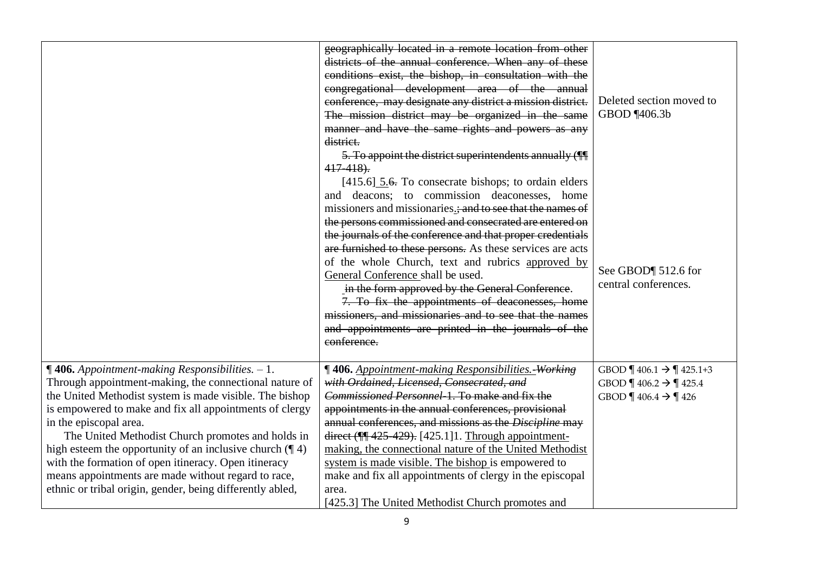|                                                                                                                                                                                                                                                                                                                                                                                                                                                                                                                                                                 | geographically located in a remote location from other<br>districts of the annual conference. When any of these<br>conditions exist, the bishop, in consultation with the<br>congregational development area of the annual<br>conference, may designate any district a mission district.<br>The mission district may be organized in the same<br>manner and have the same rights and powers as any<br>district.<br>5. To appoint the district superintendents annually (<br>$417 - 418$ .                                                                                                                                                                                                   | Deleted section moved to<br>GBOD ¶406.3b                                                                                         |
|-----------------------------------------------------------------------------------------------------------------------------------------------------------------------------------------------------------------------------------------------------------------------------------------------------------------------------------------------------------------------------------------------------------------------------------------------------------------------------------------------------------------------------------------------------------------|---------------------------------------------------------------------------------------------------------------------------------------------------------------------------------------------------------------------------------------------------------------------------------------------------------------------------------------------------------------------------------------------------------------------------------------------------------------------------------------------------------------------------------------------------------------------------------------------------------------------------------------------------------------------------------------------|----------------------------------------------------------------------------------------------------------------------------------|
|                                                                                                                                                                                                                                                                                                                                                                                                                                                                                                                                                                 | $[415.6]$ 5.6. To consecrate bishops; to ordain elders<br>and deacons; to commission deaconesses, home<br>missioners and missionaries.; and to see that the names of<br>the persons commissioned and consecrated are entered on<br>the journals of the conference and that proper credentials<br>are furnished to these persons. As these services are acts<br>of the whole Church, text and rubrics approved by<br>General Conference shall be used.<br>in the form approved by the General Conference.<br>7. To fix the appointments of deaconesses, home<br>missioners, and missionaries and to see that the names<br>and appointments are printed in the journals of the<br>conference. | See GBOD¶ 512.6 for<br>central conferences.                                                                                      |
| $\P$ 406. Appointment-making Responsibilities. $-1$ .<br>Through appointment-making, the connectional nature of<br>the United Methodist system is made visible. The bishop<br>is empowered to make and fix all appointments of clergy<br>in the episcopal area.<br>The United Methodist Church promotes and holds in<br>high esteem the opportunity of an inclusive church $(\P 4)$<br>with the formation of open itineracy. Open itineracy<br>means appointments are made without regard to race,<br>ethnic or tribal origin, gender, being differently abled, | <b>1406.</b> Appointment-making Responsibilities. Working<br>with Ordained, Licensed, Consecrated, and<br>Commissioned Personnel 1. To make and fix the<br>appointments in the annual conferences, provisional<br>annual conferences, and missions as the Discipline may<br>$\frac{4 \text{ireet } (\sqrt{1425-429})}{25}$ . [425.1] 1. Through appointment-<br>making, the connectional nature of the United Methodist<br>system is made visible. The bishop is empowered to<br>make and fix all appointments of clergy in the episcopal<br>area.<br>[425.3] The United Methodist Church promotes and                                                                                      | GBOD $\P$ 406.1 $\rightarrow$ $\P$ 425.1+3<br>GBOD $\P$ 406.2 $\rightarrow$ $\P$ 425.4<br>GBOD $\P$ 406.4 $\rightarrow$ $\P$ 426 |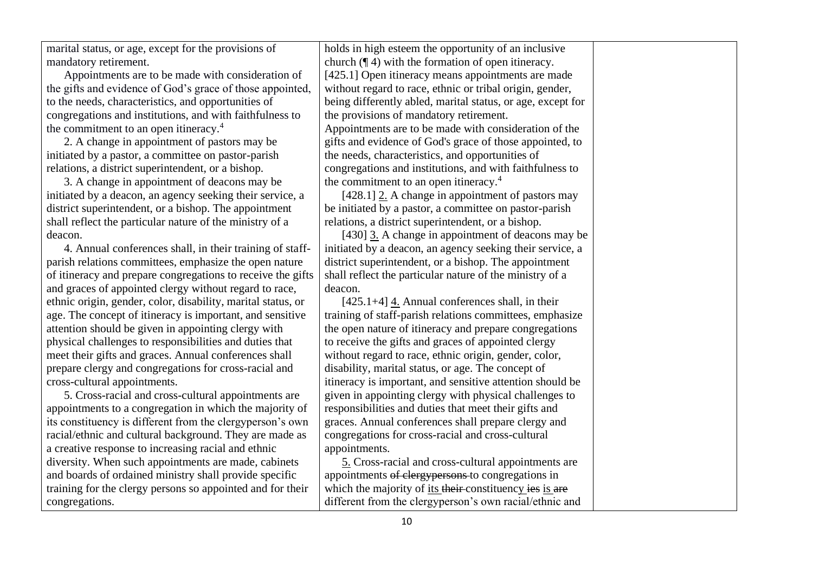marital status, or age, except for the provisions of mandatory retirement.

Appointments are to be made with consideration of the gifts and evidence of God's grace of those appointed, to the needs, characteristics, and opportunities of congregations and institutions, and with faithfulness to the commitment to an open itineracy.<sup>4</sup>

2. A change in appointment of pastors may be initiated by a pastor, a committee on pastor-parish relations, a district superintendent, or a bishop.

3. A change in appointment of deacons may be initiated by a deacon, an agency seeking their service, a district superintendent, or a bishop. The appointment shall reflect the particular nature of the ministry of a deacon.

4. Annual conferences shall, in their training of staffparish relations committees, emphasize the open nature of itineracy and prepare congregations to receive the gifts and graces of appointed clergy without regard to race, ethnic origin, gender, color, disability, marital status, or age. The concept of itineracy is important, and sensitive attention should be given in appointing clergy with physical challenges to responsibilities and duties that meet their gifts and graces. Annual conferences shall prepare clergy and congregations for cross-racial and cross-cultural appointments.

5. Cross-racial and cross-cultural appointments are appointments to a congregation in which the majority of its constituency is different from the clergyperson's own racial/ethnic and cultural background. They are made as a creative response to increasing racial and ethnic diversity. When such appointments are made, cabinets and boards of ordained ministry shall provide specific training for the clergy persons so appointed and for their congregations.

holds in high esteem the opportunity of an inclusive church (¶ 4) with the formation of open itineracy. [425.1] Open itineracy means appointments are made without regard to race, ethnic or tribal origin, gender, being differently abled, marital status, or age, except for the provisions of mandatory retirement.

Appointments are to be made with consideration of the gifts and evidence of God's grace of those appointed, to the needs, characteristics, and opportunities of congregations and institutions, and with faithfulness to the commitment to an open itineracy. $4$ 

[428.1]  $2$ . A change in appointment of pastors may be initiated by a pastor, a committee on pastor-parish relations, a district superintendent, or a bishop.

[430] 3. A change in appointment of deacons may be initiated by a deacon, an agency seeking their service, a district superintendent, or a bishop. The appointment shall reflect the particular nature of the ministry of a deacon.

 $[425.1+4]$  4. Annual conferences shall, in their training of staff-parish relations committees, emphasize the open nature of itineracy and prepare congregations to receive the gifts and graces of appointed clergy without regard to race, ethnic origin, gender, color, disability, marital status, or age. The concept of itineracy is important, and sensitive attention should be given in appointing clergy with physical challenges to responsibilities and duties that meet their gifts and graces. Annual conferences shall prepare clergy and congregations for cross-racial and cross-cultural appointments.

5. Cross-racial and cross-cultural appointments are appointments of clergy persons to congregations in which the majority of its their constituency ies is are different from the clergyperson's own racial/ethnic and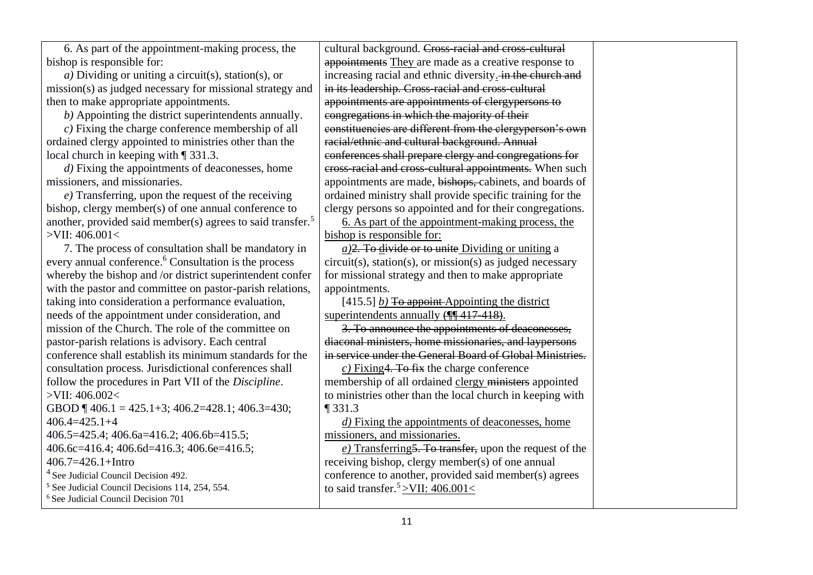6. As part of the appointment-making process, the bishop is responsible for:

*a)* Dividing or uniting a circuit(s), station(s), or mission(s) as judged necessary for missional strategy and then to make appropriate appointments.

*b)* Appointing the district superintendents annually.

*c)* Fixing the charge conference membership of all ordained clergy appointed to ministries other than the local church in keeping with ¶ 331.3.

*d*) Fixing the appointments of deaconesses, home missioners, and missionaries.

*e)* Transferring, upon the request of the receiving bishop, clergy member(s) of one annual conference to another, provided said member(s) agrees to said transfer.<sup>5</sup>  $>$ VII: 406.001 $<$ 

7. The process of consultation shall be mandatory in every annual conference. <sup>6</sup> Consultation is the process whereby the bishop and /or district superintendent confer with the pastor and committee on pastor-parish relations. taking into consideration a performance evaluation, needs of the appointment under consideration, and mission of the Church. The role of the committee on pastor-parish relations is advisory. Each central conference shall establish its minimum standards for the consultation process. Jurisdictional conferences shall follow the procedures in Part VII of the *Discipline*. >VII: 406.002<

GBOD  $\P$  406.1 = 425.1+3; 406.2=428.1; 406.3=430; 406.4=425.1+4

406.5=425.4; 406.6a=416.2; 406.6b=415.5; 406.6c=416.4; 406.6d=416.3; 406.6e=416.5;  $406.7=426.1+Intro$ 

<sup>4</sup> See Judicial Council Decision 492.

<sup>5</sup> See Judicial Council Decisions 114, 254, 554. <sup>6</sup> See Judicial Council Decision 701

cultural background. Cross-racial and cross-cultural appointments They are made as a creative response to increasing racial and ethnic diversity. in the church and in its leadership. Cross-racial and cross-cultural appointments are appointments of clergypersons to congregations in which the majority of their constituencies are different from the clergyperson's own racial/ethnic and cultural background. Annual conferences shall prepare clergy and congregations for cross-racial and cross-cultural appointments. When such appointments are made, bishops, cabinets, and boards of ordained ministry shall provide specific training for the clergy persons so appointed and for their congregations.

6. As part of the appointment-making process, the bishop is responsible for:

*a)*2. To divide or to unite Dividing or uniting a  $circuit(s)$ , station(s), or mission(s) as judged necessary for missional strategy and then to make appropriate appointments.

 $[415.5]$  *b*) To appoint Appointing the district superintendents annually  $\left(\sqrt{44.417-418}\right)$ .

3. To announce the appointments of deaconesses, diaconal ministers, home missionaries, and laypersons in service under the General Board of Global Ministries.

*c)* Fixing4. To fix the charge conference membership of all ordained clergy ministers appointed to ministries other than the local church in keeping with ¶ 331.3

*d)* Fixing the appointments of deaconesses, home missioners, and missionaries.

*e)* Transferring5. To transfer, upon the request of the receiving bishop, clergy member(s) of one annual conference to another, provided said member(s) agrees to said transfer.<sup>5</sup>>VII:  $406.001<$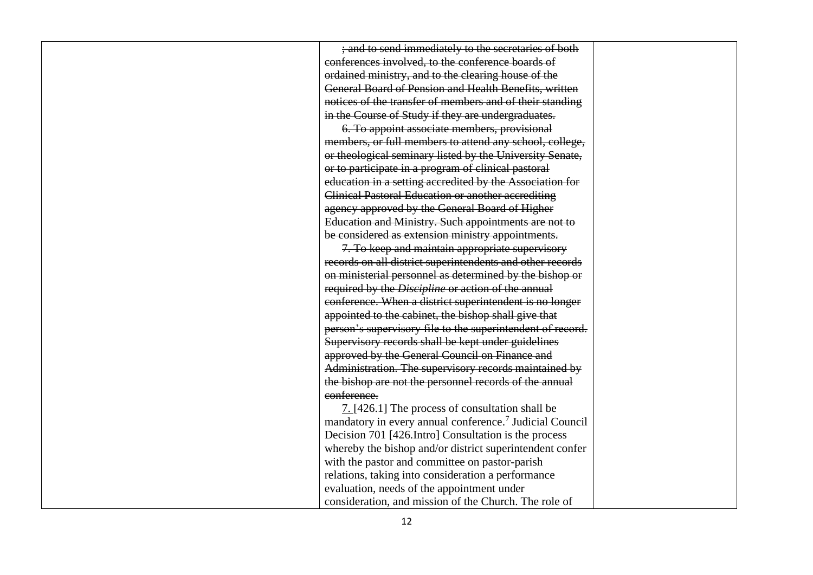; and to send immediately to the secretaries of both conferences involved, to the conference boards of ordained ministry, and to the clearing house of the General Board of Pension and Health Benefits, written notices of the transfer of members and of their standing in the Course of Study if they are undergraduates.

6. To appoint associate members, provisional members, or full members to attend any school, college, or theological seminary listed by the University Senate, or to participate in a program of clinical pastoral education in a setting accredited by the Association for Clinical Pastoral Education or another accrediting agency approved by the General Board of Higher Education and Ministry. Such appointments are not to be considered as extension ministry appointments.

7. To keep and maintain appropriate supervisory records on all district superintendents and other records on ministerial personnel as determined by the bishop or required by the *Discipline* or action of the annual conference. When a district superintendent is no longer appointed to the cabinet, the bishop shall give that person's supervisory file to the superintendent of record. Supervisory records shall be kept under guidelines approved by the General Council on Finance and Administration. The supervisory records maintained by the bishop are not the personnel records of the annual conference.

7. [426.1] The process of consultation shall be mandatory in every annual conference.<sup>7</sup> Judicial Council Decision 701 [426.Intro] Consultation is the process whereby the bishop and/or district superintendent confer with the pastor and committee on pastor-parish relations, taking into consideration a performance evaluation, needs of the appointment under consideration, and mission of the Church. The role of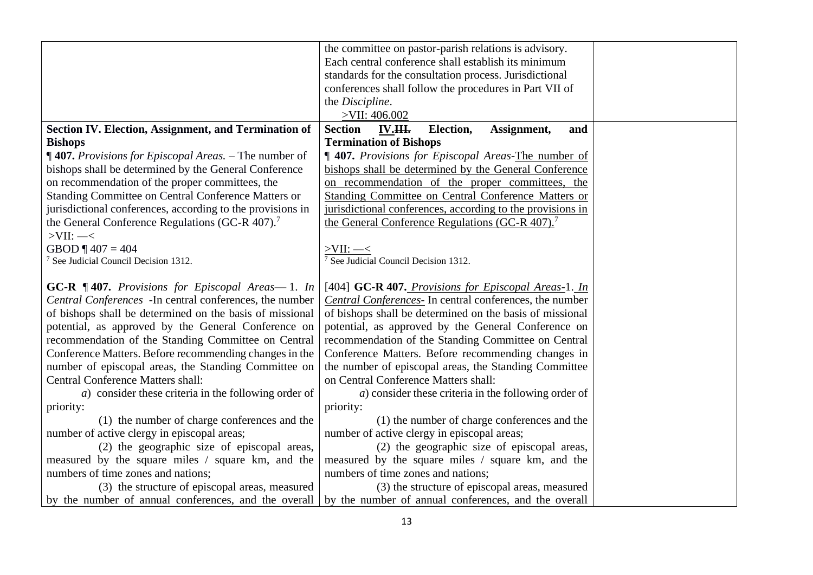|                                                                            | the committee on pastor-parish relations is advisory.<br>Each central conference shall establish its minimum |  |
|----------------------------------------------------------------------------|--------------------------------------------------------------------------------------------------------------|--|
|                                                                            | standards for the consultation process. Jurisdictional                                                       |  |
|                                                                            | conferences shall follow the procedures in Part VII of                                                       |  |
|                                                                            | the Discipline.                                                                                              |  |
|                                                                            | $>$ VII: 406.002                                                                                             |  |
| <b>Section IV. Election, Assignment, and Termination of</b>                | <b>Section</b><br>Election,<br>Assignment,<br>IV.H.<br>and                                                   |  |
| <b>Bishops</b>                                                             | <b>Termination of Bishops</b>                                                                                |  |
| <b><math>\P</math>407.</b> Provisions for Episcopal Areas. – The number of | <b>1407.</b> Provisions for Episcopal Areas-The number of                                                    |  |
| bishops shall be determined by the General Conference                      | bishops shall be determined by the General Conference                                                        |  |
| on recommendation of the proper committees, the                            | on recommendation of the proper committees, the                                                              |  |
| Standing Committee on Central Conference Matters or                        | Standing Committee on Central Conference Matters or                                                          |  |
| jurisdictional conferences, according to the provisions in                 | jurisdictional conferences, according to the provisions in                                                   |  |
| the General Conference Regulations (GC-R 407). <sup>7</sup>                | the General Conference Regulations (GC-R 407). <sup>7</sup>                                                  |  |
| $>$ VII: $-$ <                                                             |                                                                                                              |  |
| GBOD $\P$ 407 = 404                                                        |                                                                                                              |  |
| See Judicial Council Decision 1312.                                        | $\frac{\text{NII:} \text{---} \text{C}}{7}$ See Judicial Council Decision 1312.                              |  |
|                                                                            |                                                                                                              |  |
| <b>GC-R</b> $\mathbb{I}$ 407. Provisions for Episcopal Areas—1. In         | [404] <b>GC-R 407.</b> Provisions for Episcopal Areas-1. In                                                  |  |
| Central Conferences -In central conferences, the number                    | Central Conferences- In central conferences, the number                                                      |  |
| of bishops shall be determined on the basis of missional                   | of bishops shall be determined on the basis of missional                                                     |  |
| potential, as approved by the General Conference on                        | potential, as approved by the General Conference on                                                          |  |
| recommendation of the Standing Committee on Central                        | recommendation of the Standing Committee on Central                                                          |  |
| Conference Matters. Before recommending changes in the                     | Conference Matters. Before recommending changes in                                                           |  |
| number of episcopal areas, the Standing Committee on                       | the number of episcopal areas, the Standing Committee                                                        |  |
| <b>Central Conference Matters shall:</b>                                   | on Central Conference Matters shall:                                                                         |  |
| $a)$ consider these criteria in the following order of                     | $a)$ consider these criteria in the following order of                                                       |  |
| priority:                                                                  | priority:                                                                                                    |  |
| (1) the number of charge conferences and the                               | (1) the number of charge conferences and the                                                                 |  |
| number of active clergy in episcopal areas;                                | number of active clergy in episcopal areas;                                                                  |  |
| (2) the geographic size of episcopal areas,                                | (2) the geographic size of episcopal areas,                                                                  |  |
| measured by the square miles / square km, and the                          | measured by the square miles / square km, and the                                                            |  |
| numbers of time zones and nations;                                         | numbers of time zones and nations;                                                                           |  |
| (3) the structure of episcopal areas, measured                             | (3) the structure of episcopal areas, measured                                                               |  |
| by the number of annual conferences, and the overall                       | by the number of annual conferences, and the overall                                                         |  |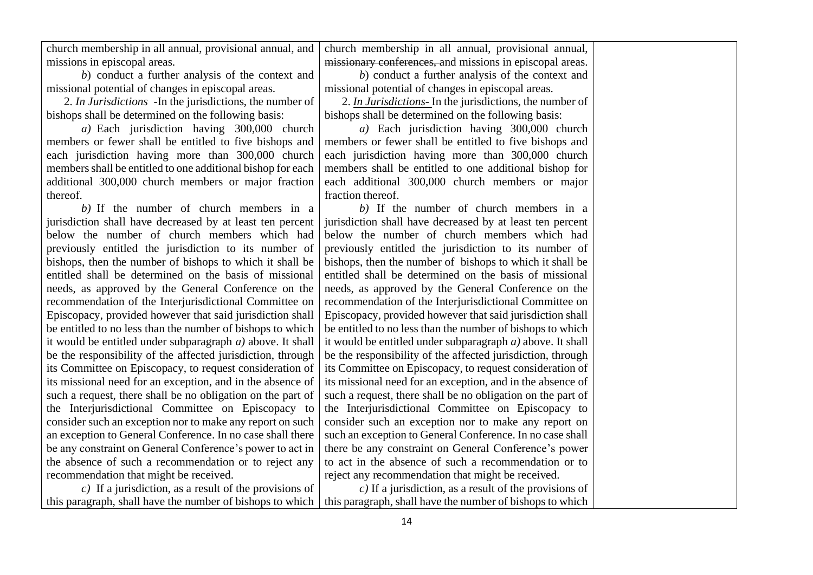church membership in all annual, provisional annual, and missions in episcopal areas.

*b*) conduct a further analysis of the context and missional potential of changes in episcopal areas.

2. *In Jurisdictions* -In the jurisdictions, the number of bishops shall be determined on the following basis:

*a)* Each jurisdiction having 300,000 church members or fewer shall be entitled to five bishops and each jurisdiction having more than 300,000 church members shall be entitled to one additional bishop for each additional 300,000 church members or major fraction thereof.

*b)* If the number of church members in a jurisdiction shall have decreased by at least ten percent below the number of church members which had previously entitled the jurisdiction to its number of bishops, then the number of bishops to which it shall be entitled shall be determined on the basis of missional needs, as approved by the General Conference on the recommendation of the Interjurisdictional Committee on Episcopacy, provided however that said jurisdiction shall be entitled to no less than the number of bishops to which it would be entitled under subparagraph *a)* above. It shall be the responsibility of the affected jurisdiction, through its Committee on Episcopacy, to request consideration of its missional need for an exception, and in the absence of such a request, there shall be no obligation on the part of the Interjurisdictional Committee on Episcopacy to consider such an exception nor to make any report on such an exception to General Conference. In no case shall there be any constraint on General Conference's power to act in the absence of such a recommendation or to reject any recommendation that might be received.

*c)* If a jurisdiction, as a result of the provisions of this paragraph, shall have the number of bishops to which

church membership in all annual, provisional annual, missionary conferences, and missions in episcopal areas. *b*) conduct a further analysis of the context and

missional potential of changes in episcopal areas.

2. *In Jurisdictions-* In the jurisdictions, the number of bishops shall be determined on the following basis:

*a)* Each jurisdiction having 300,000 church members or fewer shall be entitled to five bishops and each jurisdiction having more than 300,000 church members shall be entitled to one additional bishop for each additional 300,000 church members or major fraction thereof.

*b)* If the number of church members in a jurisdiction shall have decreased by at least ten percent below the number of church members which had previously entitled the jurisdiction to its number of bishops, then the number of bishops to which it shall be entitled shall be determined on the basis of missional needs, as approved by the General Conference on the recommendation of the Interjurisdictional Committee on Episcopacy, provided however that said jurisdiction shall be entitled to no less than the number of bishops to which it would be entitled under subparagraph *a)* above. It shall be the responsibility of the affected jurisdiction, through its Committee on Episcopacy, to request consideration of its missional need for an exception, and in the absence of such a request, there shall be no obligation on the part of the Interjurisdictional Committee on Episcopacy to consider such an exception nor to make any report on such an exception to General Conference. In no case shall there be any constraint on General Conference's power to act in the absence of such a recommendation or to reject any recommendation that might be received.

*c)* If a jurisdiction, as a result of the provisions of this paragraph, shall have the number of bishops to which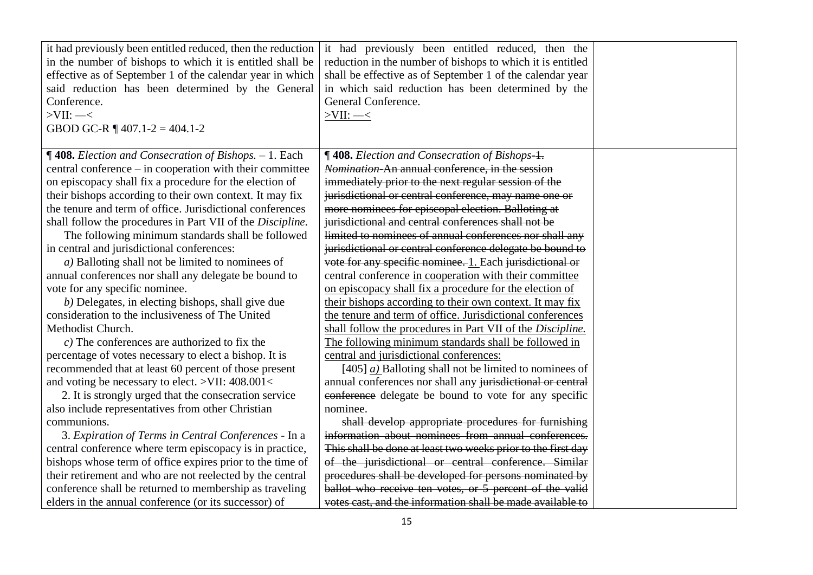| it had previously been entitled reduced, then the reduction<br>in the number of bishops to which it is entitled shall be<br>effective as of September 1 of the calendar year in which<br>said reduction has been determined by the General<br>Conference.<br>$>$ VII: $-$ <<br>GBOD GC-R $\P$ 407.1-2 = 404.1-2 | it had previously been entitled reduced, then the<br>reduction in the number of bishops to which it is entitled<br>shall be effective as of September 1 of the calendar year<br>in which said reduction has been determined by the<br>General Conference.<br>$>$ VII: $-$ < |  |
|-----------------------------------------------------------------------------------------------------------------------------------------------------------------------------------------------------------------------------------------------------------------------------------------------------------------|-----------------------------------------------------------------------------------------------------------------------------------------------------------------------------------------------------------------------------------------------------------------------------|--|
| <b><math>\P</math>408.</b> Election and Consecration of Bishops. $-1$ . Each                                                                                                                                                                                                                                    | <b>1408.</b> Election and Consecration of Bishops-1.                                                                                                                                                                                                                        |  |
| central conference – in cooperation with their committee                                                                                                                                                                                                                                                        | Nomination-An annual conference, in the session                                                                                                                                                                                                                             |  |
| on episcopacy shall fix a procedure for the election of                                                                                                                                                                                                                                                         | immediately prior to the next regular session of the                                                                                                                                                                                                                        |  |
| their bishops according to their own context. It may fix                                                                                                                                                                                                                                                        | jurisdictional or central conference, may name one or                                                                                                                                                                                                                       |  |
| the tenure and term of office. Jurisdictional conferences                                                                                                                                                                                                                                                       | more nominees for episcopal election. Balloting at                                                                                                                                                                                                                          |  |
| shall follow the procedures in Part VII of the Discipline.                                                                                                                                                                                                                                                      | jurisdictional and central conferences shall not be                                                                                                                                                                                                                         |  |
| The following minimum standards shall be followed                                                                                                                                                                                                                                                               | limited to nominees of annual conferences nor shall any                                                                                                                                                                                                                     |  |
| in central and jurisdictional conferences:                                                                                                                                                                                                                                                                      | jurisdictional or central conference delegate be bound to                                                                                                                                                                                                                   |  |
| $a)$ Balloting shall not be limited to nominees of                                                                                                                                                                                                                                                              | vote for any specific nominee. 1. Each jurisdictional or                                                                                                                                                                                                                    |  |
| annual conferences nor shall any delegate be bound to                                                                                                                                                                                                                                                           | central conference in cooperation with their committee                                                                                                                                                                                                                      |  |
| vote for any specific nominee.                                                                                                                                                                                                                                                                                  | on episcopacy shall fix a procedure for the election of                                                                                                                                                                                                                     |  |
| $b)$ Delegates, in electing bishops, shall give due                                                                                                                                                                                                                                                             | their bishops according to their own context. It may fix                                                                                                                                                                                                                    |  |
| consideration to the inclusiveness of The United                                                                                                                                                                                                                                                                | the tenure and term of office. Jurisdictional conferences                                                                                                                                                                                                                   |  |
| Methodist Church.                                                                                                                                                                                                                                                                                               | shall follow the procedures in Part VII of the Discipline.                                                                                                                                                                                                                  |  |
| $c$ ) The conferences are authorized to fix the                                                                                                                                                                                                                                                                 | The following minimum standards shall be followed in                                                                                                                                                                                                                        |  |
| percentage of votes necessary to elect a bishop. It is                                                                                                                                                                                                                                                          | central and jurisdictional conferences:                                                                                                                                                                                                                                     |  |
| recommended that at least 60 percent of those present                                                                                                                                                                                                                                                           | [405] $\alpha$ ) Balloting shall not be limited to nominees of                                                                                                                                                                                                              |  |
| and voting be necessary to elect. >VII: 408.001<                                                                                                                                                                                                                                                                | annual conferences nor shall any jurisdictional or central                                                                                                                                                                                                                  |  |
| 2. It is strongly urged that the consecration service                                                                                                                                                                                                                                                           | conference delegate be bound to vote for any specific                                                                                                                                                                                                                       |  |
| also include representatives from other Christian                                                                                                                                                                                                                                                               | nominee.                                                                                                                                                                                                                                                                    |  |
| communions.                                                                                                                                                                                                                                                                                                     | shall develop appropriate procedures for furnishing                                                                                                                                                                                                                         |  |
| 3. Expiration of Terms in Central Conferences - In a                                                                                                                                                                                                                                                            | information about nominees from annual conferences.                                                                                                                                                                                                                         |  |
| central conference where term episcopacy is in practice,                                                                                                                                                                                                                                                        | This shall be done at least two weeks prior to the first day                                                                                                                                                                                                                |  |
| bishops whose term of office expires prior to the time of                                                                                                                                                                                                                                                       | of the jurisdictional or central conference. Similar                                                                                                                                                                                                                        |  |
| their retirement and who are not reelected by the central                                                                                                                                                                                                                                                       | procedures shall be developed for persons nominated by                                                                                                                                                                                                                      |  |
| conference shall be returned to membership as traveling                                                                                                                                                                                                                                                         | ballot who receive ten votes, or 5 percent of the valid                                                                                                                                                                                                                     |  |
| elders in the annual conference (or its successor) of                                                                                                                                                                                                                                                           | votes cast, and the information shall be made available to                                                                                                                                                                                                                  |  |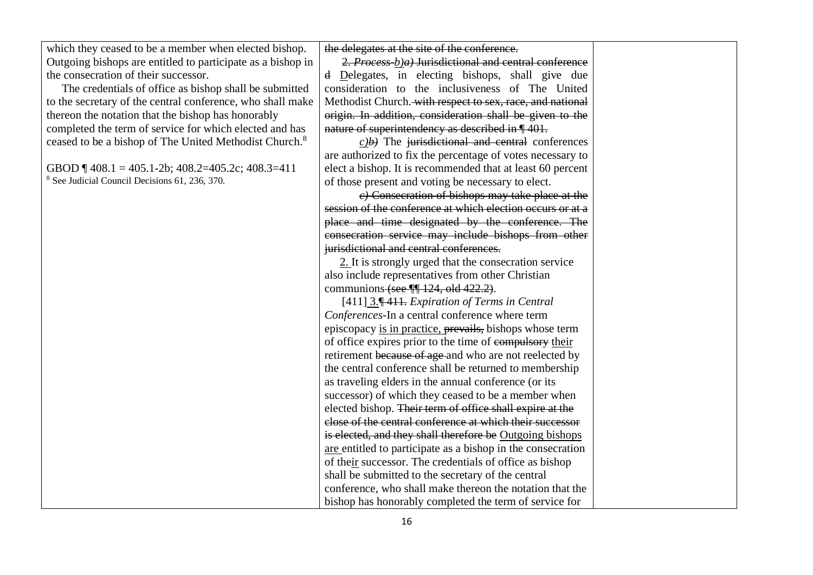which they ceased to be a member when elected bishop. Outgoing bishops are entitled to participate as a bishop in the consecration of their successor.

The credentials of office as bishop shall be submitted to the secretary of the central conference, who shall make thereon the notation that the bishop has honorably completed the term of service for which elected and has ceased to be a bishop of The United Methodist Church.<sup>8</sup>

GBOD  $\P$  408.1 = 405.1-2b; 408.2=405.2c; 408.3=411 <sup>8</sup> See Judicial Council Decisions 61, 236, 370.

the delegates at the site of the conference.

2. *Process*-*b)a)* Jurisdictional and central conference d Delegates, in electing bishops, shall give due consideration to the inclusiveness of The United Methodist Church. with respect to sex, race, and national origin. In addition, consideration shall be given to the nature of superintendency as described in  $\P$  401.

 $c$ ) $\theta$ ) The jurisdictional and central conferences are authorized to fix the percentage of votes necessary to elect a bishop. It is recommended that at least 60 percent of those present and voting be necessary to elect.

*c)* Consecration of bishops may take place at the session of the conference at which election occurs or at a place and time designated by the conference. The consecration service may include bishops from other jurisdictional and central conferences.

2. It is strongly urged that the consecration service also include representatives from other Christian communions (see ¶¶ 124, old 422.2).

[411] 3.¶ 411. *Expiration of Terms in Central Conferences*-In a central conference where term episcopacy is in practice, prevails, bishops whose term of office expires prior to the time of compulsory their retirement because of age and who are not reelected by the central conference shall be returned to membership as traveling elders in the annual conference (or its successor) of which they ceased to be a member when elected bishop. Their term of office shall expire at the close of the central conference at which their successor is elected, and they shall therefore be Outgoing bishops are entitled to participate as a bishop in the consecration of their successor. The credentials of office as bishop shall be submitted to the secretary of the central conference, who shall make thereon the notation that the bishop has honorably completed the term of service for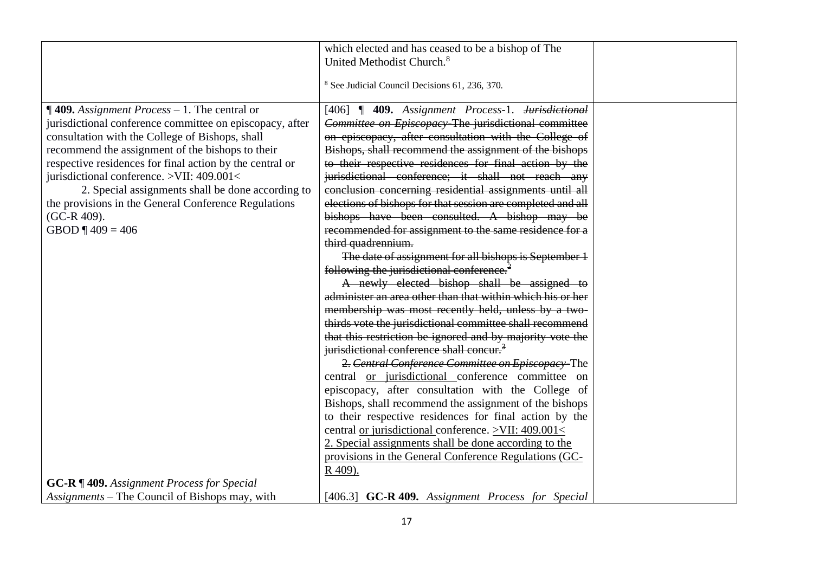|                                                                                                                                                                                                                                                                                                                                                                                                                                                                                                   | which elected and has ceased to be a bishop of The<br>United Methodist Church. <sup>8</sup>                                                                                                                                                                                                                                                                                                                                                                                                                                                                                                                                                                                                                                                                                                                                                                                                                                                                                                                                                                                                                                                                                                                                                                                                                                                                                                                                                                                                                                                                           |  |
|---------------------------------------------------------------------------------------------------------------------------------------------------------------------------------------------------------------------------------------------------------------------------------------------------------------------------------------------------------------------------------------------------------------------------------------------------------------------------------------------------|-----------------------------------------------------------------------------------------------------------------------------------------------------------------------------------------------------------------------------------------------------------------------------------------------------------------------------------------------------------------------------------------------------------------------------------------------------------------------------------------------------------------------------------------------------------------------------------------------------------------------------------------------------------------------------------------------------------------------------------------------------------------------------------------------------------------------------------------------------------------------------------------------------------------------------------------------------------------------------------------------------------------------------------------------------------------------------------------------------------------------------------------------------------------------------------------------------------------------------------------------------------------------------------------------------------------------------------------------------------------------------------------------------------------------------------------------------------------------------------------------------------------------------------------------------------------------|--|
|                                                                                                                                                                                                                                                                                                                                                                                                                                                                                                   | <sup>8</sup> See Judicial Council Decisions 61, 236, 370.                                                                                                                                                                                                                                                                                                                                                                                                                                                                                                                                                                                                                                                                                                                                                                                                                                                                                                                                                                                                                                                                                                                                                                                                                                                                                                                                                                                                                                                                                                             |  |
| <b><math>\P</math></b> 409. Assignment Process – 1. The central or<br>jurisdictional conference committee on episcopacy, after<br>consultation with the College of Bishops, shall<br>recommend the assignment of the bishops to their<br>respective residences for final action by the central or<br>jurisdictional conference. >VII: 409.001<<br>2. Special assignments shall be done according to<br>the provisions in the General Conference Regulations<br>(GC-R 409).<br>GBOD $\P$ 409 = 406 | [406] <b>[409.</b> Assignment Process-1. <del>Jurisdictional</del><br>Committee on Episcopacy-The jurisdictional committee<br>on episcopacy, after consultation with the College of<br>Bishops, shall recommend the assignment of the bishops<br>to their respective residences for final action by the<br>jurisdictional conference; it shall not reach any<br>conclusion concerning residential assignments until all<br>elections of bishops for that session are completed and all<br>bishops have been consulted. A bishop may be<br>recommended for assignment to the same residence for a<br>third quadrennium.<br>The date of assignment for all bishops is September 1<br>following the jurisdictional conference. <sup>2</sup><br>A newly elected bishop shall be assigned to<br>administer an area other than that within which his or her<br>membership was most recently held, unless by a two-<br>thirds vote the jurisdictional committee shall recommend<br>that this restriction be ignored and by majority vote the<br>jurisdictional conference shall concur. <sup>3</sup><br>2. Central Conference Committee on Episcopacy-The<br>central or jurisdictional conference committee on<br>episcopacy, after consultation with the College of<br>Bishops, shall recommend the assignment of the bishops<br>to their respective residences for final action by the<br>central <u>or jurisdictional</u> conference. $>$ VII: 409.001<<br>2. Special assignments shall be done according to the<br>provisions in the General Conference Regulations (GC- |  |
| <b>GC-R   409.</b> Assignment Process for Special<br>Assignments – The Council of Bishops may, with                                                                                                                                                                                                                                                                                                                                                                                               | $R$ 409).<br>[406.3] GC-R 409. Assignment Process for Special                                                                                                                                                                                                                                                                                                                                                                                                                                                                                                                                                                                                                                                                                                                                                                                                                                                                                                                                                                                                                                                                                                                                                                                                                                                                                                                                                                                                                                                                                                         |  |
|                                                                                                                                                                                                                                                                                                                                                                                                                                                                                                   |                                                                                                                                                                                                                                                                                                                                                                                                                                                                                                                                                                                                                                                                                                                                                                                                                                                                                                                                                                                                                                                                                                                                                                                                                                                                                                                                                                                                                                                                                                                                                                       |  |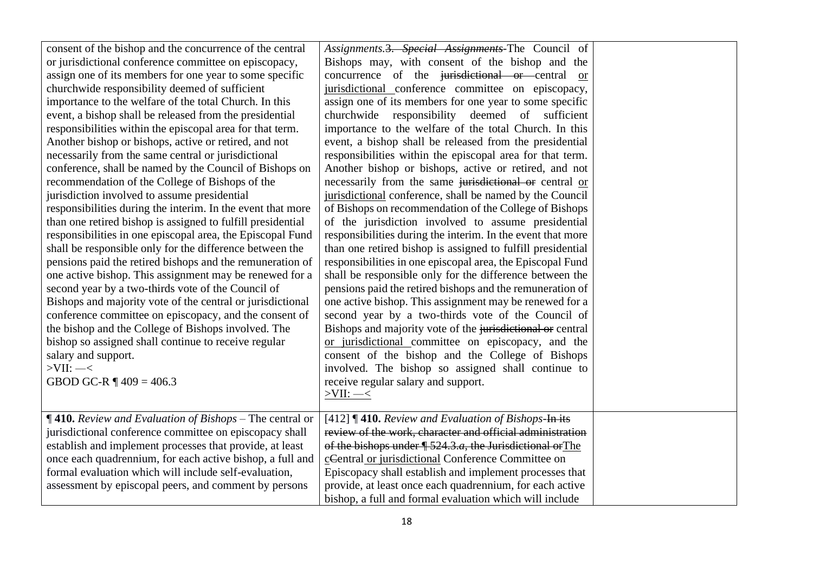| consent of the bishop and the concurrence of the central                     | Assignments.3. Special Assignments-The Council of            |  |
|------------------------------------------------------------------------------|--------------------------------------------------------------|--|
| or jurisdictional conference committee on episcopacy,                        | Bishops may, with consent of the bishop and the              |  |
| assign one of its members for one year to some specific                      | concurrence of the jurisdictional or central or              |  |
| churchwide responsibility deemed of sufficient                               | jurisdictional conference committee on episcopacy,           |  |
| importance to the welfare of the total Church. In this                       | assign one of its members for one year to some specific      |  |
| event, a bishop shall be released from the presidential                      | churchwide responsibility deemed of sufficient               |  |
| responsibilities within the episcopal area for that term.                    | importance to the welfare of the total Church. In this       |  |
| Another bishop or bishops, active or retired, and not                        | event, a bishop shall be released from the presidential      |  |
| necessarily from the same central or jurisdictional                          | responsibilities within the episcopal area for that term.    |  |
| conference, shall be named by the Council of Bishops on                      | Another bishop or bishops, active or retired, and not        |  |
| recommendation of the College of Bishops of the                              | necessarily from the same jurisdictional or central or       |  |
| jurisdiction involved to assume presidential                                 | jurisdictional conference, shall be named by the Council     |  |
| responsibilities during the interim. In the event that more                  | of Bishops on recommendation of the College of Bishops       |  |
| than one retired bishop is assigned to fulfill presidential                  | of the jurisdiction involved to assume presidential          |  |
| responsibilities in one episcopal area, the Episcopal Fund                   | responsibilities during the interim. In the event that more  |  |
| shall be responsible only for the difference between the                     | than one retired bishop is assigned to fulfill presidential  |  |
| pensions paid the retired bishops and the remuneration of                    | responsibilities in one episcopal area, the Episcopal Fund   |  |
| one active bishop. This assignment may be renewed for a                      | shall be responsible only for the difference between the     |  |
| second year by a two-thirds vote of the Council of                           | pensions paid the retired bishops and the remuneration of    |  |
| Bishops and majority vote of the central or jurisdictional                   | one active bishop. This assignment may be renewed for a      |  |
| conference committee on episcopacy, and the consent of                       | second year by a two-thirds vote of the Council of           |  |
| the bishop and the College of Bishops involved. The                          | Bishops and majority vote of the jurisdictional or central   |  |
| bishop so assigned shall continue to receive regular                         | or jurisdictional committee on episcopacy, and the           |  |
| salary and support.                                                          | consent of the bishop and the College of Bishops             |  |
| $>$ VII: $-$ <                                                               | involved. The bishop so assigned shall continue to           |  |
| GBOD GC-R $\P$ 409 = 406.3                                                   | receive regular salary and support.                          |  |
|                                                                              | $>$ VII: $-$                                                 |  |
|                                                                              |                                                              |  |
| <b><math>\P</math>410.</b> Review and Evaluation of Bishops – The central or | [412] $\P$ 410. Review and Evaluation of Bishops-In its      |  |
| jurisdictional conference committee on episcopacy shall                      | review of the work, character and official administration    |  |
| establish and implement processes that provide, at least                     | of the bishops under $\P$ 524.3.a, the Jurisdictional or The |  |
| once each quadrennium, for each active bishop, a full and                    | cCentral or jurisdictional Conference Committee on           |  |
| formal evaluation which will include self-evaluation,                        | Episcopacy shall establish and implement processes that      |  |
| assessment by episcopal peers, and comment by persons                        | provide, at least once each quadrennium, for each active     |  |
|                                                                              | bishop, a full and formal evaluation which will include      |  |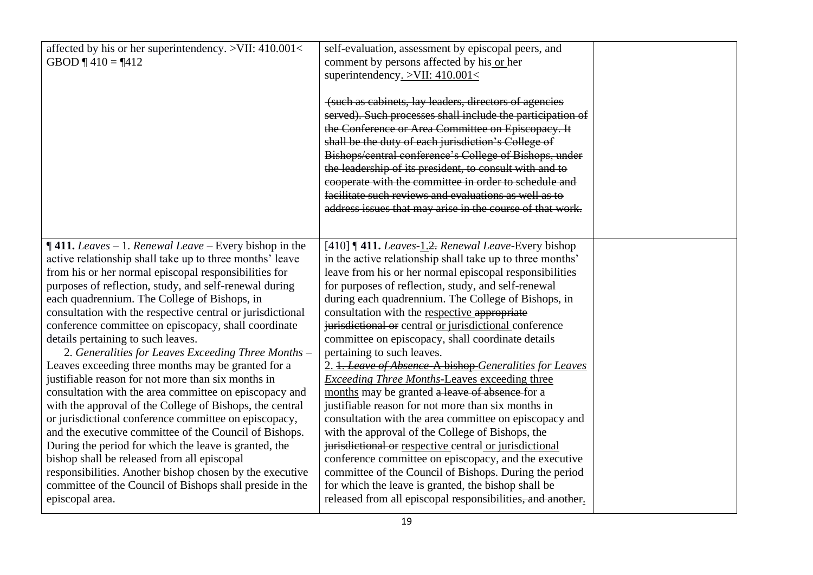| affected by his or her superintendency. >VII: 410.001<<br>GBOD $\P$ 410 = $\P$ 412                                                                                                                                                                                                                                                                                                                                                                                                                                                                                                                                                                                                                                                                                                                                                                                                                                                                                                                                                                                                                                                   | self-evaluation, assessment by episcopal peers, and<br>comment by persons affected by his or her<br>superintendency. >VII: $410.001<$<br>(such as cabinets, lay leaders, directors of agencies<br>served). Such processes shall include the participation of<br>the Conference or Area Committee on Episcopacy. It<br>shall be the duty of each jurisdiction's College of<br>Bishops/central conference's College of Bishops, under<br>the leadership of its president, to consult with and to<br>cooperate with the committee in order to schedule and<br>facilitate such reviews and evaluations as well as to<br>address issues that may arise in the course of that work.                                                                                                                                                                                                                                                                                                                                                                                                                                                        |  |
|--------------------------------------------------------------------------------------------------------------------------------------------------------------------------------------------------------------------------------------------------------------------------------------------------------------------------------------------------------------------------------------------------------------------------------------------------------------------------------------------------------------------------------------------------------------------------------------------------------------------------------------------------------------------------------------------------------------------------------------------------------------------------------------------------------------------------------------------------------------------------------------------------------------------------------------------------------------------------------------------------------------------------------------------------------------------------------------------------------------------------------------|--------------------------------------------------------------------------------------------------------------------------------------------------------------------------------------------------------------------------------------------------------------------------------------------------------------------------------------------------------------------------------------------------------------------------------------------------------------------------------------------------------------------------------------------------------------------------------------------------------------------------------------------------------------------------------------------------------------------------------------------------------------------------------------------------------------------------------------------------------------------------------------------------------------------------------------------------------------------------------------------------------------------------------------------------------------------------------------------------------------------------------------|--|
| <b><math>\P</math>411.</b> Leaves – 1. Renewal Leave – Every bishop in the<br>active relationship shall take up to three months' leave<br>from his or her normal episcopal responsibilities for<br>purposes of reflection, study, and self-renewal during<br>each quadrennium. The College of Bishops, in<br>consultation with the respective central or jurisdictional<br>conference committee on episcopacy, shall coordinate<br>details pertaining to such leaves.<br>2. Generalities for Leaves Exceeding Three Months -<br>Leaves exceeding three months may be granted for a<br>justifiable reason for not more than six months in<br>consultation with the area committee on episcopacy and<br>with the approval of the College of Bishops, the central<br>or jurisdictional conference committee on episcopacy,<br>and the executive committee of the Council of Bishops.<br>During the period for which the leave is granted, the<br>bishop shall be released from all episcopal<br>responsibilities. Another bishop chosen by the executive<br>committee of the Council of Bishops shall preside in the<br>episcopal area. | [410] $\P$ 411. Leaves-1.2. Renewal Leave-Every bishop<br>in the active relationship shall take up to three months'<br>leave from his or her normal episcopal responsibilities<br>for purposes of reflection, study, and self-renewal<br>during each quadrennium. The College of Bishops, in<br>consultation with the respective appropriate<br>jurisdictional or central or jurisdictional conference<br>committee on episcopacy, shall coordinate details<br>pertaining to such leaves.<br>2. 1. Leave of Absence-A bishop Generalities for Leaves<br><b>Exceeding Three Months-Leaves exceeding three</b><br>months may be granted a leave of absence for a<br>justifiable reason for not more than six months in<br>consultation with the area committee on episcopacy and<br>with the approval of the College of Bishops, the<br>jurisdictional or respective central or jurisdictional<br>conference committee on episcopacy, and the executive<br>committee of the Council of Bishops. During the period<br>for which the leave is granted, the bishop shall be<br>released from all episcopal responsibilities, and another. |  |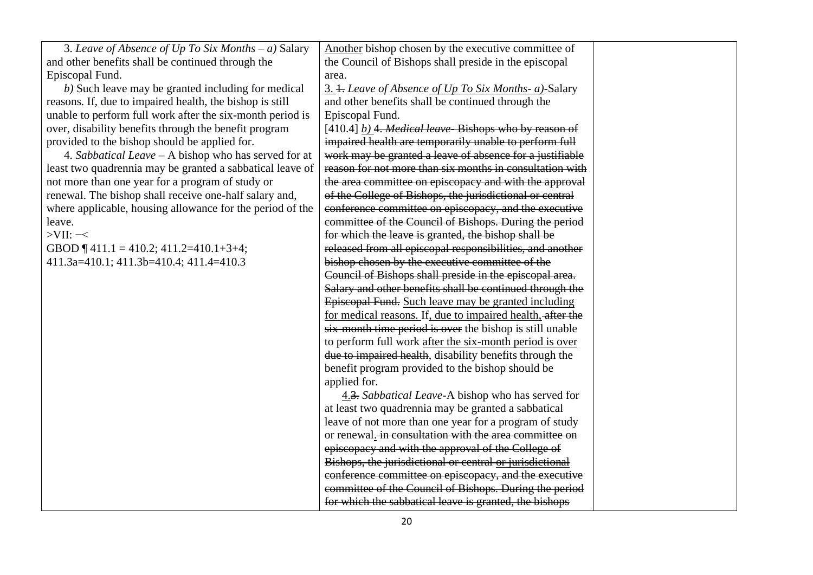| 3. Leave of Absence of Up To Six Months - a) Salary       | Another bishop chosen by the executive committee of        |  |
|-----------------------------------------------------------|------------------------------------------------------------|--|
| and other benefits shall be continued through the         | the Council of Bishops shall preside in the episcopal      |  |
| Episcopal Fund.                                           | area.                                                      |  |
| b) Such leave may be granted including for medical        | 3. + Leave of Absence of Up To Six Months- a)-Salary       |  |
| reasons. If, due to impaired health, the bishop is still  | and other benefits shall be continued through the          |  |
| unable to perform full work after the six-month period is | Episcopal Fund.                                            |  |
| over, disability benefits through the benefit program     | [410.4] b) 4. Medical leave-Bishops who by reason of       |  |
| provided to the bishop should be applied for.             | impaired health are temporarily unable to perform full     |  |
| 4. Sabbatical Leave $-$ A bishop who has served for at    | work may be granted a leave of absence for a justifiable   |  |
| least two quadrennia may be granted a sabbatical leave of | reason for not more than six months in consultation with   |  |
| not more than one year for a program of study or          | the area committee on episcopacy and with the approval     |  |
| renewal. The bishop shall receive one-half salary and,    | of the College of Bishops, the jurisdictional or central   |  |
| where applicable, housing allowance for the period of the | conference committee on episcopacy, and the executive      |  |
| leave.                                                    | committee of the Council of Bishops. During the period     |  |
| $>$ VII: $\prec$                                          | for which the leave is granted, the bishop shall be        |  |
| GBOD $\P$ 411.1 = 410.2; 411.2=410.1+3+4;                 | released from all episcopal responsibilities, and another  |  |
| 411.3a=410.1; 411.3b=410.4; 411.4=410.3                   | bishop chosen by the executive committee of the            |  |
|                                                           | Council of Bishops shall preside in the episcopal area.    |  |
|                                                           | Salary and other benefits shall be continued through the   |  |
|                                                           | Episcopal Fund. Such leave may be granted including        |  |
|                                                           | for medical reasons. If, due to impaired health, after the |  |
|                                                           | six-month time period is over the bishop is still unable   |  |
|                                                           | to perform full work after the six-month period is over    |  |
|                                                           | due to impaired health, disability benefits through the    |  |
|                                                           | benefit program provided to the bishop should be           |  |
|                                                           | applied for.                                               |  |
|                                                           | 4.3. Sabbatical Leave-A bishop who has served for          |  |
|                                                           | at least two quadrennia may be granted a sabbatical        |  |
|                                                           | leave of not more than one year for a program of study     |  |
|                                                           | or renewal. in consultation with the area committee on     |  |
|                                                           | episcopacy and with the approval of the College of         |  |
|                                                           | Bishops, the jurisdictional or central or jurisdictional   |  |
|                                                           | conference committee on episcopacy, and the executive      |  |
|                                                           | committee of the Council of Bishops. During the period     |  |
|                                                           | for which the sabbatical leave is granted, the bishops     |  |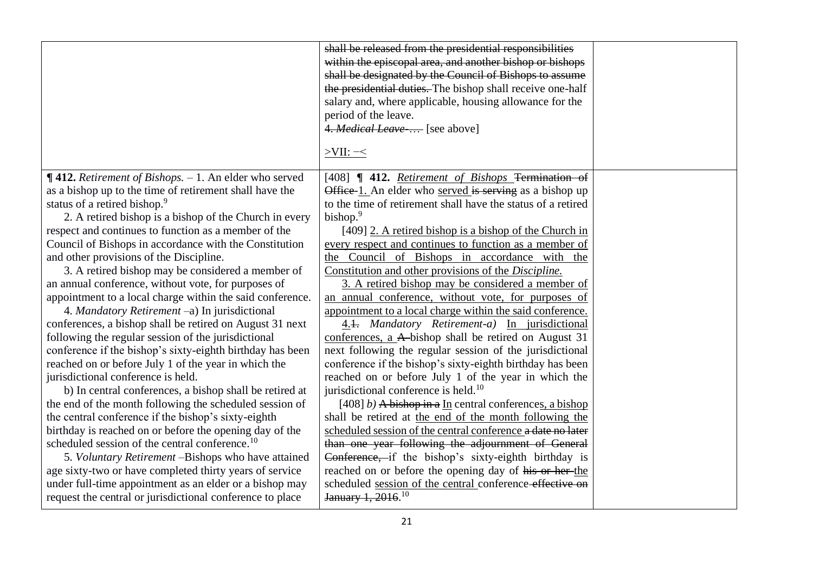|                                                                                                                                                                                                                                                                                                                                                                                                                                                                                                                                                                                                                                                                                                                                                                                                                                                                                                                                                                                                                                                                                                                                                                                                                                                                                                                                                                                                                                                                     | shall be released from the presidential responsibilities<br>within the episcopal area, and another bishop or bishops<br>shall be designated by the Council of Bishops to assume<br>the presidential duties. The bishop shall receive one-half<br>salary and, where applicable, housing allowance for the<br>period of the leave.<br>4. Medical Leave- [see above]<br>$>$ VII: $\leq$                                                                                                                                                                                                                                                                                                                                                                                                                                                                                                                                                                                                                                                                                                                                                                                                                                                                                                                                                                                                                                       |  |
|---------------------------------------------------------------------------------------------------------------------------------------------------------------------------------------------------------------------------------------------------------------------------------------------------------------------------------------------------------------------------------------------------------------------------------------------------------------------------------------------------------------------------------------------------------------------------------------------------------------------------------------------------------------------------------------------------------------------------------------------------------------------------------------------------------------------------------------------------------------------------------------------------------------------------------------------------------------------------------------------------------------------------------------------------------------------------------------------------------------------------------------------------------------------------------------------------------------------------------------------------------------------------------------------------------------------------------------------------------------------------------------------------------------------------------------------------------------------|----------------------------------------------------------------------------------------------------------------------------------------------------------------------------------------------------------------------------------------------------------------------------------------------------------------------------------------------------------------------------------------------------------------------------------------------------------------------------------------------------------------------------------------------------------------------------------------------------------------------------------------------------------------------------------------------------------------------------------------------------------------------------------------------------------------------------------------------------------------------------------------------------------------------------------------------------------------------------------------------------------------------------------------------------------------------------------------------------------------------------------------------------------------------------------------------------------------------------------------------------------------------------------------------------------------------------------------------------------------------------------------------------------------------------|--|
| <b><math>\P</math> 412.</b> Retirement of Bishops. $-1$ . An elder who served<br>as a bishop up to the time of retirement shall have the<br>status of a retired bishop. <sup>9</sup><br>2. A retired bishop is a bishop of the Church in every<br>respect and continues to function as a member of the<br>Council of Bishops in accordance with the Constitution<br>and other provisions of the Discipline.<br>3. A retired bishop may be considered a member of<br>an annual conference, without vote, for purposes of<br>appointment to a local charge within the said conference.<br>4. Mandatory Retirement -a) In jurisdictional<br>conferences, a bishop shall be retired on August 31 next<br>following the regular session of the jurisdictional<br>conference if the bishop's sixty-eighth birthday has been<br>reached on or before July 1 of the year in which the<br>jurisdictional conference is held.<br>b) In central conferences, a bishop shall be retired at<br>the end of the month following the scheduled session of<br>the central conference if the bishop's sixty-eighth<br>birthday is reached on or before the opening day of the<br>scheduled session of the central conference. <sup>10</sup><br>5. Voluntary Retirement – Bishops who have attained<br>age sixty-two or have completed thirty years of service<br>under full-time appointment as an elder or a bishop may<br>request the central or jurisdictional conference to place | [408] <b>[412.</b> Retirement of Bishops Termination of<br>Office-1. An elder who served is serving as a bishop up<br>to the time of retirement shall have the status of a retired<br>bishop. <sup>9</sup><br>[409] 2. A retired bishop is a bishop of the Church in<br>every respect and continues to function as a member of<br>the Council of Bishops in accordance with the<br>Constitution and other provisions of the Discipline.<br>3. A retired bishop may be considered a member of<br>an annual conference, without vote, for purposes of<br>appointment to a local charge within the said conference.<br>4.1. Mandatory Retirement-a) In jurisdictional<br>conferences, a A-bishop shall be retired on August 31<br>next following the regular session of the jurisdictional<br>conference if the bishop's sixty-eighth birthday has been<br>reached on or before July 1 of the year in which the<br>jurisdictional conference is held. <sup>10</sup><br>[408] b) A bishop in a In central conferences, a bishop<br>shall be retired at the end of the month following the<br>scheduled session of the central conference a date no later<br>than one year following the adjournment of General<br>Conference, if the bishop's sixty-eighth birthday is<br>reached on or before the opening day of his or her-the<br>scheduled session of the central conference-effective on<br>January 1, 2016. <sup>10</sup> |  |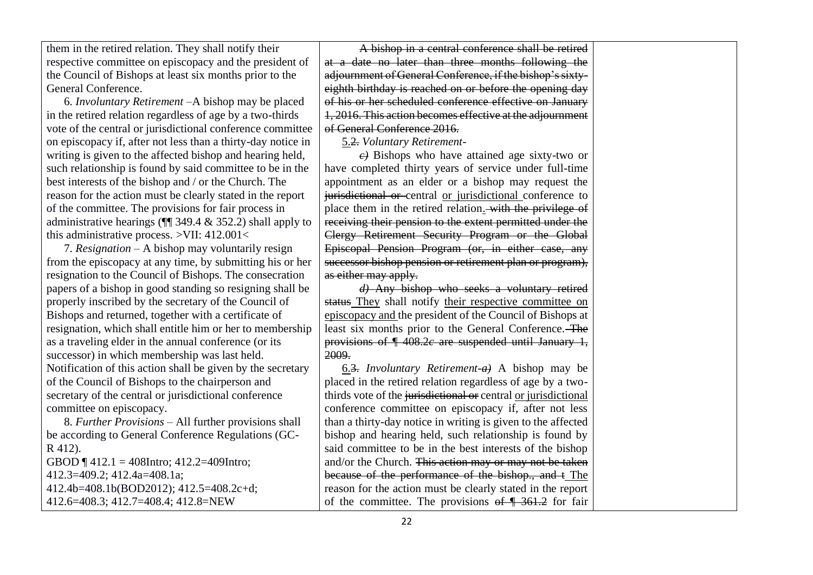them in the retired relation. They shall notify their respective committee on episcopacy and the president of the Council of Bishops at least six months prior to the General Conference.

6. *Involuntary Retirement* –A bishop may be placed in the retired relation regardless of age by a two-thirds vote of the central or jurisdictional conference committee on episcopacy if, after not less than a thirty-day notice in writing is given to the affected bishop and hearing held, such relationship is found by said committee to be in the best interests of the bishop and / or the Church. The reason for the action must be clearly stated in the report of the committee. The provisions for fair process in administrative hearings ( $\P$  349.4 & 352.2) shall apply to this administrative process. >VII: 412.001<

7. *Resignation* – A bishop may voluntarily resign from the episcopacy at any time, by submitting his or her resignation to the Council of Bishops. The consecration papers of a bishop in good standing so resigning shall be properly inscribed by the secretary of the Council of Bishops and returned, together with a certificate of resignation, which shall entitle him or her to membership as a traveling elder in the annual conference (or its successor) in which membership was last held. Notification of this action shall be given by the secretary of the Council of Bishops to the chairperson and secretary of the central or jurisdictional conference committee on episcopacy.

8. *Further Provisions* – All further provisions shall be according to General Conference Regulations (GC-R 412). GBOD  $\P$  412.1 = 408Intro; 412.2=409Intro; 412.3=409.2; 412.4a=408.1a; 412.4b=408.1b(BOD2012); 412.5=408.2c+d; 412.6=408.3; 412.7=408.4; 412.8=NEW

A bishop in a central conference shall be retired at a date no later than three months following the adjournment of General Conference, if the bishop's sixtyeighth birthday is reached on or before the opening day of his or her scheduled conference effective on January 1, 2016. This action becomes effective at the adjournment of General Conference 2016.

5.2. *Voluntary Retirement*-

*c)* Bishops who have attained age sixty-two or have completed thirty years of service under full-time appointment as an elder or a bishop may request the jurisdictional or central or jurisdictional conference to place them in the retired relation. with the privilege of receiving their pension to the extent permitted under the Clergy Retirement Security Program or the Global Episcopal Pension Program (or, in either case, any successor bishop pension or retirement plan or program), as either may apply.

*d)* Any bishop who seeks a voluntary retired status They shall notify their respective committee on episcopacy and the president of the Council of Bishops at least six months prior to the General Conference. The provisions of ¶ 408.2*c* are suspended until January 1, 2009.

6.3. *Involuntary Retirement*-*a)* A bishop may be placed in the retired relation regardless of age by a twothirds vote of the jurisdictional or central or jurisdictional conference committee on episcopacy if, after not less than a thirty-day notice in writing is given to the affected bishop and hearing held, such relationship is found by said committee to be in the best interests of the bishop and/or the Church. This action may or may not be taken because of the performance of the bishop., and t The reason for the action must be clearly stated in the report of the committee. The provisions  $\theta$   $\overline{ }$   $\overline{ }$  361.2 for fair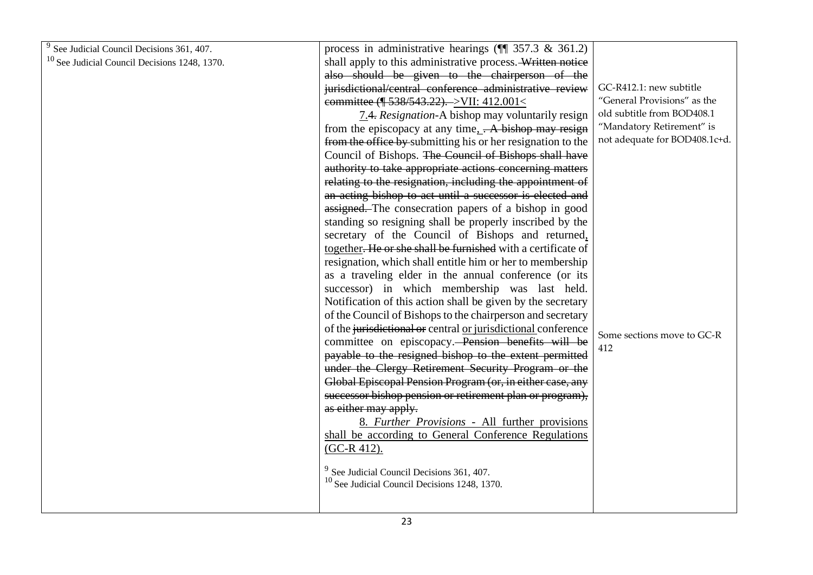| See Judicial Council Decisions 361, 407.        | process in administrative hearings $(\P\P$ 357.3 & 361.2)                                                  |                               |
|-------------------------------------------------|------------------------------------------------------------------------------------------------------------|-------------------------------|
| $10$ See Judicial Council Decisions 1248, 1370. | shall apply to this administrative process. Written notice                                                 |                               |
|                                                 | also should be given to the chairperson of the                                                             |                               |
|                                                 | jurisdictional/central conference administrative review                                                    | GC-R412.1: new subtitle       |
|                                                 | eommittee (¶ 538/543.22). > VII: 412.001<                                                                  | "General Provisions" as the   |
|                                                 | 7.4. Resignation-A bishop may voluntarily resign                                                           | old subtitle from BOD408.1    |
|                                                 | from the episcopacy at any time, $\frac{1}{1}$ . A bishop may resign                                       | "Mandatory Retirement" is     |
|                                                 | from the office by submitting his or her resignation to the                                                | not adequate for BOD408.1c+d. |
|                                                 | Council of Bishops. The Council of Bishops shall have                                                      |                               |
|                                                 | authority to take appropriate actions concerning matters                                                   |                               |
|                                                 | relating to the resignation, including the appointment of                                                  |                               |
|                                                 | an acting bishop to act until a successor is elected and                                                   |                               |
|                                                 | assigned. The consecration papers of a bishop in good                                                      |                               |
|                                                 | standing so resigning shall be properly inscribed by the                                                   |                               |
|                                                 | secretary of the Council of Bishops and returned,                                                          |                               |
|                                                 | together. He or she shall be furnished with a certificate of                                               |                               |
|                                                 | resignation, which shall entitle him or her to membership                                                  |                               |
|                                                 | as a traveling elder in the annual conference (or its                                                      |                               |
|                                                 | successor) in which membership was last held.                                                              |                               |
|                                                 | Notification of this action shall be given by the secretary                                                |                               |
|                                                 | of the Council of Bishops to the chairperson and secretary                                                 |                               |
|                                                 | of the jurisdictional or central or jurisdictional conference                                              | Some sections move to GC-R    |
|                                                 | committee on episcopacy. Pension benefits will be                                                          | 412                           |
|                                                 | payable to the resigned bishop to the extent permitted                                                     |                               |
|                                                 | under the Clergy Retirement Security Program or the                                                        |                               |
|                                                 | Global Episcopal Pension Program (or, in either case, any                                                  |                               |
|                                                 | successor bishop pension or retirement plan or program),                                                   |                               |
|                                                 | as either may apply.                                                                                       |                               |
|                                                 | 8. Further Provisions - All further provisions                                                             |                               |
|                                                 | shall be according to General Conference Regulations                                                       |                               |
|                                                 | $(GC-R 412)$ .                                                                                             |                               |
|                                                 |                                                                                                            |                               |
|                                                 | $9^9$ See Judicial Council Decisions 361, 407.<br><sup>10</sup> See Judicial Council Decisions 1248, 1370. |                               |
|                                                 |                                                                                                            |                               |
|                                                 |                                                                                                            |                               |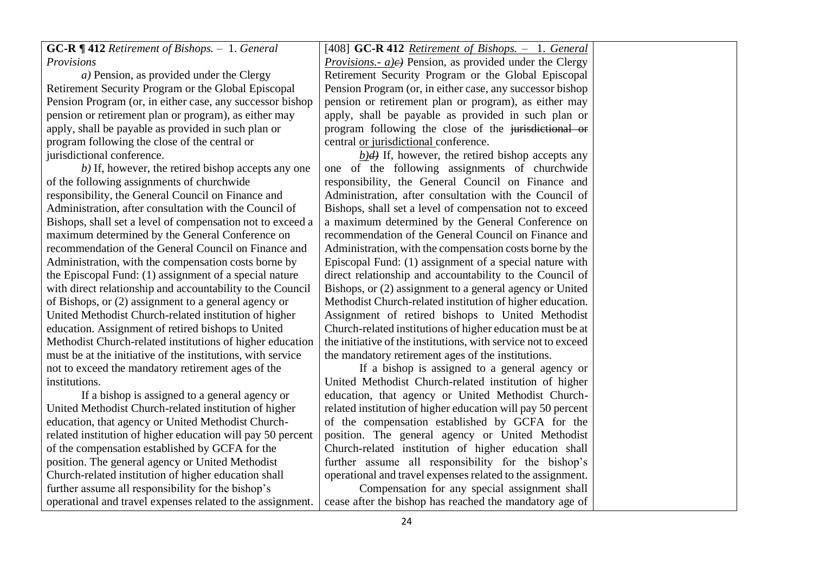| <b>GC-R <math>\P</math> 412</b> Retirement of Bishops. - 1. General |  |
|---------------------------------------------------------------------|--|
| <i>Provisions</i>                                                   |  |

*a)* Pension, as provided under the Clergy Retirement Security Program or the Global Episcopal Pension Program (or, in either case, any successor bishop pension or retirement plan or program), as either may apply, shall be payable as provided in such plan or program following the close of the central or jurisdictional conference.

*b)* If, however, the retired bishop accepts any one of the following assignments of churchwide responsibility, the General Council on Finance and Administration, after consultation with the Council of Bishops, shall set a level of compensation not to exceed a maximum determined by the General Conference on recommendation of the General Council on Finance and Administration, with the compensation costs borne by the Episcopal Fund: (1) assignment of a special nature with direct relationship and accountability to the Council of Bishops, or (2) assignment to a general agency or United Methodist Church-related institution of higher education. Assignment of retired bishops to United Methodist Church-related institutions of higher education must be at the initiative of the institutions, with service not to exceed the mandatory retirement ages of the institutions.

If a bishop is assigned to a general agency or United Methodist Church-related institution of higher education, that agency or United Methodist Churchrelated institution of higher education will pay 50 percent of the compensation established by GCFA for the position. The general agency or United Methodist Church-related institution of higher education shall further assume all responsibility for the bishop's operational and travel expenses related to the assignment.

[408] **GC-R 412** *Retirement of Bishops.* – 1. *General Provisions.-*  $a$ *)* $\leftrightarrow$  Pension, as provided under the Clergy Retirement Security Program or the Global Episcopal Pension Program (or, in either case, any successor bishop pension or retirement plan or program), as either may apply, shall be payable as provided in such plan or program following the close of the jurisdictional or central or jurisdictional conference.

*b)d*) If, however, the retired bishop accepts any one of the following assignments of churchwide responsibility, the General Council on Finance and Administration, after consultation with the Council of Bishops, shall set a level of compensation not to exceed a maximum determined by the General Conference on recommendation of the General Council on Finance and Administration, with the compensation costs borne by the Episcopal Fund: (1) assignment of a special nature with direct relationship and accountability to the Council of Bishops, or (2) assignment to a general agency or United Methodist Church-related institution of higher education. Assignment of retired bishops to United Methodist Church-related institutions of higher education must be at the initiative of the institutions, with service not to exceed the mandatory retirement ages of the institutions.

If a bishop is assigned to a general agency or United Methodist Church-related institution of higher education, that agency or United Methodist Churchrelated institution of higher education will pay 50 percent of the compensation established by GCFA for the position. The general agency or United Methodist Church-related institution of higher education shall further assume all responsibility for the bishop's operational and travel expenses related to the assignment.

Compensation for any special assignment shall cease after the bishop has reached the mandatory age of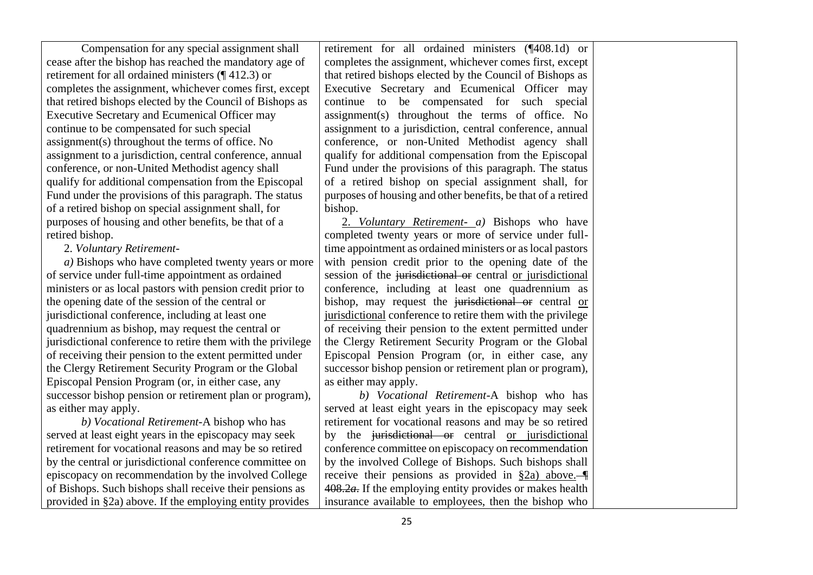Compensation for any special assignment shall cease after the bishop has reached the mandatory age of retirement for all ordained ministers (¶ 412.3) or completes the assignment, whichever comes first, except that retired bishops elected by the Council of Bishops as Executive Secretary and Ecumenical Officer may continue to be compensated for such special assignment(s) throughout the terms of office. No assignment to a jurisdiction, central conference, annual conference, or non-United Methodist agency shall qualify for additional compensation from the Episcopal Fund under the provisions of this paragraph. The status of a retired bishop on special assignment shall, for purposes of housing and other benefits, be that of a retired bishop.

2. *Voluntary Retirement*-

*a)* Bishops who have completed twenty years or more of service under full-time appointment as ordained ministers or as local pastors with pension credit prior to the opening date of the session of the central or jurisdictional conference, including at least one quadrennium as bishop, may request the central or jurisdictional conference to retire them with the privilege of receiving their pension to the extent permitted under the Clergy Retirement Security Program or the Global Episcopal Pension Program (or, in either case, any successor bishop pension or retirement plan or program), as either may apply.

*b) Vocational Retirement-*A bishop who has served at least eight years in the episcopacy may seek retirement for vocational reasons and may be so retired by the central or jurisdictional conference committee on episcopacy on recommendation by the involved College of Bishops. Such bishops shall receive their pensions as provided in §2a) above. If the employing entity provides retirement for all ordained ministers (¶408.1d) or completes the assignment, whichever comes first, except that retired bishops elected by the Council of Bishops as Executive Secretary and Ecumenical Officer may continue to be compensated for such special assignment(s) throughout the terms of office. No assignment to a jurisdiction, central conference, annual conference, or non-United Methodist agency shall qualify for additional compensation from the Episcopal Fund under the provisions of this paragraph. The status of a retired bishop on special assignment shall, for purposes of housing and other benefits, be that of a retired bishop.

2. *Voluntary Retirement- a)* Bishops who have completed twenty years or more of service under fulltime appointment as ordained ministers or as local pastors with pension credit prior to the opening date of the session of the jurisdictional or central or jurisdictional conference, including at least one quadrennium as bishop, may request the jurisdictional or central or jurisdictional conference to retire them with the privilege of receiving their pension to the extent permitted under the Clergy Retirement Security Program or the Global Episcopal Pension Program (or, in either case, any successor bishop pension or retirement plan or program), as either may apply.

*b) Vocational Retirement-*A bishop who has served at least eight years in the episcopacy may seek retirement for vocational reasons and may be so retired by the jurisdictional or central or jurisdictional conference committee on episcopacy on recommendation by the involved College of Bishops. Such bishops shall receive their pensions as provided in  $\S$ 2a) above. 408.2*a*. If the employing entity provides or makes health insurance available to employees, then the bishop who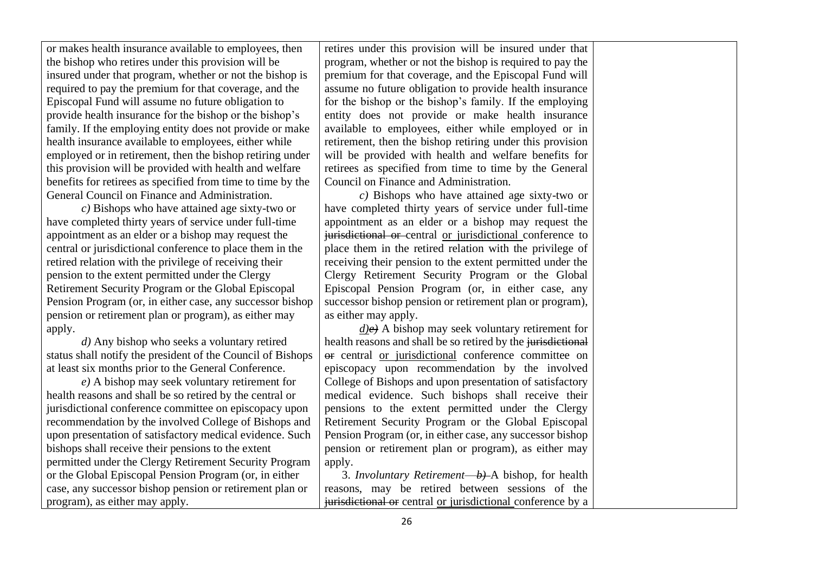or makes health insurance available to employees, then the bishop who retires under this provision will be insured under that program, whether or not the bishop is required to pay the premium for that coverage, and the Episcopal Fund will assume no future obligation to provide health insurance for the bishop or the bishop's family. If the employing entity does not provide or make health insurance available to employees, either while employed or in retirement, then the bishop retiring under this provision will be provided with health and welfare benefits for retirees as specified from time to time by the General Council on Finance and Administration.

*c)* Bishops who have attained age sixty-two or have completed thirty years of service under full-time appointment as an elder or a bishop may request the central or jurisdictional conference to place them in the retired relation with the privilege of receiving their pension to the extent permitted under the Clergy Retirement Security Program or the Global Episcopal Pension Program (or, in either case, any successor bishop pension or retirement plan or program), as either may apply.

*d)* Any bishop who seeks a voluntary retired status shall notify the president of the Council of Bishops at least six months prior to the General Conference.

*e)* A bishop may seek voluntary retirement for health reasons and shall be so retired by the central or jurisdictional conference committee on episcopacy upon recommendation by the involved College of Bishops and upon presentation of satisfactory medical evidence. Such bishops shall receive their pensions to the extent permitted under the Clergy Retirement Security Program or the Global Episcopal Pension Program (or, in either case, any successor bishop pension or retirement plan or program), as either may apply.

retires under this provision will be insured under that program, whether or not the bishop is required to pay the premium for that coverage, and the Episcopal Fund will assume no future obligation to provide health insurance for the bishop or the bishop's family. If the employing entity does not provide or make health insurance available to employees, either while employed or in retirement, then the bishop retiring under this provision will be provided with health and welfare benefits for retirees as specified from time to time by the General Council on Finance and Administration.

*c)* Bishops who have attained age sixty-two or have completed thirty years of service under full-time appointment as an elder or a bishop may request the jurisdictional or central or jurisdictional conference to place them in the retired relation with the privilege of receiving their pension to the extent permitted under the Clergy Retirement Security Program or the Global Episcopal Pension Program (or, in either case, any successor bishop pension or retirement plan or program), as either may apply.

*d)e)* A bishop may seek voluntary retirement for health reasons and shall be so retired by the jurisdictional or central or jurisdictional conference committee on episcopacy upon recommendation by the involved College of Bishops and upon presentation of satisfactory medical evidence. Such bishops shall receive their pensions to the extent permitted under the Clergy Retirement Security Program or the Global Episcopal Pension Program (or, in either case, any successor bishop pension or retirement plan or program), as either may apply.

3. *Involuntary Retirement*—*b)* A bishop, for health reasons, may be retired between sessions of the jurisdictional or central or jurisdictional conference by a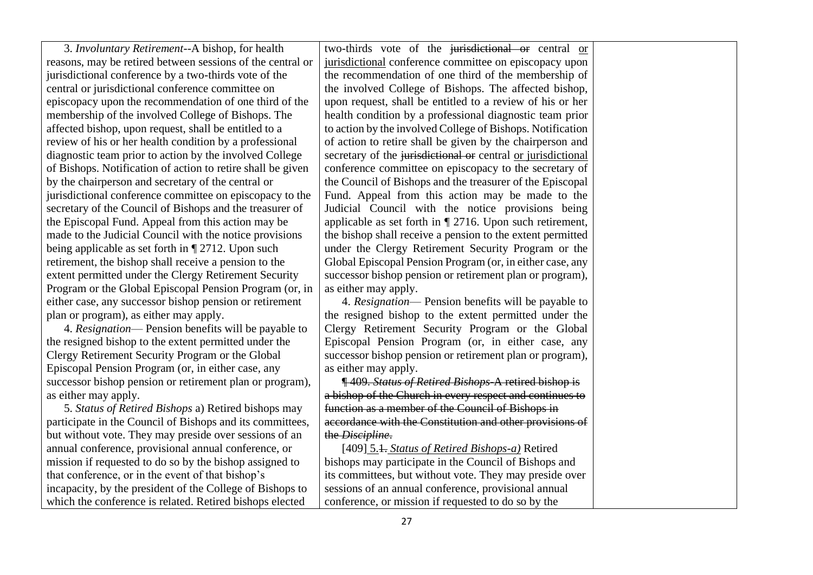3. *Involuntary Retirement*--A bishop, for health reasons, may be retired between sessions of the central or jurisdictional conference by a two-thirds vote of the central or jurisdictional conference committee on episcopacy upon the recommendation of one third of the membership of the involved College of Bishops. The affected bishop, upon request, shall be entitled to a review of his or her health condition by a professional diagnostic team prior to action by the involved College of Bishops. Notification of action to retire shall be given by the chairperson and secretary of the central or jurisdictional conference committee on episcopacy to the secretary of the Council of Bishops and the treasurer of the Episcopal Fund. Appeal from this action may be made to the Judicial Council with the notice provisions being applicable as set forth in ¶ 2712. Upon such retirement, the bishop shall receive a pension to the extent permitted under the Clergy Retirement Security Program or the Global Episcopal Pension Program (or, in either case, any successor bishop pension or retirement plan or program), as either may apply.

4. *Resignation*— Pension benefits will be payable to the resigned bishop to the extent permitted under the Clergy Retirement Security Program or the Global Episcopal Pension Program (or, in either case, any successor bishop pension or retirement plan or program), as either may apply.

5. *Status of Retired Bishops* a) Retired bishops may participate in the Council of Bishops and its committees, but without vote. They may preside over sessions of an annual conference, provisional annual conference, or mission if requested to do so by the bishop assigned to that conference, or in the event of that bishop's incapacity, by the president of the College of Bishops to which the conference is related. Retired bishops elected

two-thirds vote of the jurisdictional or central or jurisdictional conference committee on episcopacy upon the recommendation of one third of the membership of the involved College of Bishops. The affected bishop, upon request, shall be entitled to a review of his or her health condition by a professional diagnostic team prior to action by the involved College of Bishops. Notification of action to retire shall be given by the chairperson and secretary of the <del>jurisdictional or</del> central or jurisdictional conference committee on episcopacy to the secretary of the Council of Bishops and the treasurer of the Episcopal Fund. Appeal from this action may be made to the Judicial Council with the notice provisions being applicable as set forth in ¶ 2716. Upon such retirement, the bishop shall receive a pension to the extent permitted under the Clergy Retirement Security Program or the Global Episcopal Pension Program (or, in either case, any successor bishop pension or retirement plan or program), as either may apply.

4. *Resignation*— Pension benefits will be payable to the resigned bishop to the extent permitted under the Clergy Retirement Security Program or the Global Episcopal Pension Program (or, in either case, any successor bishop pension or retirement plan or program), as either may apply.

¶ 409. *Status of Retired Bishops*-A retired bishop is a bishop of the Church in every respect and continues to function as a member of the Council of Bishops in accordance with the Constitution and other provisions of the *Discipline*.

[409] 5.1. *Status of Retired Bishops-a)* Retired bishops may participate in the Council of Bishops and its committees, but without vote. They may preside over sessions of an annual conference, provisional annual conference, or mission if requested to do so by the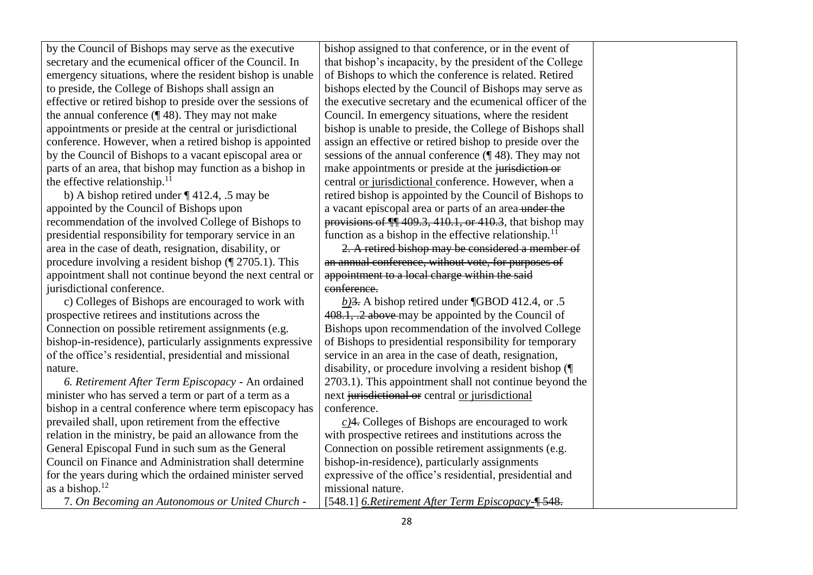by the Council of Bishops may serve as the executive secretary and the ecumenical officer of the Council. In emergency situations, where the resident bishop is unable to preside, the College of Bishops shall assign an effective or retired bishop to preside over the sessions of the annual conference (¶ 48). They may not make appointments or preside at the central or jurisdictional conference. However, when a retired bishop is appointed by the Council of Bishops to a vacant episcopal area or parts of an area, that bishop may function as a bishop in the effective relationship. $11$ 

b) A bishop retired under ¶ 412.4, .5 may be appointed by the Council of Bishops upon recommendation of the involved College of Bishops to presidential responsibility for temporary service in an area in the case of death, resignation, disability, or procedure involving a resident bishop (¶ 2705.1). This appointment shall not continue beyond the next central or jurisdictional conference.

c) Colleges of Bishops are encouraged to work with prospective retirees and institutions across the Connection on possible retirement assignments (e.g. bishop-in-residence), particularly assignments expressive of the office's residential, presidential and missional nature.

*6. Retirement After Term Episcopacy -* An ordained minister who has served a term or part of a term as a bishop in a central conference where term episcopacy has prevailed shall, upon retirement from the effective relation in the ministry, be paid an allowance from the General Episcopal Fund in such sum as the General Council on Finance and Administration shall determine for the years during which the ordained minister served as a bishop. $^{12}$ 

7. *On Becoming an Autonomous or United Church -*

bishop assigned to that conference, or in the event of that bishop's incapacity, by the president of the College of Bishops to which the conference is related. Retired bishops elected by the Council of Bishops may serve as the executive secretary and the ecumenical officer of the Council. In emergency situations, where the resident bishop is unable to preside, the College of Bishops shall assign an effective or retired bishop to preside over the sessions of the annual conference (¶ 48). They may not make appointments or preside at the jurisdiction or central or jurisdictional conference. However, when a retired bishop is appointed by the Council of Bishops to a vacant episcopal area or parts of an area under the provisions of  $\P$  $\overline{\phantom{0}}$  409.3, 410.1, or 410.3, that bishop may function as a bishop in the effective relationship.<sup>11</sup>

2. A retired bishop may be considered a member of an annual conference, without vote, for purposes of appointment to a local charge within the said conference.

*b)*3. A bishop retired under ¶GBOD 412.4, or .5 408.1, .2 above may be appointed by the Council of Bishops upon recommendation of the involved College of Bishops to presidential responsibility for temporary service in an area in the case of death, resignation, disability, or procedure involving a resident bishop (¶ 2703.1). This appointment shall not continue beyond the next jurisdictional or central or jurisdictional conference.

*c)*4. Colleges of Bishops are encouraged to work with prospective retirees and institutions across the Connection on possible retirement assignments (e.g. bishop-in-residence), particularly assignments expressive of the office's residential, presidential and missional nature. [548.1] *6.Retirement After Term Episcopacy-*¶ 548.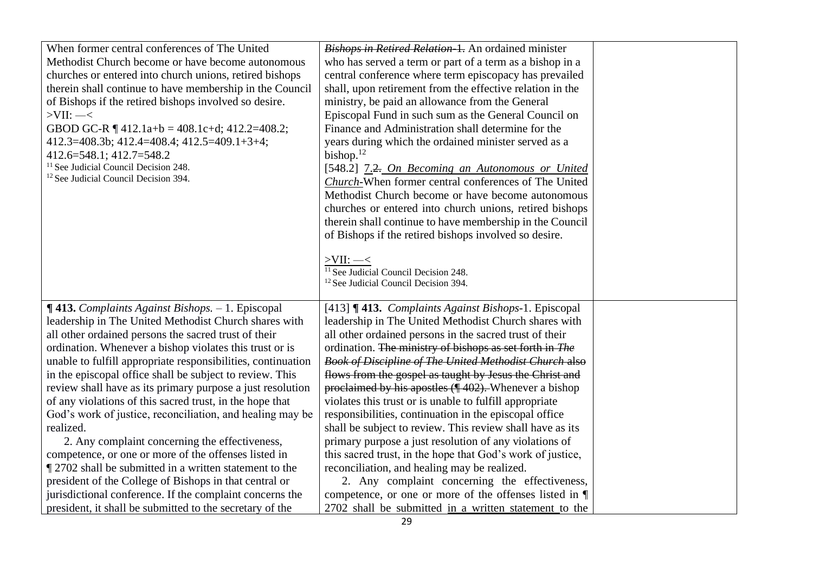| When former central conferences of The United<br>Methodist Church become or have become autonomous<br>churches or entered into church unions, retired bishops<br>therein shall continue to have membership in the Council<br>of Bishops if the retired bishops involved so desire.<br>$>$ VII: $-$ <<br>GBOD GC-R $\P$ 412.1a+b = 408.1c+d; 412.2=408.2;<br>$412.3 \text{=} 408.3$ b; $412.4 \text{=} 408.4$ ; $412.5 \text{=} 409.1 \text{+} 3 \text{+} 4$ ;<br>412.6=548.1; 412.7=548.2<br><sup>11</sup> See Judicial Council Decision 248.<br><sup>12</sup> See Judicial Council Decision 394.                                                                                                                                                                                                                                                                                                                                           | <b>Bishops in Retired Relation-1.</b> An ordained minister<br>who has served a term or part of a term as a bishop in a<br>central conference where term episcopacy has prevailed<br>shall, upon retirement from the effective relation in the<br>ministry, be paid an allowance from the General<br>Episcopal Fund in such sum as the General Council on<br>Finance and Administration shall determine for the<br>years during which the ordained minister served as a<br>bishop. $^{12}$<br>[548.2] 7.2. On Becoming an Autonomous or United<br>Church-When former central conferences of The United<br>Methodist Church become or have become autonomous<br>churches or entered into church unions, retired bishops<br>therein shall continue to have membership in the Council<br>of Bishops if the retired bishops involved so desire.<br>$>$ VII: $-$<br>$\frac{11}{11}$ See Judicial Council Decision 248.<br><sup>12</sup> See Judicial Council Decision 394.         |  |
|---------------------------------------------------------------------------------------------------------------------------------------------------------------------------------------------------------------------------------------------------------------------------------------------------------------------------------------------------------------------------------------------------------------------------------------------------------------------------------------------------------------------------------------------------------------------------------------------------------------------------------------------------------------------------------------------------------------------------------------------------------------------------------------------------------------------------------------------------------------------------------------------------------------------------------------------|------------------------------------------------------------------------------------------------------------------------------------------------------------------------------------------------------------------------------------------------------------------------------------------------------------------------------------------------------------------------------------------------------------------------------------------------------------------------------------------------------------------------------------------------------------------------------------------------------------------------------------------------------------------------------------------------------------------------------------------------------------------------------------------------------------------------------------------------------------------------------------------------------------------------------------------------------------------------------|--|
| <b><math>\P</math> 413.</b> Complaints Against Bishops. $-1$ . Episcopal<br>leadership in The United Methodist Church shares with<br>all other ordained persons the sacred trust of their<br>ordination. Whenever a bishop violates this trust or is<br>unable to fulfill appropriate responsibilities, continuation<br>in the episcopal office shall be subject to review. This<br>review shall have as its primary purpose a just resolution<br>of any violations of this sacred trust, in the hope that<br>God's work of justice, reconciliation, and healing may be<br>realized.<br>2. Any complaint concerning the effectiveness,<br>competence, or one or more of the offenses listed in<br>¶ 2702 shall be submitted in a written statement to the<br>president of the College of Bishops in that central or<br>jurisdictional conference. If the complaint concerns the<br>president, it shall be submitted to the secretary of the | [413] ¶ 413. Complaints Against Bishops-1. Episcopal<br>leadership in The United Methodist Church shares with<br>all other ordained persons in the sacred trust of their<br>ordination. The ministry of bishops as set forth in The<br><b>Book of Discipline of The United Methodist Church also</b><br>flows from the gospel as taught by Jesus the Christ and<br>proclaimed by his apostles $(\sqrt{\frac{402}{1}})$ . Whenever a bishop<br>violates this trust or is unable to fulfill appropriate<br>responsibilities, continuation in the episcopal office<br>shall be subject to review. This review shall have as its<br>primary purpose a just resolution of any violations of<br>this sacred trust, in the hope that God's work of justice,<br>reconciliation, and healing may be realized.<br>2. Any complaint concerning the effectiveness,<br>competence, or one or more of the offenses listed in $\P$<br>2702 shall be submitted in a written statement to the |  |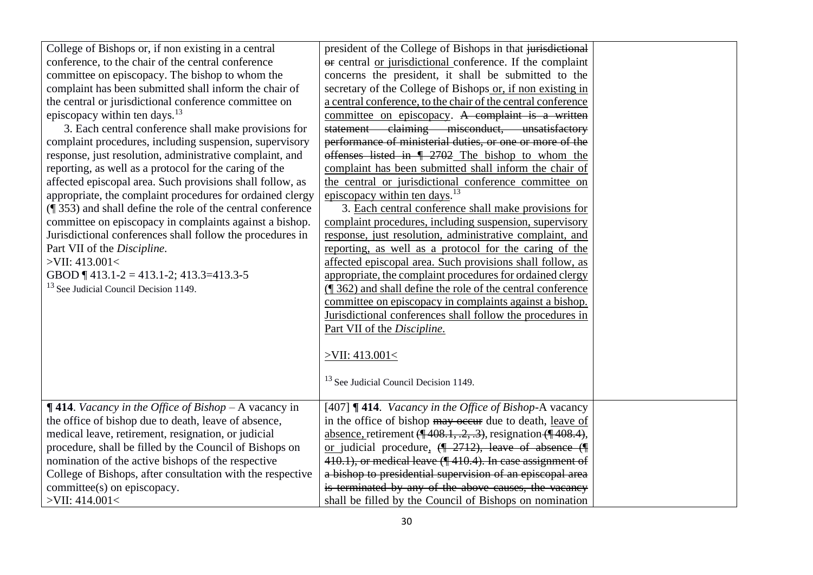| College of Bishops or, if non existing in a central                        | president of the College of Bishops in that jurisdictional                    |  |
|----------------------------------------------------------------------------|-------------------------------------------------------------------------------|--|
| conference, to the chair of the central conference                         | or central or jurisdictional conference. If the complaint                     |  |
| committee on episcopacy. The bishop to whom the                            | concerns the president, it shall be submitted to the                          |  |
| complaint has been submitted shall inform the chair of                     | secretary of the College of Bishops or, if non existing in                    |  |
| the central or jurisdictional conference committee on                      | a central conference, to the chair of the central conference                  |  |
| episcopacy within ten days. $13$                                           | committee on episcopacy. A complaint is a written                             |  |
| 3. Each central conference shall make provisions for                       | statement claiming misconduct, unsatisfactory                                 |  |
| complaint procedures, including suspension, supervisory                    | performance of ministerial duties, or one or more of the                      |  |
| response, just resolution, administrative complaint, and                   | offenses listed in $\sqrt{2702}$ The bishop to whom the                       |  |
| reporting, as well as a protocol for the caring of the                     | complaint has been submitted shall inform the chair of                        |  |
| affected episcopal area. Such provisions shall follow, as                  | the central or jurisdictional conference committee on                         |  |
| appropriate, the complaint procedures for ordained clergy                  | episcopacy within ten days. <sup>13</sup>                                     |  |
| $(\P 353)$ and shall define the role of the central conference             | 3. Each central conference shall make provisions for                          |  |
| committee on episcopacy in complaints against a bishop.                    | complaint procedures, including suspension, supervisory                       |  |
| Jurisdictional conferences shall follow the procedures in                  | response, just resolution, administrative complaint, and                      |  |
| Part VII of the Discipline.                                                | reporting, as well as a protocol for the caring of the                        |  |
| $>$ VII: 413.001<                                                          | affected episcopal area. Such provisions shall follow, as                     |  |
| GBOD $\P$ 413.1-2 = 413.1-2; 413.3=413.3-5                                 | appropriate, the complaint procedures for ordained clergy                     |  |
| <sup>13</sup> See Judicial Council Decision 1149.                          | $(\P 362)$ and shall define the role of the central conference                |  |
|                                                                            | committee on episcopacy in complaints against a bishop.                       |  |
|                                                                            | Jurisdictional conferences shall follow the procedures in                     |  |
|                                                                            | Part VII of the Discipline.                                                   |  |
|                                                                            |                                                                               |  |
|                                                                            | $>$ VII: 413.001<                                                             |  |
|                                                                            |                                                                               |  |
|                                                                            | <sup>13</sup> See Judicial Council Decision 1149.                             |  |
|                                                                            |                                                                               |  |
| <b><math>\P</math> 414.</b> Vacancy in the Office of Bishop – A vacancy in | [407] ¶ 414. <i>Vacancy in the Office of Bishop-A vacancy</i>                 |  |
| the office of bishop due to death, leave of absence,                       | in the office of bishop may occur due to death, leave of                      |  |
| medical leave, retirement, resignation, or judicial                        | absence, retirement $(\sqrt{408.1, .2, .3})$ , resignation $(\sqrt{408.4})$ , |  |
| procedure, shall be filled by the Council of Bishops on                    | or judicial procedure, $(\sqrt{2712})$ , leave of absence $(\sqrt{2712})$     |  |
| nomination of the active bishops of the respective                         | 410.1), or medical leave (¶410.4). In case assignment of                      |  |
| College of Bishops, after consultation with the respective                 | a bishop to presidential supervision of an episcopal area                     |  |
| committee(s) on episcopacy.                                                | is terminated by any of the above causes, the vacancy                         |  |
| $>$ VII: 414.001<                                                          | shall be filled by the Council of Bishops on nomination                       |  |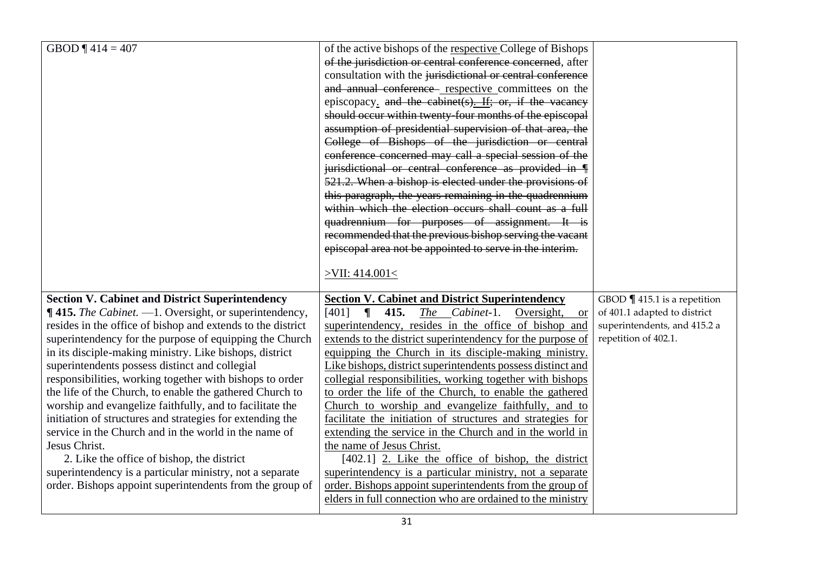| GBOD $\P$ 414 = 407                                         | of the active bishops of the respective College of Bishops                                                             |                                 |
|-------------------------------------------------------------|------------------------------------------------------------------------------------------------------------------------|---------------------------------|
|                                                             | of the jurisdiction or central conference concerned, after                                                             |                                 |
|                                                             | consultation with the jurisdictional or central conference                                                             |                                 |
|                                                             | and annual conference respective committees on the                                                                     |                                 |
|                                                             | episcopacy. and the cabinet(s). If; or, if the vacancy                                                                 |                                 |
|                                                             | should occur within twenty-four months of the episcopal                                                                |                                 |
|                                                             | assumption of presidential supervision of that area, the                                                               |                                 |
|                                                             | College of Bishops of the jurisdiction or central                                                                      |                                 |
|                                                             | conference concerned may call a special session of the                                                                 |                                 |
|                                                             | jurisdictional or central conference as provided in <i>[4]</i>                                                         |                                 |
|                                                             | 521.2. When a bishop is elected under the provisions of                                                                |                                 |
|                                                             | this paragraph, the years remaining in the quadrennium                                                                 |                                 |
|                                                             | within which the election occurs shall count as a full                                                                 |                                 |
|                                                             | quadrennium for purposes of assignment. It is                                                                          |                                 |
|                                                             | recommended that the previous bishop serving the vacant                                                                |                                 |
|                                                             | episcopal area not be appointed to serve in the interim.                                                               |                                 |
|                                                             |                                                                                                                        |                                 |
|                                                             | $>$ VII: 414.001<                                                                                                      |                                 |
|                                                             |                                                                                                                        |                                 |
| <b>Section V. Cabinet and District Superintendency</b>      | <b>Section V. Cabinet and District Superintendency</b>                                                                 | GBOD $\P$ 415.1 is a repetition |
| ¶ 415. The Cabinet. -1. Oversight, or superintendency,      | 415.<br>Cabinet-1.<br>[401]<br>$\blacksquare$<br><i>The</i><br>Oversight,<br><b>or</b>                                 | of 401.1 adapted to district    |
| resides in the office of bishop and extends to the district | superintendency, resides in the office of bishop and                                                                   | superintendents, and 415.2 a    |
| superintendency for the purpose of equipping the Church     | extends to the district superintendency for the purpose of                                                             | repetition of 402.1.            |
| in its disciple-making ministry. Like bishops, district     |                                                                                                                        |                                 |
|                                                             | equipping the Church in its disciple-making ministry.                                                                  |                                 |
| superintendents possess distinct and collegial              | Like bishops, district superintendents possess distinct and                                                            |                                 |
| responsibilities, working together with bishops to order    | collegial responsibilities, working together with bishops                                                              |                                 |
| the life of the Church, to enable the gathered Church to    | to order the life of the Church, to enable the gathered                                                                |                                 |
| worship and evangelize faithfully, and to facilitate the    | Church to worship and evangelize faithfully, and to                                                                    |                                 |
| initiation of structures and strategies for extending the   | facilitate the initiation of structures and strategies for                                                             |                                 |
| service in the Church and in the world in the name of       | extending the service in the Church and in the world in                                                                |                                 |
| Jesus Christ.                                               | the name of Jesus Christ.                                                                                              |                                 |
| 2. Like the office of bishop, the district                  | $[402.1]$ 2. Like the office of bishop, the district                                                                   |                                 |
| superintendency is a particular ministry, not a separate    | superintendency is a particular ministry, not a separate                                                               |                                 |
| order. Bishops appoint superintendents from the group of    | order. Bishops appoint superintendents from the group of<br>elders in full connection who are ordained to the ministry |                                 |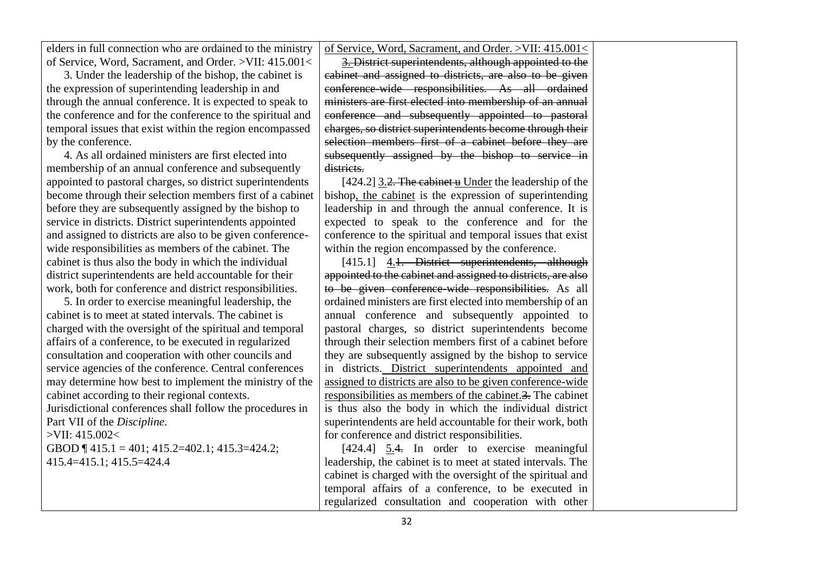elders in full connection who are ordained to the ministry of Service, Word, Sacrament, and Order. >VII: 415.001<

3. Under the leadership of the bishop, the cabinet is the expression of superintending leadership in and through the annual conference. It is expected to speak to the conference and for the conference to the spiritual and temporal issues that exist within the region encompassed by the conference.

4. As all ordained ministers are first elected into membership of an annual conference and subsequently appointed to pastoral charges, so district superintendents become through their selection members first of a cabinet before they are subsequently assigned by the bishop to service in districts. District superintendents appointed and assigned to districts are also to be given conferencewide responsibilities as members of the cabinet. The cabinet is thus also the body in which the individual district superintendents are held accountable for their work, both for conference and district responsibilities.

5. In order to exercise meaningful leadership, the cabinet is to meet at stated intervals. The cabinet is charged with the oversight of the spiritual and temporal affairs of a conference, to be executed in regularized consultation and cooperation with other councils and service agencies of the conference. Central conferences may determine how best to implement the ministry of the cabinet according to their regional contexts. Jurisdictional conferences shall follow the procedures in Part VII of the *Discipline.* >VII: 415.002< GBOD ¶ 415.1 = 401; 415.2=402.1; 415.3=424.2; 415.4=415.1; 415.5=424.4

of Service, Word, Sacrament, and Order. >VII: 415.001<

3. District superintendents, although appointed to the cabinet and assigned to districts, are also to be given conference-wide responsibilities. As all ordained ministers are first elected into membership of an annual conference and subsequently appointed to pastoral charges, so district superintendents become through their selection members first of a cabinet before they are subsequently assigned by the bishop to service in districts.

[424.2] 3.2. The cabinet u Under the leadership of the bishop, the cabinet is the expression of superintending leadership in and through the annual conference. It is expected to speak to the conference and for the conference to the spiritual and temporal issues that exist within the region encompassed by the conference.

[415.1] 4.1. District superintendents, although appointed to the cabinet and assigned to districts, are also to be given conference-wide responsibilities. As all ordained ministers are first elected into membership of an annual conference and subsequently appointed to pastoral charges, so district superintendents become through their selection members first of a cabinet before they are subsequently assigned by the bishop to service in districts. District superintendents appointed and assigned to districts are also to be given conference-wide responsibilities as members of the cabinet. 3. The cabinet is thus also the body in which the individual district superintendents are held accountable for their work, both for conference and district responsibilities.

[424.4] 5.4. In order to exercise meaningful leadership, the cabinet is to meet at stated intervals. The cabinet is charged with the oversight of the spiritual and temporal affairs of a conference, to be executed in regularized consultation and cooperation with other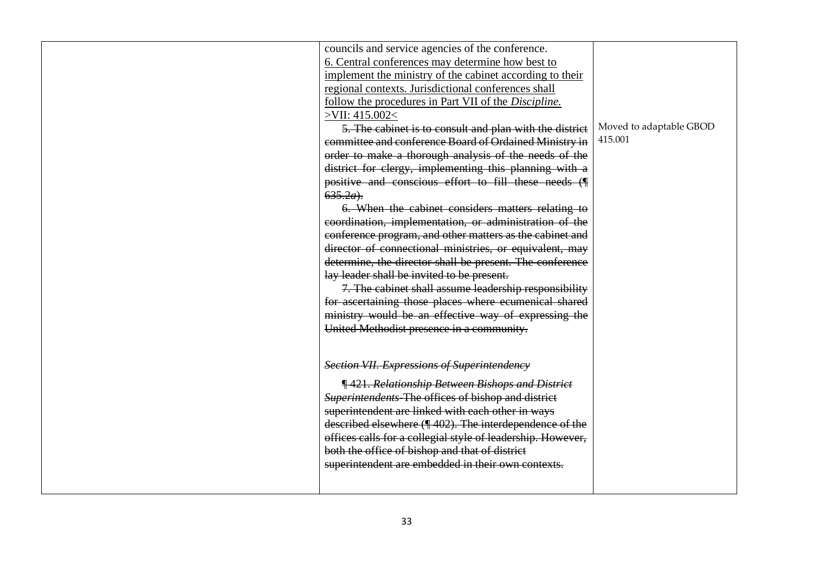| councils and service agencies of the conference.            |                         |
|-------------------------------------------------------------|-------------------------|
| 6. Central conferences may determine how best to            |                         |
| implement the ministry of the cabinet according to their    |                         |
| regional contexts. Jurisdictional conferences shall         |                         |
| <u>follow the procedures in Part VII of the Discipline.</u> |                         |
| $>$ VII: 415.002 $<$                                        |                         |
| 5. The cabinet is to consult and plan with the district     | Moved to adaptable GBOD |
| committee and conference Board of Ordained Ministry in      | 415.001                 |
| order to make a thorough analysis of the needs of the       |                         |
| district for clergy, implementing this planning with a      |                         |
| positive and conscious effort to fill these needs (         |                         |
| $635.2a$ ).                                                 |                         |
| 6. When the cabinet considers matters relating to           |                         |
| coordination, implementation, or administration of the      |                         |
| conference program, and other matters as the cabinet and    |                         |
| director of connectional ministries, or equivalent, may     |                         |
| determine, the director shall be present. The conference    |                         |
| lay leader shall be invited to be present.                  |                         |
| 7. The cabinet shall assume leadership responsibility       |                         |
| for ascertaining those places where ecumenical shared       |                         |
| ministry would be an effective way of expressing the        |                         |
| United Methodist presence in a community.                   |                         |
|                                                             |                         |
| <b>Section VII. Expressions of Superintendency</b>          |                         |
| <b>[421. Relationship Between Bishops and District</b>      |                         |
| Superintendents The offices of bishop and district          |                         |
| superintendent are linked with each other in ways           |                         |
| described elsewhere (¶402). The interdependence of the      |                         |
| offices calls for a collegial style of leadership. However, |                         |
| both the office of bishop and that of district              |                         |
| superintendent are embedded in their own contexts.          |                         |
|                                                             |                         |
|                                                             |                         |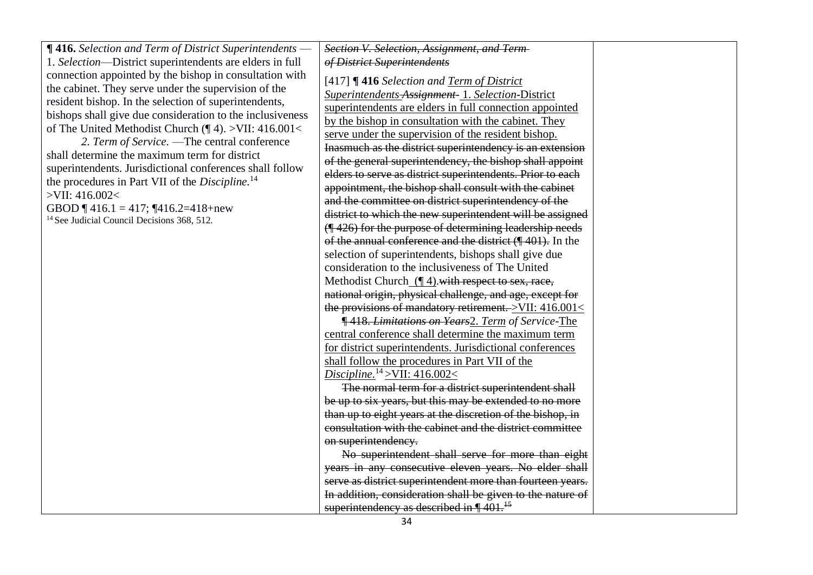**¶ 416.** *Selection and Term of District Superintendents* — 1. *Selection*—District superintendents are elders in full connection appointed by the bishop in consultation with the cabinet. They serve under the supervision of the resident bishop. In the selection of superintendents, bishops shall give due consideration to the inclusiveness of The United Methodist Church (¶ 4). >VII: 416.001<

*2. Term of Service.* —The central conference shall determine the maximum term for district superintendents. Jurisdictional conferences shall follow the procedures in Part VII of the *Discipline.*<sup>14</sup> >VII: 416.002<

GBOD  $\P$  416.1 = 417;  $\P$ 416.2=418+new <sup>14</sup> See Judicial Council Decisions 368, 512.

*Section V. Selection, Assignment, and Term of District Superintendents*

[417] **¶ 416** *Selection and Term of District Superintendents Assignment*- 1. *Selection-*District superintendents are elders in full connection appointed by the bishop in consultation with the cabinet. They serve under the supervision of the resident bishop. Inasmuch as the district superintendency is an extension of the general superintendency, the bishop shall appoint elders to serve as district superintendents. Prior to each appointment, the bishop shall consult with the cabinet and the committee on district superintendency of the district to which the new superintendent will be assigned (¶ 426) for the purpose of determining leadership needs of the annual conference and the district (¶ 401). In the selection of superintendents, bishops shall give due consideration to the inclusiveness of The United Methodist Church (¶ 4).<del>with respect to sex, race,</del> national origin, physical challenge, and age, except for the provisions of mandatory retirement. >VII: 416.001<

¶ 418. *Limitations on Years*2. *Term of Service*-The central conference shall determine the maximum term for district superintendents. Jurisdictional conferences shall follow the procedures in Part VII of the *Discipline.*<sup>14</sup>>VII: 416.002<

The normal term for a district superintendent shall be up to six years, but this may be extended to no more than up to eight years at the discretion of the bishop, in consultation with the cabinet and the district committee on superintendency.

No superintendent shall serve for more than eight years in any consecutive eleven years. No elder shall serve as district superintendent more than fourteen years. In addition, consideration shall be given to the nature of superintendency as described in  $\P$  401.<sup>15</sup>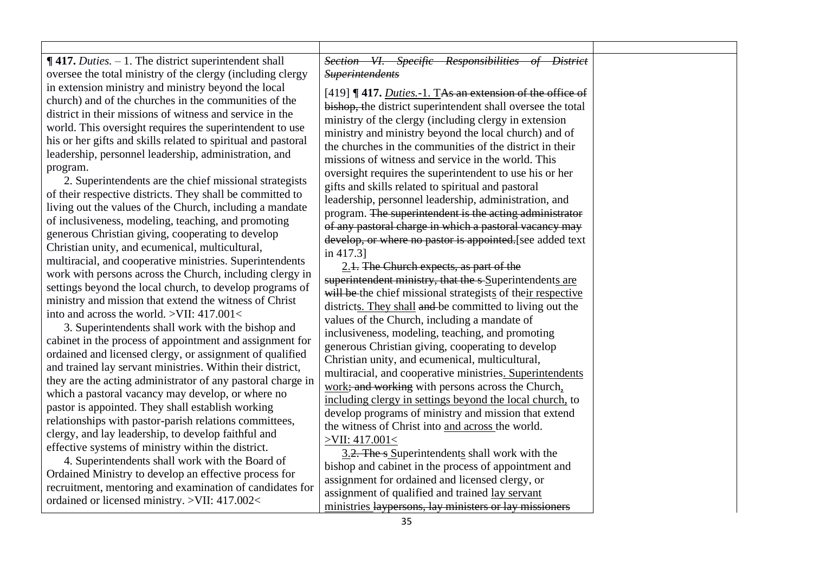| $\P$ 417. Duties. $-1$ . The district superintendent shall<br>oversee the total ministry of the clergy (including clergy<br>in extension ministry and ministry beyond the local<br>church) and of the churches in the communities of the<br>district in their missions of witness and service in the<br>world. This oversight requires the superintendent to use<br>his or her gifts and skills related to spiritual and pastoral<br>leadership, personnel leadership, administration, and<br>program.<br>2. Superintendents are the chief missional strategists<br>of their respective districts. They shall be committed to<br>living out the values of the Church, including a mandate<br>of inclusiveness, modeling, teaching, and promoting<br>generous Christian giving, cooperating to develop<br>Christian unity, and ecumenical, multicultural,<br>multiracial, and cooperative ministries. Superintendents<br>work with persons across the Church, including clergy in<br>settings beyond the local church, to develop programs of<br>ministry and mission that extend the witness of Christ<br>into and across the world. >VII: 417.001<<br>3. Superintendents shall work with the bishop and<br>cabinet in the process of appointment and assignment for<br>ordained and licensed clergy, or assignment of qualified<br>and trained lay servant ministries. Within their district,<br>they are the acting administrator of any pastoral charge in<br>which a pastoral vacancy may develop, or where no<br>pastor is appointed. They shall establish working<br>relationships with pastor-parish relations committees,<br>clergy, and lay leadership, to develop faithful and<br>effective systems of ministry within the district.<br>4. Superintendents shall work with the Board of<br>Ordained Ministry to develop an effective process for<br>recruitment, mentoring and examination of candidates for<br>ordained or licensed ministry. >VII: 417.002< | Responsibilities<br>Section VI.<br><del>- Specific</del><br><del>District</del><br><b>Superintendents</b><br>[419] $\P$ 417. <i>Duties.</i> -1. TAs an extension of the office of<br>bishop, the district superintendent shall oversee the total<br>ministry of the clergy (including clergy in extension<br>ministry and ministry beyond the local church) and of<br>the churches in the communities of the district in their<br>missions of witness and service in the world. This<br>oversight requires the superintendent to use his or her<br>gifts and skills related to spiritual and pastoral<br>leadership, personnel leadership, administration, and<br>program. The superintendent is the acting administrator<br>of any pastoral charge in which a pastoral vacancy may<br>develop, or where no pastor is appointed. [see added text<br>in 417.3]<br>2.1. The Church expects, as part of the<br>superintendent ministry, that the s-Superintendents are<br>will be the chief missional strategists of their respective<br>districts. They shall and be committed to living out the<br>values of the Church, including a mandate of<br>inclusiveness, modeling, teaching, and promoting<br>generous Christian giving, cooperating to develop<br>Christian unity, and ecumenical, multicultural,<br>multiracial, and cooperative ministries. Superintendents<br>work; and working with persons across the Church,<br>including clergy in settings beyond the local church, to<br>develop programs of ministry and mission that extend<br>the witness of Christ into and across the world.<br>$>$ VII: 417.001<<br>3.2. The s Superintendents shall work with the<br>bishop and cabinet in the process of appointment and<br>assignment for ordained and licensed clergy, or<br>assignment of qualified and trained lay servant<br>ministries laypersons, lay ministers or lay missioners |  |
|-------------------------------------------------------------------------------------------------------------------------------------------------------------------------------------------------------------------------------------------------------------------------------------------------------------------------------------------------------------------------------------------------------------------------------------------------------------------------------------------------------------------------------------------------------------------------------------------------------------------------------------------------------------------------------------------------------------------------------------------------------------------------------------------------------------------------------------------------------------------------------------------------------------------------------------------------------------------------------------------------------------------------------------------------------------------------------------------------------------------------------------------------------------------------------------------------------------------------------------------------------------------------------------------------------------------------------------------------------------------------------------------------------------------------------------------------------------------------------------------------------------------------------------------------------------------------------------------------------------------------------------------------------------------------------------------------------------------------------------------------------------------------------------------------------------------------------------------------------------------------------------------------------------------------------------------------------------------------|----------------------------------------------------------------------------------------------------------------------------------------------------------------------------------------------------------------------------------------------------------------------------------------------------------------------------------------------------------------------------------------------------------------------------------------------------------------------------------------------------------------------------------------------------------------------------------------------------------------------------------------------------------------------------------------------------------------------------------------------------------------------------------------------------------------------------------------------------------------------------------------------------------------------------------------------------------------------------------------------------------------------------------------------------------------------------------------------------------------------------------------------------------------------------------------------------------------------------------------------------------------------------------------------------------------------------------------------------------------------------------------------------------------------------------------------------------------------------------------------------------------------------------------------------------------------------------------------------------------------------------------------------------------------------------------------------------------------------------------------------------------------------------------------------------------------------------------------------------------------------------------------------|--|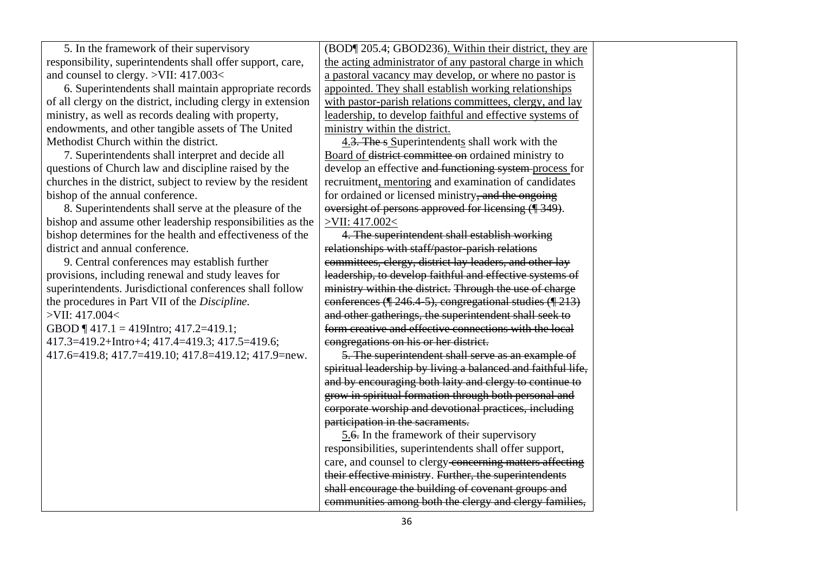5. In the framework of their supervisory responsibility, superintendents shall offer support, care, and counsel to clergy. >VII: 417.003<

6. Superintendents shall maintain appropriate records of all clergy on the district, including clergy in extension ministry, as well as records dealing with property, endowments, and other tangible assets of The United Methodist Church within the district.

7. Superintendents shall interpret and decide all questions of Church law and discipline raised by the churches in the district, subject to review by the resident bishop of the annual conference.

8. Superintendents shall serve at the pleasure of the bishop and assume other leadership responsibilities as the bishop determines for the health and effectiveness of the district and annual conference.

9. Central conferences may establish further provisions, including renewal and study leaves for superintendents. Jurisdictional conferences shall follow the procedures in Part VII of the *Discipline.* >VII: 417.004< GBOD ¶ 417.1 = 419Intro; 417.2=419.1; 417.3=419.2+Intro+4; 417.4=419.3; 417.5=419.6;

417.6=419.8; 417.7=419.10; 417.8=419.12; 417.9=new.

(BOD¶ 205.4; GBOD236). Within their district, they are the acting administrator of any pastoral charge in which a pastoral vacancy may develop, or where no pastor is appointed. They shall establish working relationships with pastor-parish relations committees, clergy, and lay leadership, to develop faithful and effective systems of ministry within the district.

4.3. The s Superintendents shall work with the Board of district committee on ordained ministry to develop an effective and functioning system process for recruitment, mentoring and examination of candidates for ordained or licensed ministry, and the ongoing oversight of persons approved for licensing (¶ 349). >VII: 417.002<

4. The superintendent shall establish working relationships with staff/pastor-parish relations committees, clergy, district lay leaders, and other lay leadership, to develop faithful and effective systems of ministry within the district. Through the use of charge conferences (¶ 246.4-5), congregational studies (¶ 213) and other gatherings, the superintendent shall seek to form creative and effective connections with the local congregations on his or her district.

5. The superintendent shall serve as an example of spiritual leadership by living a balanced and faithful life, and by encouraging both laity and clergy to continue to grow in spiritual formation through both personal and corporate worship and devotional practices, including participation in the sacraments.

5.6. In the framework of their supervisory responsibilities, superintendents shall offer support, care, and counsel to clergy concerning matters affecting their effective ministry. Further, the superintendents shall encourage the building of covenant groups and communities among both the clergy and clergy families,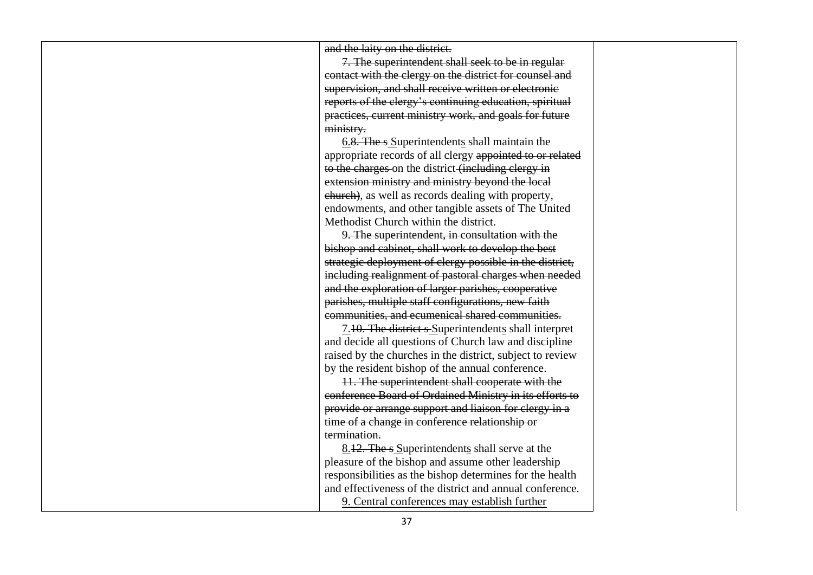and the laity on the district.

7. The superintendent shall seek to be in regular contact with the clergy on the district for counsel and supervision, and shall receive written or electronic reports of the clergy's continuing education, spiritual practices, current ministry work, and goals for future ministry.

6.8. The s Superintendents shall maintain the appropriate records of all clergy appointed to or related to the charges on the district (including clergy in extension ministry and ministry beyond the local church), as well as records dealing with property, endowments, and other tangible assets of The United Methodist Church within the district.

9. The superintendent, in consultation with the bishop and cabinet, shall work to develop the best strategic deployment of clergy possible in the district, including realignment of pastoral charges when needed and the exploration of larger parishes, cooperative parishes, multiple staff configurations, new faith communities, and ecumenical shared communities.

7.10. The district s Superintendents shall interpret and decide all questions of Church law and discipline raised by the churches in the district, subject to review by the resident bishop of the annual conference.

11. The superintendent shall cooperate with the conference Board of Ordained Ministry in its efforts to provide or arrange support and liaison for clergy in a time of a change in conference relationship or termination.

8.12. The s Superintendents shall serve at the pleasure of the bishop and assume other leadership responsibilities as the bishop determines for the health and effectiveness of the district and annual conference. 9. Central conferences may establish further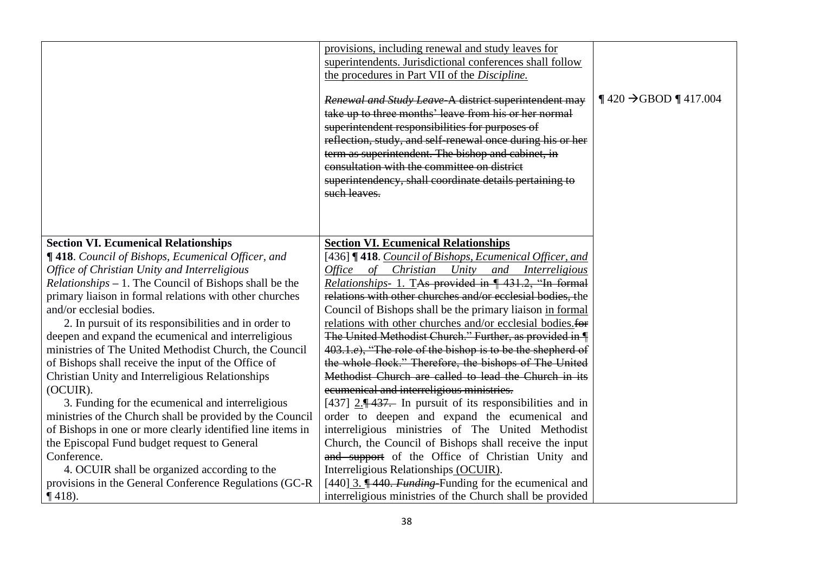|                                                            | provisions, including renewal and study leaves for<br>superintendents. Jurisdictional conferences shall follow<br>the procedures in Part VII of the Discipline.<br>Renewal and Study Leave-A district superintendent may<br>take up to three months' leave from his or her normal<br>superintendent responsibilities for purposes of<br>reflection, study, and self-renewal once during his or her<br>term as superintendent. The bishop and cabinet, in<br>consultation with the committee on district<br>superintendency, shall coordinate details pertaining to<br>such leaves. | $\P$ 420 $\rightarrow$ GBOD $\P$ 417.004 |
|------------------------------------------------------------|------------------------------------------------------------------------------------------------------------------------------------------------------------------------------------------------------------------------------------------------------------------------------------------------------------------------------------------------------------------------------------------------------------------------------------------------------------------------------------------------------------------------------------------------------------------------------------|------------------------------------------|
| <b>Section VI. Ecumenical Relationships</b>                | <b>Section VI. Ecumenical Relationships</b>                                                                                                                                                                                                                                                                                                                                                                                                                                                                                                                                        |                                          |
| <b>¶418.</b> Council of Bishops, Ecumenical Officer, and   | [436] ¶418. Council of Bishops, Ecumenical Officer, and                                                                                                                                                                                                                                                                                                                                                                                                                                                                                                                            |                                          |
| Office of Christian Unity and Interreligious               | Office of Christian Unity and Interreligious                                                                                                                                                                                                                                                                                                                                                                                                                                                                                                                                       |                                          |
| $Relationships - 1$ . The Council of Bishops shall be the  | Relationships- 1. TAs provided in ¶ 431.2, "In formal                                                                                                                                                                                                                                                                                                                                                                                                                                                                                                                              |                                          |
| primary liaison in formal relations with other churches    | relations with other churches and/or ecclesial bodies, the                                                                                                                                                                                                                                                                                                                                                                                                                                                                                                                         |                                          |
| and/or ecclesial bodies.                                   | Council of Bishops shall be the primary liaison in formal                                                                                                                                                                                                                                                                                                                                                                                                                                                                                                                          |                                          |
| 2. In pursuit of its responsibilities and in order to      | relations with other churches and/or ecclesial bodies.for                                                                                                                                                                                                                                                                                                                                                                                                                                                                                                                          |                                          |
| deepen and expand the ecumenical and interreligious        | The United Methodist Church." Further, as provided in ¶                                                                                                                                                                                                                                                                                                                                                                                                                                                                                                                            |                                          |
| ministries of The United Methodist Church, the Council     | 403.1.e), "The role of the bishop is to be the shepherd of                                                                                                                                                                                                                                                                                                                                                                                                                                                                                                                         |                                          |
| of Bishops shall receive the input of the Office of        | the whole flock." Therefore, the bishops of The United                                                                                                                                                                                                                                                                                                                                                                                                                                                                                                                             |                                          |
| Christian Unity and Interreligious Relationships           | Methodist Church are called to lead the Church in its                                                                                                                                                                                                                                                                                                                                                                                                                                                                                                                              |                                          |
| (OCUIR).                                                   | ecumenical and interreligious ministries.                                                                                                                                                                                                                                                                                                                                                                                                                                                                                                                                          |                                          |
| 3. Funding for the ecumenical and interreligious           | [437] $2.437$ . In pursuit of its responsibilities and in                                                                                                                                                                                                                                                                                                                                                                                                                                                                                                                          |                                          |
| ministries of the Church shall be provided by the Council  | order to deepen and expand the ecumenical and                                                                                                                                                                                                                                                                                                                                                                                                                                                                                                                                      |                                          |
| of Bishops in one or more clearly identified line items in | interreligious ministries of The United Methodist                                                                                                                                                                                                                                                                                                                                                                                                                                                                                                                                  |                                          |
| the Episcopal Fund budget request to General               | Church, the Council of Bishops shall receive the input                                                                                                                                                                                                                                                                                                                                                                                                                                                                                                                             |                                          |
| Conference.                                                | and support of the Office of Christian Unity and                                                                                                                                                                                                                                                                                                                                                                                                                                                                                                                                   |                                          |
| 4. OCUIR shall be organized according to the               | Interreligious Relationships (OCUIR).                                                                                                                                                                                                                                                                                                                                                                                                                                                                                                                                              |                                          |
| provisions in the General Conference Regulations (GC-R)    | [440] 3. 1440. Funding-Funding for the ecumenical and                                                                                                                                                                                                                                                                                                                                                                                                                                                                                                                              |                                          |
| $\P$ 418).                                                 | interreligious ministries of the Church shall be provided                                                                                                                                                                                                                                                                                                                                                                                                                                                                                                                          |                                          |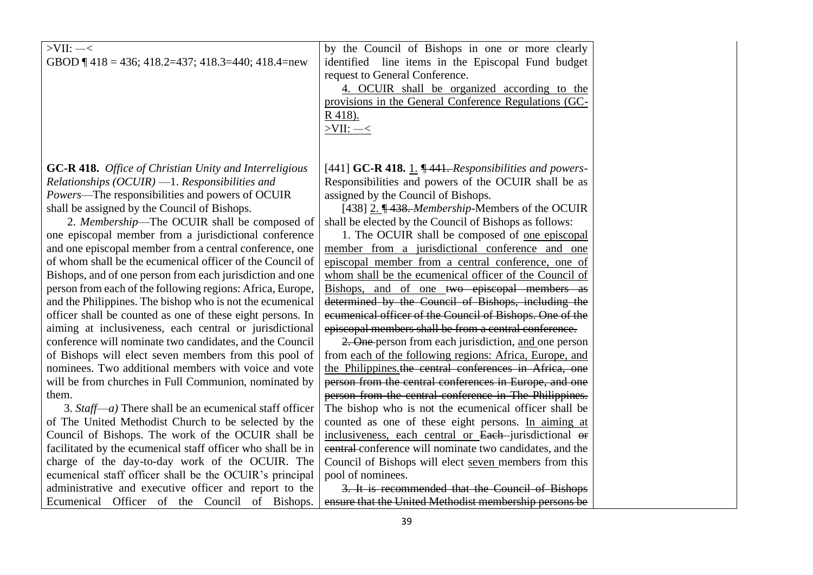| $>VII:$ $-<$                                         | by the Council of Bishops in one or more clearly      |
|------------------------------------------------------|-------------------------------------------------------|
| GBOD $\P$ 418 = 436; 418.2=437; 418.3=440; 418.4=new | identified line items in the Episcopal Fund budget    |
|                                                      | request to General Conference.                        |
|                                                      | 4. OCUIR shall be organized according to the          |
|                                                      | provisions in the General Conference Regulations (GC- |
|                                                      | R 418).                                               |
|                                                      | $>$ VII: $-$ <                                        |
|                                                      |                                                       |
|                                                      |                                                       |

**GC-R 418.** *Office of Christian Unity and Interreligious Relationships (OCUIR)* —1. *Responsibilities and Powers*—The responsibilities and powers of OCUIR shall be assigned by the Council of Bishops.

2. *Membership*—The OCUIR shall be composed of one episcopal member from a jurisdictional conference and one episcopal member from a central conference, one of whom shall be the ecumenical officer of the Council of Bishops, and of one person from each jurisdiction and one person from each of the following regions: Africa, Europe, and the Philippines. The bishop who is not the ecumenical officer shall be counted as one of these eight persons. In aiming at inclusiveness, each central or jurisdictional conference will nominate two candidates, and the Council of Bishops will elect seven members from this pool of nominees. Two additional members with voice and vote will be from churches in Full Communion, nominated by them.

3. *Staff*—*a)* There shall be an ecumenical staff officer of The United Methodist Church to be selected by the Council of Bishops. The work of the OCUIR shall be facilitated by the ecumenical staff officer who shall be in charge of the day-to-day work of the OCUIR. The ecumenical staff officer shall be the OCUIR's principal administrative and executive officer and report to the Ecumenical Officer of the Council of Bishops.

[441] **GC-R 418.** 1. ¶ 441. *Responsibilities and powers*-Responsibilities and powers of the OCUIR shall be as assigned by the Council of Bishops.

[438] 2. ¶ 438. *Membership-*Members of the OCUIR shall be elected by the Council of Bishops as follows:

1. The OCUIR shall be composed of one episcopal member from a jurisdictional conference and one episcopal member from a central conference, one of whom shall be the ecumenical officer of the Council of Bishops, and of one two episcopal members as determined by the Council of Bishops, including the ecumenical officer of the Council of Bishops. One of the episcopal members shall be from a central conference.

2. One person from each jurisdiction, and one person from each of the following regions: Africa, Europe, and the Philippines.the central conferences in Africa, one person from the central conferences in Europe, and one person from the central conference in The Philippines. The bishop who is not the ecumenical officer shall be counted as one of these eight persons. In aiming at inclusiveness, each central or Each jurisdictional or central conference will nominate two candidates, and the Council of Bishops will elect seven members from this pool of nominees.

3. It is recommended that the Council of Bishops ensure that the United Methodist membership persons be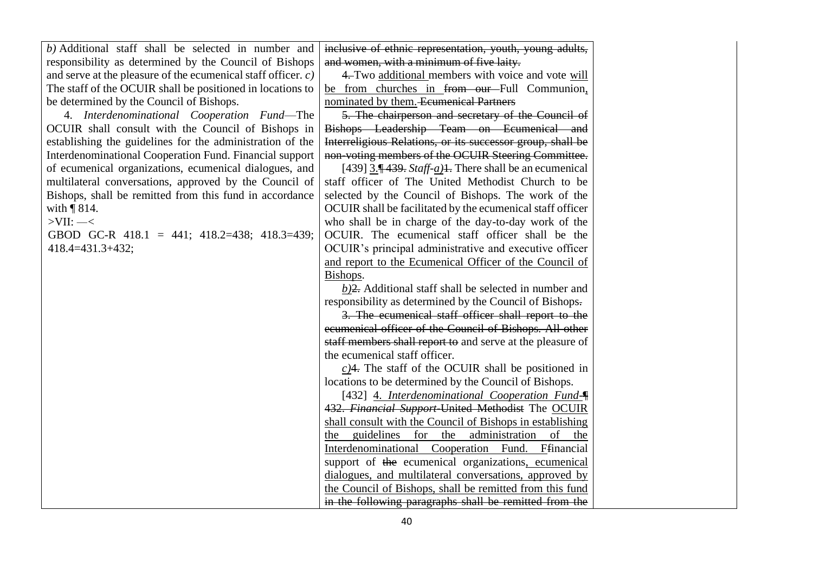*b)* Additional staff shall be selected in number and responsibility as determined by the Council of Bishops and serve at the pleasure of the ecumenical staff officer. *c)* The staff of the OCUIR shall be positioned in locations to be determined by the Council of Bishops.

4. *Interdenominational Cooperation Fund*—The OCUIR shall consult with the Council of Bishops in establishing the guidelines for the administration of the Interdenominational Cooperation Fund. Financial support of ecumenical organizations, ecumenical dialogues, and multilateral conversations, approved by the Council of Bishops, shall be remitted from this fund in accordance with ¶ 814.

>VII: *—<*

GBOD GC-R 418.1 = 441; 418.2=438; 418.3=439; 418.4=431.3+432;

inclusive of ethnic representation, youth, young adults, and women, with a minimum of five laity.

4. Two additional members with voice and vote will be from churches in from our Full Communion, nominated by them. Ecumenical Partners

5. The chairperson and secretary of the Council of Bishops Leadership Team on Ecumenical and Interreligious Relations, or its successor group, shall be non-voting members of the OCUIR Steering Committee.

[439] 3.¶ 439. *Staff*-*a)*1. There shall be an ecumenical staff officer of The United Methodist Church to be selected by the Council of Bishops. The work of the OCUIR shall be facilitated by the ecumenical staff officer who shall be in charge of the day-to-day work of the OCUIR. The ecumenical staff officer shall be the OCUIR's principal administrative and executive officer and report to the Ecumenical Officer of the Council of Bishops.

*b)*2. Additional staff shall be selected in number and responsibility as determined by the Council of Bishops.

3. The ecumenical staff officer shall report to the ecumenical officer of the Council of Bishops. All other staff members shall report to and serve at the pleasure of the ecumenical staff officer.

*c)*4. The staff of the OCUIR shall be positioned in locations to be determined by the Council of Bishops.

[432] 4. *Interdenominational Cooperation Fund-*¶ 432. *Financial Support*-United Methodist The OCUIR shall consult with the Council of Bishops in establishing the guidelines for the administration of the Interdenominational Cooperation Fund. Ffinancial support of the ecumenical organizations, ecumenical dialogues, and multilateral conversations, approved by the Council of Bishops, shall be remitted from this fund in the following paragraphs shall be remitted from the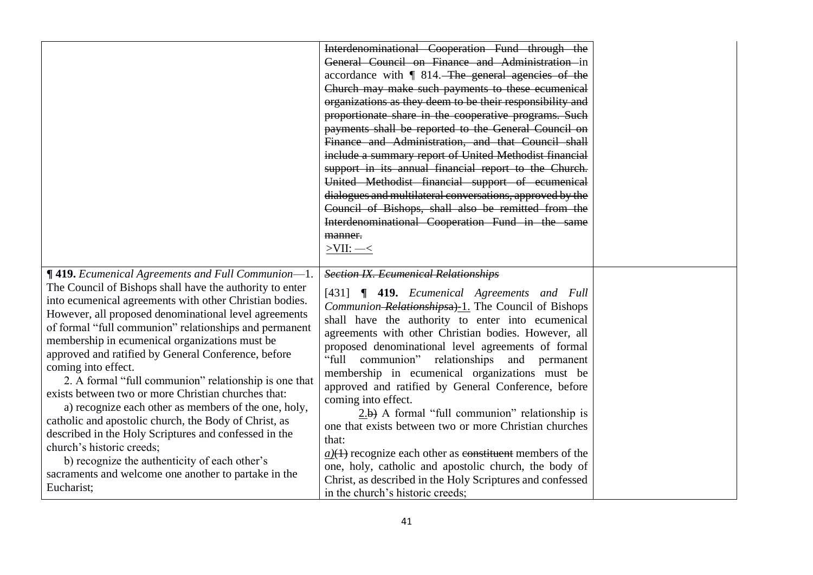|                                                                                                                                                                                                                                                                                                                                                                                                                                                                                                                                                                                                                                                                                                                                                                                                                                                                                 | Interdenominational Cooperation Fund through the<br>General Council on Finance and Administration in<br>accordance with   814. The general agencies of the<br>Church may make such payments to these ecumenical<br>organizations as they deem to be their responsibility and<br>proportionate share in the cooperative programs. Such<br>payments shall be reported to the General Council on<br>Finance and Administration, and that Council shall<br>include a summary report of United Methodist financial<br>support in its annual financial report to the Church.<br>United Methodist financial support of ecumenical<br>dialogues and multilateral conversations, approved by the<br>Council of Bishops, shall also be remitted from the<br>Interdenominational Cooperation Fund in the same<br>manner.<br>$>$ VII: $-$ <                                         |  |
|---------------------------------------------------------------------------------------------------------------------------------------------------------------------------------------------------------------------------------------------------------------------------------------------------------------------------------------------------------------------------------------------------------------------------------------------------------------------------------------------------------------------------------------------------------------------------------------------------------------------------------------------------------------------------------------------------------------------------------------------------------------------------------------------------------------------------------------------------------------------------------|-------------------------------------------------------------------------------------------------------------------------------------------------------------------------------------------------------------------------------------------------------------------------------------------------------------------------------------------------------------------------------------------------------------------------------------------------------------------------------------------------------------------------------------------------------------------------------------------------------------------------------------------------------------------------------------------------------------------------------------------------------------------------------------------------------------------------------------------------------------------------|--|
| <b>419.</b> Ecumenical Agreements and Full Communion-1.<br>The Council of Bishops shall have the authority to enter<br>into ecumenical agreements with other Christian bodies.<br>However, all proposed denominational level agreements<br>of formal "full communion" relationships and permanent<br>membership in ecumenical organizations must be<br>approved and ratified by General Conference, before<br>coming into effect.<br>2. A formal "full communion" relationship is one that<br>exists between two or more Christian churches that:<br>a) recognize each other as members of the one, holy,<br>catholic and apostolic church, the Body of Christ, as<br>described in the Holy Scriptures and confessed in the<br>church's historic creeds;<br>b) recognize the authenticity of each other's<br>sacraments and welcome one another to partake in the<br>Eucharist; | <b>Section IX. Ecumenical Relationships</b><br>[431] <b>[419.</b> Ecumenical Agreements and Full<br>Communion-Relationshipsa)-1. The Council of Bishops<br>shall have the authority to enter into ecumenical<br>agreements with other Christian bodies. However, all<br>proposed denominational level agreements of formal<br>communion" relationships and permanent<br>"full<br>membership in ecumenical organizations must be<br>approved and ratified by General Conference, before<br>coming into effect.<br>$2.b$ A formal "full communion" relationship is<br>one that exists between two or more Christian churches<br>that:<br>$\underline{a}$ (1) recognize each other as constituent members of the<br>one, holy, catholic and apostolic church, the body of<br>Christ, as described in the Holy Scriptures and confessed<br>in the church's historic creeds; |  |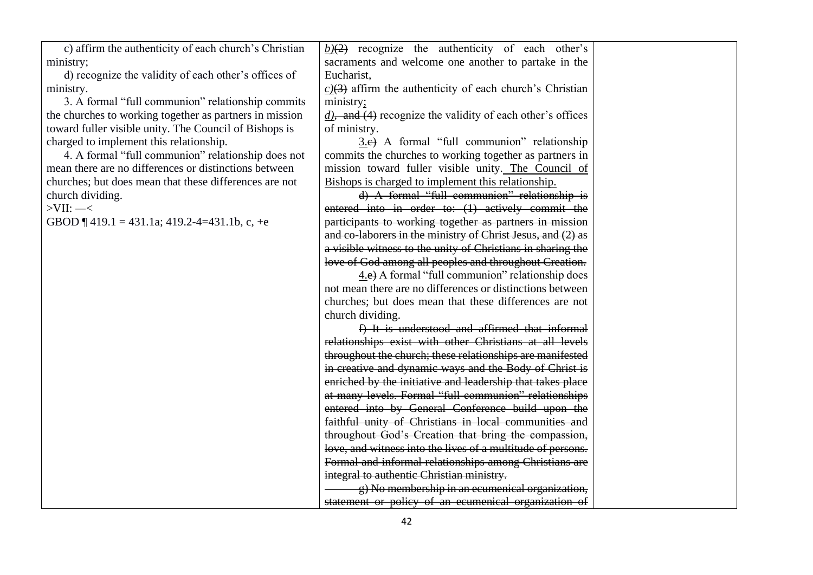| c) affirm the authenticity of each church's Christian   | $\underline{b}(\overline{c})$ recognize the authenticity of each other's |  |
|---------------------------------------------------------|--------------------------------------------------------------------------|--|
| ministry;                                               | sacraments and welcome one another to partake in the                     |  |
| d) recognize the validity of each other's offices of    | Eucharist,                                                               |  |
| ministry.                                               | $c$ )(3) affirm the authenticity of each church's Christian              |  |
| 3. A formal "full communion" relationship commits       | ministry;                                                                |  |
| the churches to working together as partners in mission | $d$ , and (4) recognize the validity of each other's offices             |  |
| toward fuller visible unity. The Council of Bishops is  | of ministry.                                                             |  |
| charged to implement this relationship.                 | $3.e.$ A formal "full communion" relationship                            |  |
| 4. A formal "full communion" relationship does not      | commits the churches to working together as partners in                  |  |
| mean there are no differences or distinctions between   | mission toward fuller visible unity. The Council of                      |  |
| churches; but does mean that these differences are not  | Bishops is charged to implement this relationship.                       |  |
| church dividing.                                        | d) A formal "full communion" relationship is                             |  |
| $>$ VII: $-$ <                                          | entered into in order to: (1) actively commit the                        |  |
| GBOD $\P$ 419.1 = 431.1a; 419.2-4=431.1b, c, +e         | participants to working together as partners in mission                  |  |
|                                                         | and co-laborers in the ministry of Christ Jesus, and $(2)$ as            |  |
|                                                         | a visible witness to the unity of Christians in sharing the              |  |
|                                                         | love of God among all peoples and throughout Creation.                   |  |
|                                                         | 4.e) A formal "full communion" relationship does                         |  |
|                                                         | not mean there are no differences or distinctions between                |  |
|                                                         | churches; but does mean that these differences are not                   |  |
|                                                         | church dividing.                                                         |  |
|                                                         | f) It is understood and affirmed that informal                           |  |
|                                                         | relationships exist with other Christians at all levels                  |  |
|                                                         | throughout the church; these relationships are manifested                |  |
|                                                         | in creative and dynamic ways and the Body of Christ is                   |  |
|                                                         | enriched by the initiative and leadership that takes place               |  |
|                                                         | at many levels. Formal "full communion" relationships                    |  |
|                                                         | entered into by General Conference build upon the                        |  |
|                                                         | faithful unity of Christians in local communities and                    |  |
|                                                         | throughout God's Creation that bring the compassion,                     |  |
|                                                         | love, and witness into the lives of a multitude of persons.              |  |
|                                                         | Formal and informal relationships among Christians are                   |  |
|                                                         | integral to authentic Christian ministry.                                |  |
|                                                         | $\frac{1}{2}$ No membership in an ecumenical organization,               |  |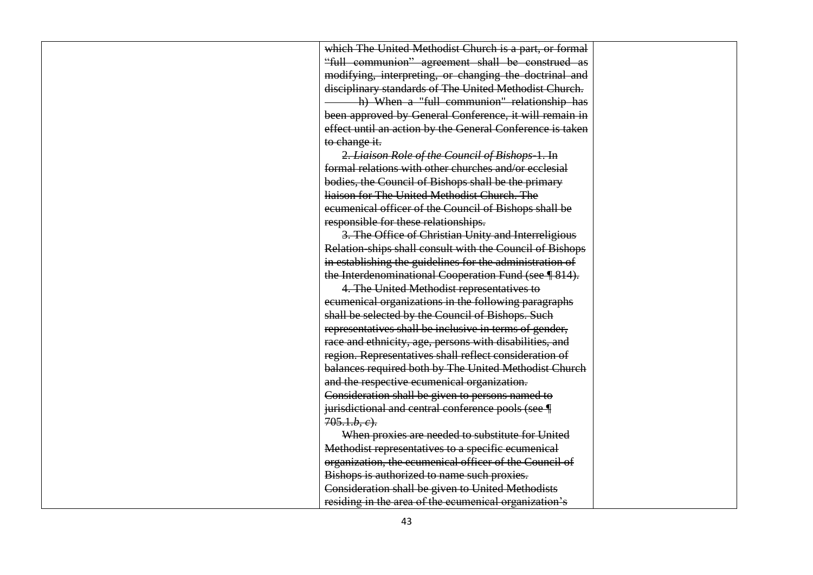which The United Methodist Church is a part, or formal "full communion" agreement shall be construed as modifying, interpreting, or changing the doctrinal and disciplinary standards of The United Methodist Church. h) When a "full communion" relationship has been approved by General Conference, it will remain in effect until an action by the General Conference is taken to change it.

2. *Liaison Role of the Council of Bishops*-1. In formal relations with other churches and/or ecclesial bodies, the Council of Bishops shall be the primary liaison for The United Methodist Church. The ecumenical officer of the Council of Bishops shall be responsible for these relationships.

3. The Office of Christian Unity and Interreligious Relation-ships shall consult with the Council of Bishops in establishing the guidelines for the administration of the Interdenominational Cooperation Fund (see ¶ 814).

4. The United Methodist representatives to ecumenical organizations in the following paragraphs shall be selected by the Council of Bishops. Such representatives shall be inclusive in terms of gender, race and ethnicity, age, persons with disabilities, and region. Representatives shall reflect consideration of balances required both by The United Methodist Church and the respective ecumenical organization. Consideration shall be given to persons named to jurisdictional and central conference pools (see ¶ 705.1.*b, c*).

When proxies are needed to substitute for United Methodist representatives to a specific ecumenical organization, the ecumenical officer of the Council of Bishops is authorized to name such proxies. Consideration shall be given to United Methodists residing in the area of the ecumenical organization's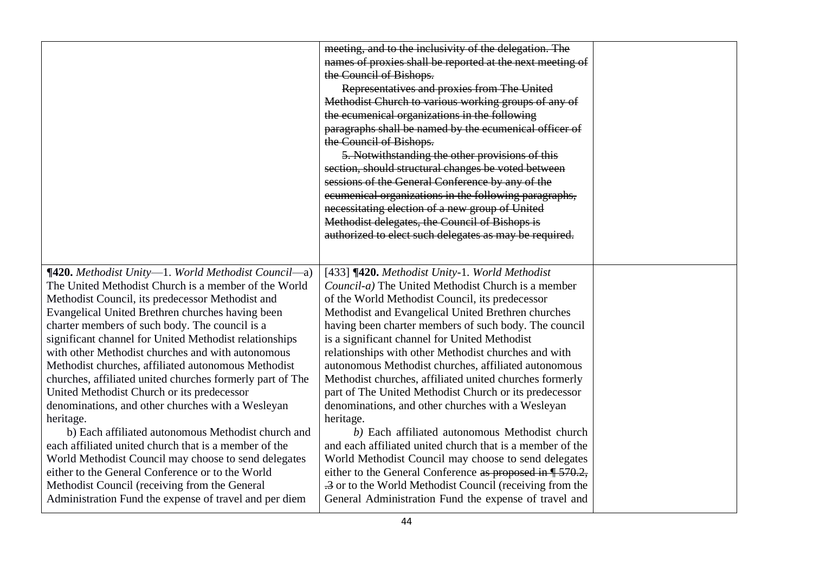|                                                           | meeting, and to the inclusivity of the delegation. The      |  |
|-----------------------------------------------------------|-------------------------------------------------------------|--|
|                                                           | names of proxies shall be reported at the next meeting of   |  |
|                                                           | the Council of Bishops.                                     |  |
|                                                           | Representatives and proxies from The United                 |  |
|                                                           | Methodist Church to various working groups of any of        |  |
|                                                           | the ecumenical organizations in the following               |  |
|                                                           | paragraphs shall be named by the ecumenical officer of      |  |
|                                                           | the Council of Bishops.                                     |  |
|                                                           | 5. Notwithstanding the other provisions of this             |  |
|                                                           | section, should structural changes be voted between         |  |
|                                                           | sessions of the General Conference by any of the            |  |
|                                                           | ecumenical organizations in the following paragraphs,       |  |
|                                                           | necessitating election of a new group of United             |  |
|                                                           | Methodist delegates, the Council of Bishops is              |  |
|                                                           | authorized to elect such delegates as may be required.      |  |
|                                                           |                                                             |  |
|                                                           |                                                             |  |
| ¶420. Methodist Unity-1. World Methodist Council-a)       | [433] [420. Methodist Unity-1. World Methodist              |  |
| The United Methodist Church is a member of the World      | <i>Council-a</i> ) The United Methodist Church is a member  |  |
| Methodist Council, its predecessor Methodist and          | of the World Methodist Council, its predecessor             |  |
| Evangelical United Brethren churches having been          | Methodist and Evangelical United Brethren churches          |  |
| charter members of such body. The council is a            | having been charter members of such body. The council       |  |
| significant channel for United Methodist relationships    | is a significant channel for United Methodist               |  |
| with other Methodist churches and with autonomous         | relationships with other Methodist churches and with        |  |
| Methodist churches, affiliated autonomous Methodist       | autonomous Methodist churches, affiliated autonomous        |  |
| churches, affiliated united churches formerly part of The | Methodist churches, affiliated united churches formerly     |  |
| United Methodist Church or its predecessor                | part of The United Methodist Church or its predecessor      |  |
| denominations, and other churches with a Wesleyan         | denominations, and other churches with a Wesleyan           |  |
| heritage.                                                 | heritage.                                                   |  |
| b) Each affiliated autonomous Methodist church and        | b) Each affiliated autonomous Methodist church              |  |
| each affiliated united church that is a member of the     | and each affiliated united church that is a member of the   |  |
| World Methodist Council may choose to send delegates      | World Methodist Council may choose to send delegates        |  |
| either to the General Conference or to the World          | either to the General Conference as proposed in $\P$ 570.2, |  |
| Methodist Council (receiving from the General             | .3 or to the World Methodist Council (receiving from the    |  |
| Administration Fund the expense of travel and per diem    | General Administration Fund the expense of travel and       |  |
|                                                           |                                                             |  |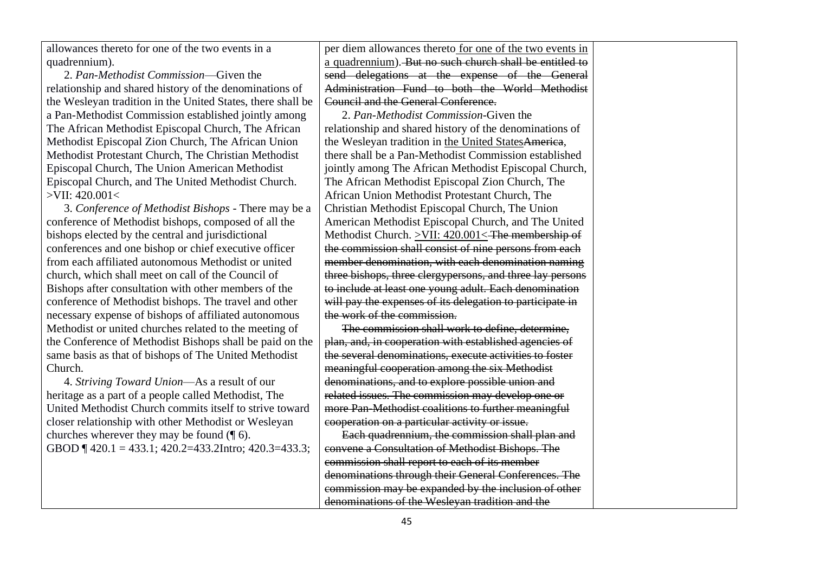allowances thereto for one of the two events in a quadrennium).

2. *Pan-Methodist Commission*—Given the relationship and shared history of the denominations of the Wesleyan tradition in the United States, there shall be a Pan-Methodist Commission established jointly among The African Methodist Episcopal Church, The African Methodist Episcopal Zion Church, The African Union Methodist Protestant Church, The Christian Methodist Episcopal Church, The Union American Methodist Episcopal Church, and The United Methodist Church.  $>$ VII: 420.001<

3. *Conference of Methodist Bishops* - There may be a conference of Methodist bishops, composed of all the bishops elected by the central and jurisdictional conferences and one bishop or chief executive officer from each affiliated autonomous Methodist or united church, which shall meet on call of the Council of Bishops after consultation with other members of the conference of Methodist bishops. The travel and other necessary expense of bishops of affiliated autonomous Methodist or united churches related to the meeting of the Conference of Methodist Bishops shall be paid on the same basis as that of bishops of The United Methodist Church.

4. *Striving Toward Union*—As a result of our heritage as a part of a people called Methodist, The United Methodist Church commits itself to strive toward closer relationship with other Methodist or Wesleyan churches wherever they may be found (¶ 6). GBOD ¶ 420.1 = 433.1; 420.2=433.2Intro; 420.3=433.3; per diem allowances thereto for one of the two events in a quadrennium). But no such church shall be entitled to send delegations at the expense of the General Administration Fund to both the World Methodist Council and the General Conference.

2. *Pan-Methodist Commission*-Given the relationship and shared history of the denominations of the Wesleyan tradition in the United StatesAmerica, there shall be a Pan-Methodist Commission established jointly among The African Methodist Episcopal Church, The African Methodist Episcopal Zion Church, The African Union Methodist Protestant Church, The Christian Methodist Episcopal Church, The Union American Methodist Episcopal Church, and The United Methodist Church. >VII: 420.001< The membership of the commission shall consist of nine persons from each member denomination, with each denomination naming three bishops, three clergypersons, and three lay persons to include at least one young adult. Each denomination will pay the expenses of its delegation to participate in the work of the commission.

The commission shall work to define, determine, plan, and, in cooperation with established agencies of the several denominations, execute activities to foster meaningful cooperation among the six Methodist denominations, and to explore possible union and related issues. The commission may develop one or more Pan-Methodist coalitions to further meaningful cooperation on a particular activity or issue.

Each quadrennium, the commission shall plan and convene a Consultation of Methodist Bishops. The commission shall report to each of its member denominations through their General Conferences. The commission may be expanded by the inclusion of other denominations of the Wesleyan tradition and the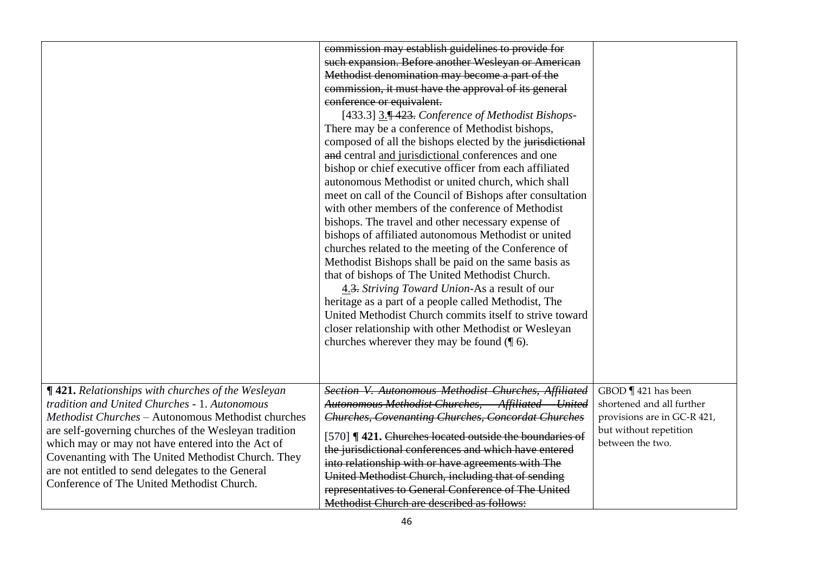|                                                                                                           | commission may establish guidelines to provide for<br>such expansion. Before another Wesleyan or American<br>Methodist denomination may become a part of the<br>commission, it must have the approval of its general<br>conference or equivalent.<br>[433.3] 3. 423. Conference of Methodist Bishops-<br>There may be a conference of Methodist bishops,<br>composed of all the bishops elected by the jurisdictional<br>and central and jurisdictional conferences and one<br>bishop or chief executive officer from each affiliated<br>autonomous Methodist or united church, which shall<br>meet on call of the Council of Bishops after consultation<br>with other members of the conference of Methodist<br>bishops. The travel and other necessary expense of<br>bishops of affiliated autonomous Methodist or united<br>churches related to the meeting of the Conference of<br>Methodist Bishops shall be paid on the same basis as<br>that of bishops of The United Methodist Church.<br>4.3. Striving Toward Union-As a result of our<br>heritage as a part of a people called Methodist, The<br>United Methodist Church commits itself to strive toward<br>closer relationship with other Methodist or Wesleyan<br>churches wherever they may be found $(\P 6)$ . |                                                  |
|-----------------------------------------------------------------------------------------------------------|------------------------------------------------------------------------------------------------------------------------------------------------------------------------------------------------------------------------------------------------------------------------------------------------------------------------------------------------------------------------------------------------------------------------------------------------------------------------------------------------------------------------------------------------------------------------------------------------------------------------------------------------------------------------------------------------------------------------------------------------------------------------------------------------------------------------------------------------------------------------------------------------------------------------------------------------------------------------------------------------------------------------------------------------------------------------------------------------------------------------------------------------------------------------------------------------------------------------------------------------------------------------------|--------------------------------------------------|
| <b>[421.</b> Relationships with churches of the Wesleyan<br>tradition and United Churches - 1. Autonomous | Section V. Autonomous Methodist Churches, Affiliated<br><b>Autonomous Methodist Churches, Affiliated United</b>                                                                                                                                                                                                                                                                                                                                                                                                                                                                                                                                                                                                                                                                                                                                                                                                                                                                                                                                                                                                                                                                                                                                                              | GBOD   421 has been<br>shortened and all further |
| Methodist Churches - Autonomous Methodist churches                                                        | <b>Churches, Covenanting Churches, Concordat Churches</b>                                                                                                                                                                                                                                                                                                                                                                                                                                                                                                                                                                                                                                                                                                                                                                                                                                                                                                                                                                                                                                                                                                                                                                                                                    | provisions are in GC-R 421,                      |
| are self-governing churches of the Wesleyan tradition                                                     | [570] ¶421. Churches located outside the boundaries of                                                                                                                                                                                                                                                                                                                                                                                                                                                                                                                                                                                                                                                                                                                                                                                                                                                                                                                                                                                                                                                                                                                                                                                                                       | but without repetition<br>between the two.       |
| which may or may not have entered into the Act of<br>Covenanting with The United Methodist Church. They   | the jurisdictional conferences and which have entered                                                                                                                                                                                                                                                                                                                                                                                                                                                                                                                                                                                                                                                                                                                                                                                                                                                                                                                                                                                                                                                                                                                                                                                                                        |                                                  |
| are not entitled to send delegates to the General                                                         | into relationship with or have agreements with The                                                                                                                                                                                                                                                                                                                                                                                                                                                                                                                                                                                                                                                                                                                                                                                                                                                                                                                                                                                                                                                                                                                                                                                                                           |                                                  |
| Conference of The United Methodist Church.                                                                | United Methodist Church, including that of sending<br>representatives to General Conference of The United                                                                                                                                                                                                                                                                                                                                                                                                                                                                                                                                                                                                                                                                                                                                                                                                                                                                                                                                                                                                                                                                                                                                                                    |                                                  |
|                                                                                                           | Methodist Church are described as follows:                                                                                                                                                                                                                                                                                                                                                                                                                                                                                                                                                                                                                                                                                                                                                                                                                                                                                                                                                                                                                                                                                                                                                                                                                                   |                                                  |
|                                                                                                           |                                                                                                                                                                                                                                                                                                                                                                                                                                                                                                                                                                                                                                                                                                                                                                                                                                                                                                                                                                                                                                                                                                                                                                                                                                                                              |                                                  |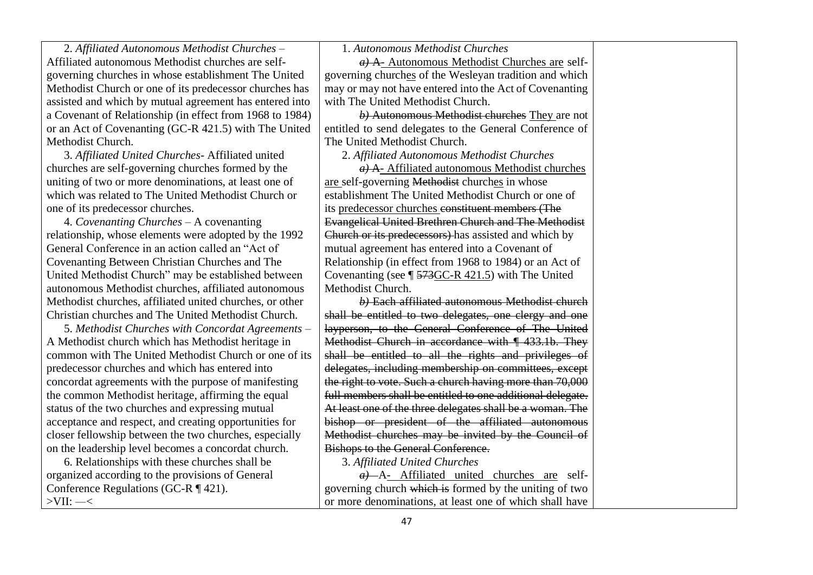3. *Affiliated United Churches-* Affiliated united churches are self-governing churches formed by the uniting of two or more denominations, at least one of which was related to The United Methodist Church or one of its predecessor churches.

4. *Covenanting Churches –* A covenanting relationship, whose elements were adopted by the 1992 General Conference in an action called an "Act of Covenanting Between Christian Churches and The United Methodist Church" may be established between autonomous Methodist churches, affiliated autonomous Methodist churches, affiliated united churches, or other Christian churches and The United Methodist Church.

5. *Methodist Churches with Concordat Agreements –* A Methodist church which has Methodist heritage in common with The United Methodist Church or one of its predecessor churches and which has entered into concordat agreements with the purpose of manifesting the common Methodist heritage, affirming the equal status of the two churches and expressing mutual acceptance and respect, and creating opportunities for closer fellowship between the two churches, especially on the leadership level becomes a concordat church.

6. Relationships with these churches shall be organized according to the provisions of General Conference Regulations (GC-R ¶ 421). >VII: *—<*

1. *Autonomous Methodist Churches*

*a)* A- Autonomous Methodist Churches are selfgoverning churches of the Wesleyan tradition and which may or may not have entered into the Act of Covenanting with The United Methodist Church.

*b)* Autonomous Methodist churches They are not entitled to send delegates to the General Conference of The United Methodist Church.

2. *Affiliated Autonomous Methodist Churches*

*a)* A- Affiliated autonomous Methodist churches are self-governing Methodist churches in whose establishment The United Methodist Church or one of its predecessor churches constituent members (The Evangelical United Brethren Church and The Methodist Church or its predecessors) has assisted and which by mutual agreement has entered into a Covenant of Relationship (in effect from 1968 to 1984) or an Act of Covenanting (see ¶ 573GC-R 421.5) with The United Methodist Church.

*b)* Each affiliated autonomous Methodist church shall be entitled to two delegates, one clergy and one layperson, to the General Conference of The United Methodist Church in accordance with **[433.1b.** They shall be entitled to all the rights and privileges of delegates, including membership on committees, except the right to vote. Such a church having more than 70,000 full members shall be entitled to one additional delegate. At least one of the three delegates shall be a woman. The bishop or president of the affiliated autonomous Methodist churches may be invited by the Council of Bishops to the General Conference.

3. *Affiliated United Churches*

*a)* A- Affiliated united churches are selfgoverning church which is formed by the uniting of two or more denominations, at least one of which shall have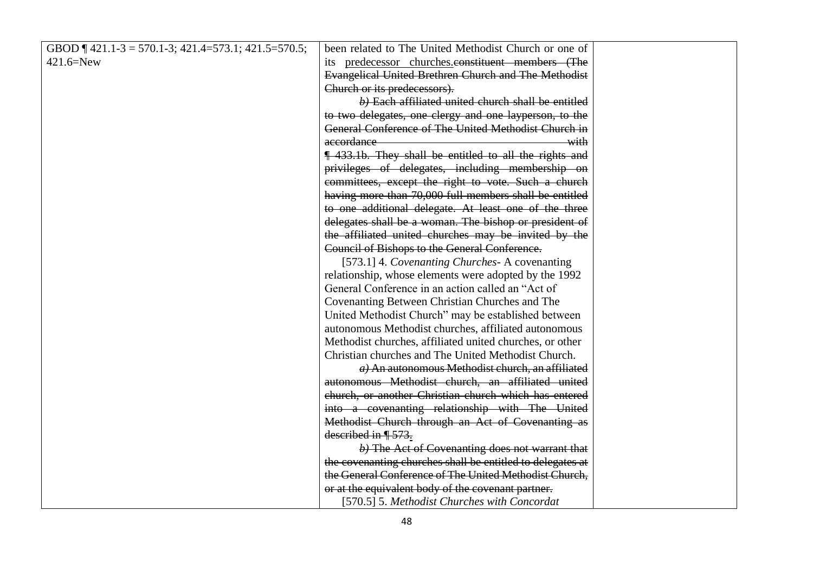| GBOD $\P$ 421.1-3 = 570.1-3; 421.4=573.1; 421.5=570.5; | been related to The United Methodist Church or one of       |  |
|--------------------------------------------------------|-------------------------------------------------------------|--|
| 421.6=New                                              | its predecessor churches.constituent members (The           |  |
|                                                        | <b>Evangelical United Brethren Church and The Methodist</b> |  |
|                                                        | Church or its predecessors).                                |  |
|                                                        | $b)$ Each affiliated united church shall be entitled        |  |
|                                                        | to two delegates, one clergy and one layperson, to the      |  |
|                                                        | General Conference of The United Methodist Church in        |  |
|                                                        | accordance<br>with                                          |  |
|                                                        | 433.1b. They shall be entitled to all the rights and        |  |
|                                                        | privileges of delegates, including membership on            |  |
|                                                        | committees, except the right to vote. Such a church         |  |
|                                                        | having more than 70,000 full members shall be entitled      |  |
|                                                        | to one additional delegate. At least one of the three       |  |
|                                                        | delegates shall be a woman. The bishop or president of      |  |
|                                                        | the affiliated united churches may be invited by the        |  |
|                                                        | Council of Bishops to the General Conference.               |  |
|                                                        | [573.1] 4. Covenanting Churches- A covenanting              |  |
|                                                        | relationship, whose elements were adopted by the 1992       |  |
|                                                        | General Conference in an action called an "Act of           |  |
|                                                        | Covenanting Between Christian Churches and The              |  |
|                                                        | United Methodist Church" may be established between         |  |
|                                                        | autonomous Methodist churches, affiliated autonomous        |  |
|                                                        | Methodist churches, affiliated united churches, or other    |  |
|                                                        | Christian churches and The United Methodist Church.         |  |
|                                                        | $a)$ An autonomous Methodist church, an affiliated          |  |
|                                                        | autonomous Methodist church, an affiliated united           |  |
|                                                        | church, or another Christian church which has entered       |  |
|                                                        | into a covenanting relationship with The United             |  |
|                                                        | Methodist Church through an Act of Covenanting as           |  |
|                                                        | described in $\P$ 573.                                      |  |
|                                                        | $b)$ The Act of Covenanting does not warrant that           |  |
|                                                        | the covenanting churches shall be entitled to delegates at  |  |
|                                                        | the General Conference of The United Methodist Church,      |  |
|                                                        | or at the equivalent body of the covenant partner.          |  |
|                                                        | [570.5] 5. Methodist Churches with Concordat                |  |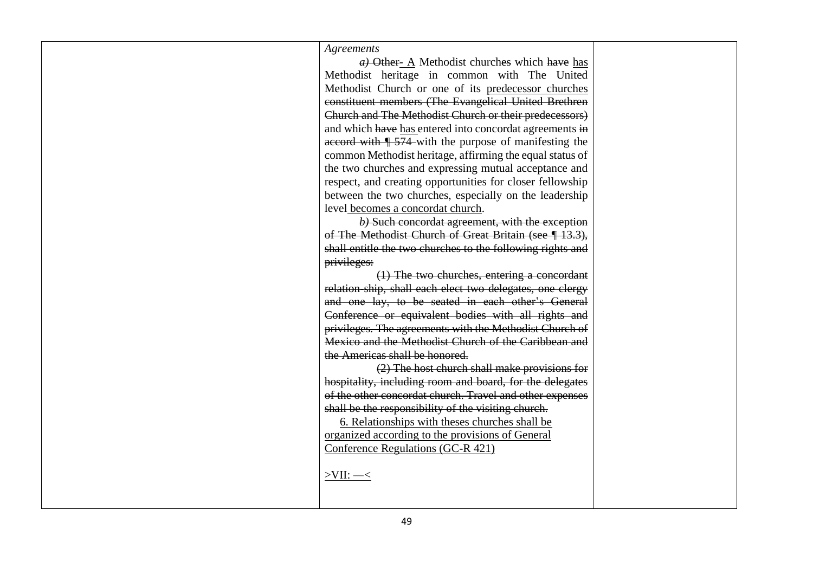*Agreements*

*a)* Other- A Methodist churches which have has Methodist heritage in common with The United Methodist Church or one of its predecessor churches constituent members (The Evangelical United Brethren Church and The Methodist Church or their predecessors) and which have has entered into concordat agreements in accord with ¶ 574 with the purpose of manifesting the common Methodist heritage, affirming the equal status of the two churches and expressing mutual acceptance and respect, and creating opportunities for closer fellowship between the two churches, especially on the leadership level becomes a concordat church.

*b)* Such concordat agreement, with the exception of The Methodist Church of Great Britain (see ¶ 13.3), shall entitle the two churches to the following rights and privileges:

(1) The two churches, entering a concordant relation-ship, shall each elect two delegates, one clergy and one lay, to be seated in each other's General Conference or equivalent bodies with all rights and privileges. The agreements with the Methodist Church of Mexico and the Methodist Church of the Caribbean and the Americas shall be honored.

(2) The host church shall make provisions for hospitality, including room and board, for the delegates of the other concordat church. Travel and other expenses shall be the responsibility of the visiting church.

6. Relationships with theses churches shall be organized according to the provisions of General Conference Regulations (GC-R 421)

>VII: *—<*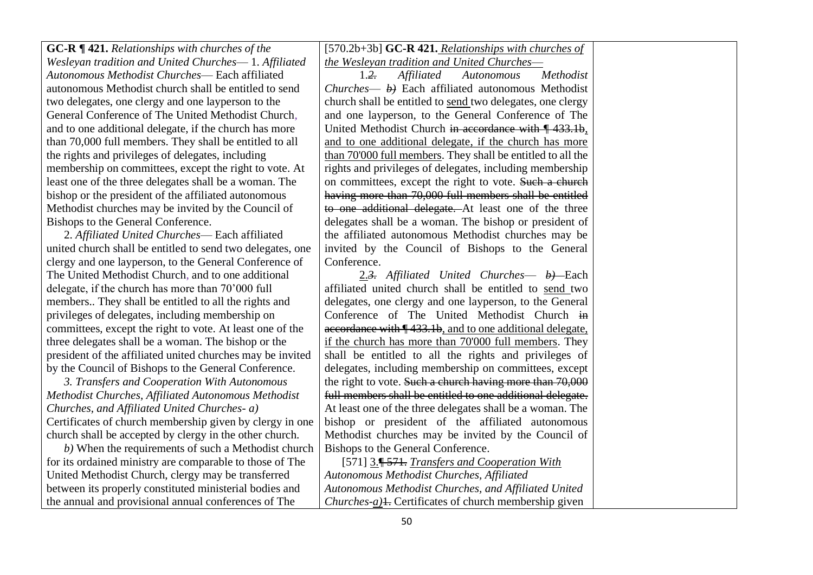**GC-R ¶ 421.** *Relationships with churches of the Wesleyan tradition and United Churches*— 1. *Affiliated Autonomous Methodist Churches*— Each affiliated autonomous Methodist church shall be entitled to send two delegates, one clergy and one layperson to the General Conference of The United Methodist Church, and to one additional delegate, if the church has more than 70,000 full members. They shall be entitled to all the rights and privileges of delegates, including membership on committees, except the right to vote. At least one of the three delegates shall be a woman. The bishop or the president of the affiliated autonomous Methodist churches may be invited by the Council of Bishops to the General Conference.

2. *Affiliated United Churches*— Each affiliated united church shall be entitled to send two delegates, one clergy and one layperson, to the General Conference of The United Methodist Church, and to one additional delegate, if the church has more than 70'000 full members.. They shall be entitled to all the rights and privileges of delegates, including membership on committees, except the right to vote. At least one of the three delegates shall be a woman. The bishop or the president of the affiliated united churches may be invited by the Council of Bishops to the General Conference.

*3. Transfers and Cooperation With Autonomous Methodist Churches, Affiliated Autonomous Methodist Churches, and Affiliated United Churches*- *a)* Certificates of church membership given by clergy in one church shall be accepted by clergy in the other church.

*b)* When the requirements of such a Methodist church for its ordained ministry are comparable to those of The United Methodist Church, clergy may be transferred between its properly constituted ministerial bodies and the annual and provisional annual conferences of The

[570.2b+3b] **GC-R 421.** *Relationships with churches of the Wesleyan tradition and United Churches*—

1.*2. Affiliated Autonomous Methodist Churches*— *b)* Each affiliated autonomous Methodist church shall be entitled to send two delegates, one clergy and one layperson, to the General Conference of The United Methodist Church in accordance with ¶ 433.1b, and to one additional delegate, if the church has more than 70'000 full members. They shall be entitled to all the rights and privileges of delegates, including membership on committees, except the right to vote. Such a church having more than 70,000 full members shall be entitled to one additional delegate. At least one of the three delegates shall be a woman. The bishop or president of the affiliated autonomous Methodist churches may be invited by the Council of Bishops to the General Conference.

2.*3. Affiliated United Churches*— *b)* Each affiliated united church shall be entitled to send two delegates, one clergy and one layperson, to the General Conference of The United Methodist Church in accordance with ¶ 433.1b, and to one additional delegate, if the church has more than 70'000 full members. They shall be entitled to all the rights and privileges of delegates, including membership on committees, except the right to vote. Such a church having more than 70,000 full members shall be entitled to one additional delegate. At least one of the three delegates shall be a woman. The bishop or president of the affiliated autonomous Methodist churches may be invited by the Council of Bishops to the General Conference.

[571] 3.¶ 571. *Transfers and Cooperation With Autonomous Methodist Churches, Affiliated Autonomous Methodist Churches, and Affiliated United Churches*-*a)*1. Certificates of church membership given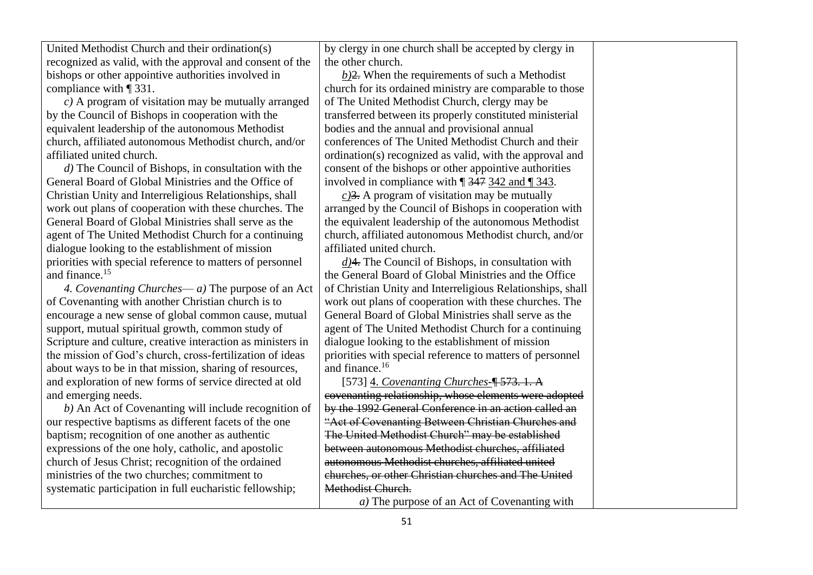United Methodist Church and their ordination(s) recognized as valid, with the approval and consent of the bishops or other appointive authorities involved in compliance with ¶ 331.

*c)* A program of visitation may be mutually arranged by the Council of Bishops in cooperation with the equivalent leadership of the autonomous Methodist church, affiliated autonomous Methodist church, and/or affiliated united church.

*d)* The Council of Bishops, in consultation with the General Board of Global Ministries and the Office of Christian Unity and Interreligious Relationships, shall work out plans of cooperation with these churches. The General Board of Global Ministries shall serve as the agent of The United Methodist Church for a continuing dialogue looking to the establishment of mission priorities with special reference to matters of personnel and finance  $15$ 

*4. Covenanting Churches*— *a)* The purpose of an Act of Covenanting with another Christian church is to encourage a new sense of global common cause, mutual support, mutual spiritual growth, common study of Scripture and culture, creative interaction as ministers in the mission of God's church, cross-fertilization of ideas about ways to be in that mission, sharing of resources, and exploration of new forms of service directed at old and emerging needs.

*b)* An Act of Covenanting will include recognition of our respective baptisms as different facets of the one baptism; recognition of one another as authentic expressions of the one holy, catholic, and apostolic church of Jesus Christ; recognition of the ordained ministries of the two churches; commitment to systematic participation in full eucharistic fellowship;

by clergy in one church shall be accepted by clergy in the other church.

*b)*2. When the requirements of such a Methodist church for its ordained ministry are comparable to those of The United Methodist Church, clergy may be transferred between its properly constituted ministerial bodies and the annual and provisional annual conferences of The United Methodist Church and their ordination(s) recognized as valid, with the approval and consent of the bishops or other appointive authorities involved in compliance with ¶ 347 342 and ¶ 343.

*c)*3. A program of visitation may be mutually arranged by the Council of Bishops in cooperation with the equivalent leadership of the autonomous Methodist church, affiliated autonomous Methodist church, and/or affiliated united church.

*d)*4. The Council of Bishops, in consultation with the General Board of Global Ministries and the Office of Christian Unity and Interreligious Relationships, shall work out plans of cooperation with these churches. The General Board of Global Ministries shall serve as the agent of The United Methodist Church for a continuing dialogue looking to the establishment of mission priorities with special reference to matters of personnel and finance.<sup>16</sup>

[573] 4. *Covenanting Churches-*¶ 573. 1. A covenanting relationship, whose elements were adopted by the 1992 General Conference in an action called an "Act of Covenanting Between Christian Churches and The United Methodist Church" may be established between autonomous Methodist churches, affiliated autonomous Methodist churches, affiliated united churches, or other Christian churches and The United Methodist Church. *a)* The purpose of an Act of Covenanting with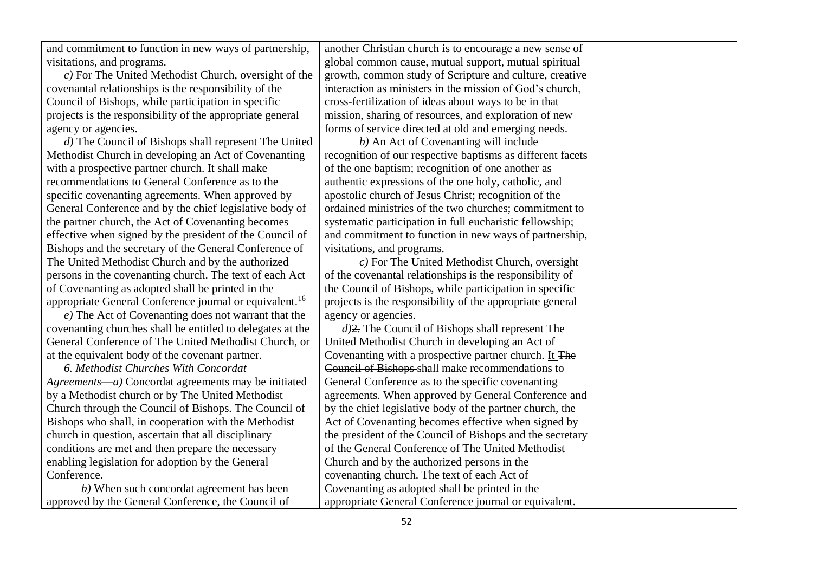and commitment to function in new ways of partnership, visitations, and programs.

*c)* For The United Methodist Church, oversight of the covenantal relationships is the responsibility of the Council of Bishops, while participation in specific projects is the responsibility of the appropriate general agency or agencies.

*d)* The Council of Bishops shall represent The United Methodist Church in developing an Act of Covenanting with a prospective partner church. It shall make recommendations to General Conference as to the specific covenanting agreements. When approved by General Conference and by the chief legislative body of the partner church, the Act of Covenanting becomes effective when signed by the president of the Council of Bishops and the secretary of the General Conference of The United Methodist Church and by the authorized persons in the covenanting church. The text of each Act of Covenanting as adopted shall be printed in the appropriate General Conference journal or equivalent.<sup>16</sup>

*e)* The Act of Covenanting does not warrant that the covenanting churches shall be entitled to delegates at the General Conference of The United Methodist Church, or at the equivalent body of the covenant partner.

*6. Methodist Churches With Concordat Agreements*—*a)* Concordat agreements may be initiated by a Methodist church or by The United Methodist Church through the Council of Bishops. The Council of Bishops who shall, in cooperation with the Methodist church in question, ascertain that all disciplinary conditions are met and then prepare the necessary enabling legislation for adoption by the General Conference.

*b)* When such concordat agreement has been approved by the General Conference, the Council of

another Christian church is to encourage a new sense of global common cause, mutual support, mutual spiritual growth, common study of Scripture and culture, creative interaction as ministers in the mission of God's church, cross-fertilization of ideas about ways to be in that mission, sharing of resources, and exploration of new forms of service directed at old and emerging needs.

*b)* An Act of Covenanting will include recognition of our respective baptisms as different facets of the one baptism; recognition of one another as authentic expressions of the one holy, catholic, and apostolic church of Jesus Christ; recognition of the ordained ministries of the two churches; commitment to systematic participation in full eucharistic fellowship; and commitment to function in new ways of partnership, visitations, and programs.

*c)* For The United Methodist Church, oversight of the covenantal relationships is the responsibility of the Council of Bishops, while participation in specific projects is the responsibility of the appropriate general agency or agencies.

*d)*2. The Council of Bishops shall represent The United Methodist Church in developing an Act of Covenanting with a prospective partner church. It The Council of Bishops shall make recommendations to General Conference as to the specific covenanting agreements. When approved by General Conference and by the chief legislative body of the partner church, the Act of Covenanting becomes effective when signed by the president of the Council of Bishops and the secretary of the General Conference of The United Methodist Church and by the authorized persons in the covenanting church. The text of each Act of Covenanting as adopted shall be printed in the appropriate General Conference journal or equivalent.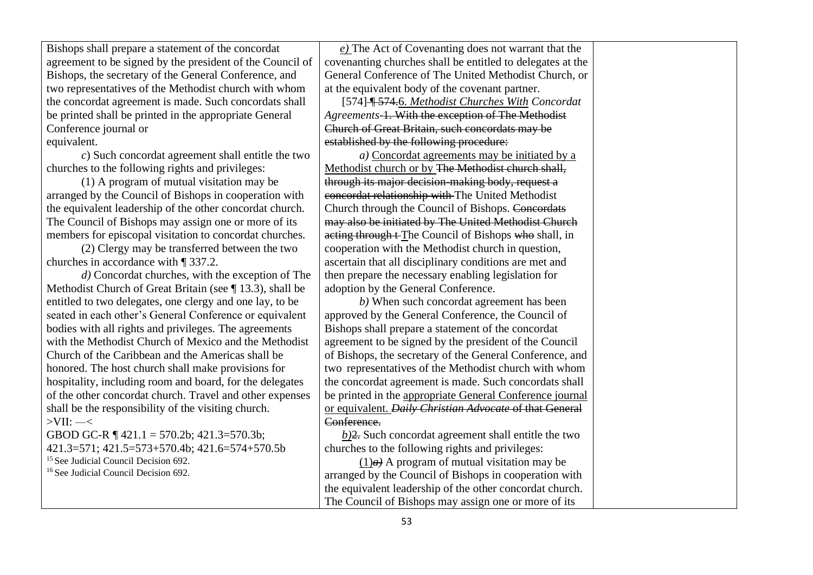Bishops shall prepare a statement of the concordat agreement to be signed by the president of the Council of Bishops, the secretary of the General Conference, and two representatives of the Methodist church with whom the concordat agreement is made. Such concordats shall be printed shall be printed in the appropriate General Conference journal or equivalent.

*c*) Such concordat agreement shall entitle the two churches to the following rights and privileges:

(1) A program of mutual visitation may be arranged by the Council of Bishops in cooperation with the equivalent leadership of the other concordat church. The Council of Bishops may assign one or more of its members for episcopal visitation to concordat churches.

(2) Clergy may be transferred between the two churches in accordance with ¶ 337.2.

*d)* Concordat churches, with the exception of The Methodist Church of Great Britain (see ¶ 13.3), shall be entitled to two delegates, one clergy and one lay, to be seated in each other's General Conference or equivalent bodies with all rights and privileges. The agreements with the Methodist Church of Mexico and the Methodist Church of the Caribbean and the Americas shall be honored. The host church shall make provisions for hospitality, including room and board, for the delegates of the other concordat church. Travel and other expenses shall be the responsibility of the visiting church. >VII: *—<*

GBOD GC-R ¶ 421.1 = 570.2b; 421.3=570.3b; 421.3=571; 421.5=573+570.4b; 421.6=574+570.5b <sup>15</sup> See Judicial Council Decision 692. <sup>16</sup> See Judicial Council Decision 692.

*e)* The Act of Covenanting does not warrant that the covenanting churches shall be entitled to delegates at the General Conference of The United Methodist Church, or at the equivalent body of the covenant partner.

 [574] ¶ 574.6. *Methodist Churches With Concordat Agreements*-1. With the exception of The Methodist Church of Great Britain, such concordats may be established by the following procedure:

*a)* Concordat agreements may be initiated by a Methodist church or by The Methodist church shall. through its major decision-making body, request a concordat relationship with The United Methodist Church through the Council of Bishops. Concordats may also be initiated by The United Methodist Church acting through t-The Council of Bishops who shall, in cooperation with the Methodist church in question, ascertain that all disciplinary conditions are met and then prepare the necessary enabling legislation for adoption by the General Conference.

*b)* When such concordat agreement has been approved by the General Conference, the Council of Bishops shall prepare a statement of the concordat agreement to be signed by the president of the Council of Bishops, the secretary of the General Conference, and two representatives of the Methodist church with whom the concordat agreement is made. Such concordats shall be printed in the appropriate General Conference journal or equivalent. *Daily Christian Advocate* of that General Conference.

*b)*2. Such concordat agreement shall entitle the two churches to the following rights and privileges:

 $(1)$ <sup>a</sup> A program of mutual visitation may be arranged by the Council of Bishops in cooperation with the equivalent leadership of the other concordat church. The Council of Bishops may assign one or more of its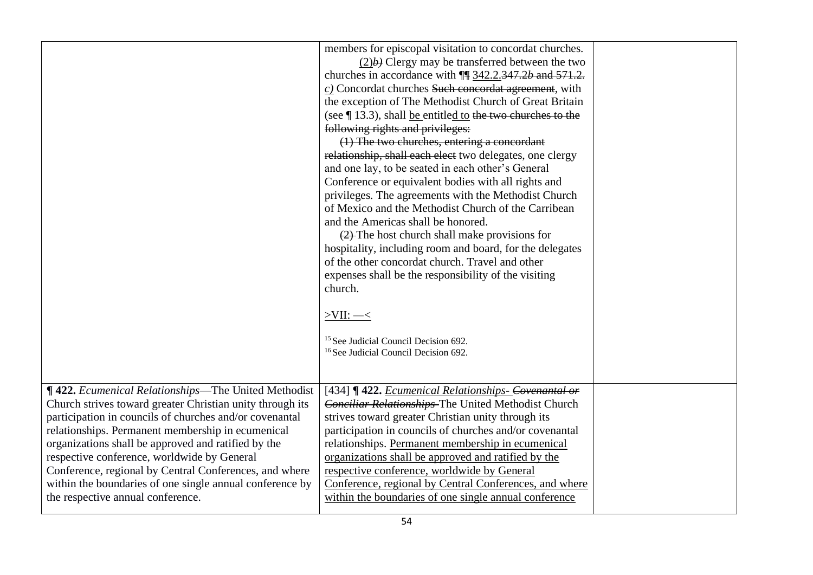|                                                                                                                                                                                                                                                                                                                                                                                                                                                                                                    | members for episcopal visitation to concordat churches.<br>$(2)$ b) Clergy may be transferred between the two<br>churches in accordance with $\P$ 342.2.347.2b and 571.2.<br>$c)$ Concordat churches Such concordat agreement, with<br>the exception of The Methodist Church of Great Britain<br>(see $\P$ 13.3), shall be entitled to the two churches to the<br>following rights and privileges:<br>$(1)$ The two churches, entering a concordant<br>relationship, shall each elect two delegates, one clergy<br>and one lay, to be seated in each other's General<br>Conference or equivalent bodies with all rights and<br>privileges. The agreements with the Methodist Church<br>of Mexico and the Methodist Church of the Carribean<br>and the Americas shall be honored.<br>$\left(2\right)$ The host church shall make provisions for<br>hospitality, including room and board, for the delegates<br>of the other concordat church. Travel and other<br>expenses shall be the responsibility of the visiting<br>church. |  |
|----------------------------------------------------------------------------------------------------------------------------------------------------------------------------------------------------------------------------------------------------------------------------------------------------------------------------------------------------------------------------------------------------------------------------------------------------------------------------------------------------|----------------------------------------------------------------------------------------------------------------------------------------------------------------------------------------------------------------------------------------------------------------------------------------------------------------------------------------------------------------------------------------------------------------------------------------------------------------------------------------------------------------------------------------------------------------------------------------------------------------------------------------------------------------------------------------------------------------------------------------------------------------------------------------------------------------------------------------------------------------------------------------------------------------------------------------------------------------------------------------------------------------------------------|--|
|                                                                                                                                                                                                                                                                                                                                                                                                                                                                                                    | $>$ VII: $-$<br><sup>15</sup> See Judicial Council Decision 692.<br><sup>16</sup> See Judicial Council Decision 692.                                                                                                                                                                                                                                                                                                                                                                                                                                                                                                                                                                                                                                                                                                                                                                                                                                                                                                             |  |
| ¶ 422. Ecumenical Relationships-The United Methodist<br>Church strives toward greater Christian unity through its<br>participation in councils of churches and/or covenantal<br>relationships. Permanent membership in ecumenical<br>organizations shall be approved and ratified by the<br>respective conference, worldwide by General<br>Conference, regional by Central Conferences, and where<br>within the boundaries of one single annual conference by<br>the respective annual conference. | [434] ¶ 422. Ecumenical Relationships-Covenantal or<br><b>Conciliar Relationships-The United Methodist Church</b><br>strives toward greater Christian unity through its<br>participation in councils of churches and/or covenantal<br>relationships. Permanent membership in ecumenical<br>organizations shall be approved and ratified by the<br>respective conference, worldwide by General<br>Conference, regional by Central Conferences, and where<br>within the boundaries of one single annual conference                                                                                                                                                                                                                                                                                                                                                                                                                                                                                                                 |  |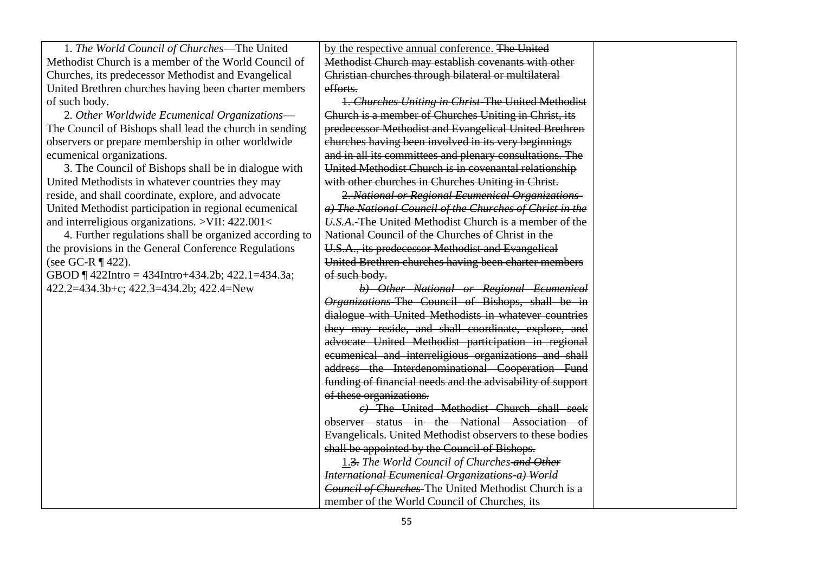1. *The World Council of Churches*—The United Methodist Church is a member of the World Council of Churches, its predecessor Methodist and Evangelical United Brethren churches having been charter members of such body.

2. *Other Worldwide Ecumenical Organizations*— The Council of Bishops shall lead the church in sending observers or prepare membership in other worldwide ecumenical organizations.

3. The Council of Bishops shall be in dialogue with United Methodists in whatever countries they may reside, and shall coordinate, explore, and advocate United Methodist participation in regional ecumenical and interreligious organizations. >VII: 422.001<

4. Further regulations shall be organized according to the provisions in the General Conference Regulations (see GC-R ¶ 422).

GBOD ¶ 422Intro = 434Intro+434.2b; 422.1=434.3a; 422.2=434.3b+c; 422.3=434.2b; 422.4=New

by the respective annual conference. The United Methodist Church may establish covenants with other Christian churches through bilateral or multilateral efforts.

1. *Churches Uniting in Christ*-The United Methodist Church is a member of Churches Uniting in Christ, its predecessor Methodist and Evangelical United Brethren churches having been involved in its very beginnings and in all its committees and plenary consultations. The United Methodist Church is in covenantal relationship with other churches in Churches Uniting in Christ.

2. *National or Regional Ecumenical Organizationsa) The National Council of the Churches of Christ in the U.S.A*.-The United Methodist Church is a member of the National Council of the Churches of Christ in the U.S.A., its predecessor Methodist and Evangelical United Brethren churches having been charter members of such body.

*b) Other National or Regional Ecumenical Organizations*-The Council of Bishops, shall be in dialogue with United Methodists in whatever countries they may reside, and shall coordinate, explore, and advocate United Methodist participation in regional ecumenical and interreligious organizations and shall address the Interdenominational Cooperation Fund funding of financial needs and the advisability of support of these organizations.

*c)* The United Methodist Church shall seek observer status in the National Association of Evangelicals. United Methodist observers to these bodies shall be appointed by the Council of Bishops.

1.3. *The World Council of Churches and Other International Ecumenical Organizations-a) World Council of Churches*-The United Methodist Church is a member of the World Council of Churches, its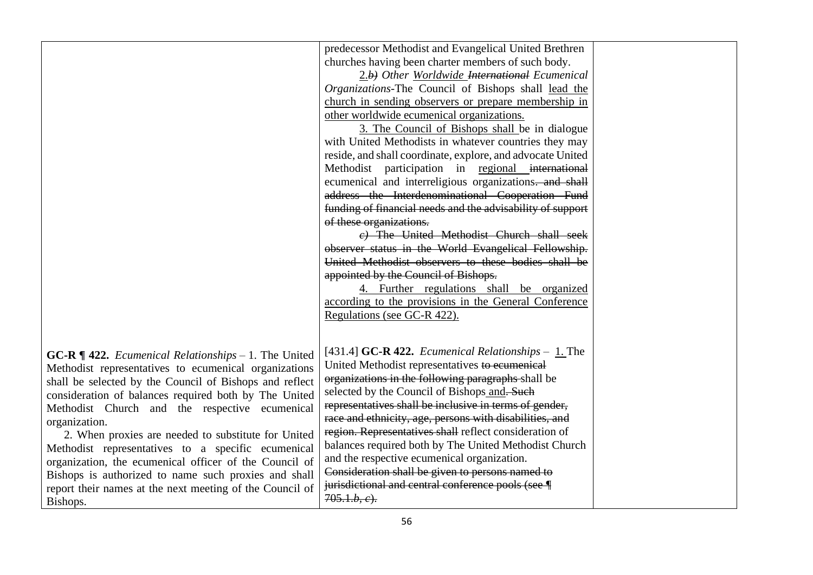**GC-R ¶ 422.** *Ecumenical Relationships –* 1. The United Methodist representatives to ecumenical organizations shall be selected by the Council of Bishops and reflect consideration of balances required both by The United Methodist Church and the respective ecumenical organization.

2. When proxies are needed to substitute for United Methodist representatives to a specific ecumenical organization, the ecumenical officer of the Council of Bishops is authorized to name such proxies and shall report their names at the next meeting of the Council of Bishops.

predecessor Methodist and Evangelical United Brethren churches having been charter members of such body.

2.*b) Other Worldwide International Ecumenical Organizations*-The Council of Bishops shall lead the church in sending observers or prepare membership in other worldwide ecumenical organizations.

3. The Council of Bishops shall be in dialogue with United Methodists in whatever countries they may reside, and shall coordinate, explore, and advocate United Methodist participation in regional international ecumenical and interreligious organizations. and shall address the Interdenominational Cooperation Fund funding of financial needs and the advisability of support of these organizations.

*c)* The United Methodist Church shall seek observer status in the World Evangelical Fellowship. United Methodist observers to these bodies shall be appointed by the Council of Bishops.

4. Further regulations shall be organized according to the provisions in the General Conference Regulations (see GC-R 422).

[431.4] **GC-R 422.** *Ecumenical Relationships –* 1. The United Methodist representatives to ecumenical organizations in the following paragraphs shall be selected by the Council of Bishops and. Such representatives shall be inclusive in terms of gender, race and ethnicity, age, persons with disabilities, and region. Representatives shall reflect consideration of balances required both by The United Methodist Church and the respective ecumenical organization. Consideration shall be given to persons named to jurisdictional and central conference pools (see ¶ 705.1.*b, c*).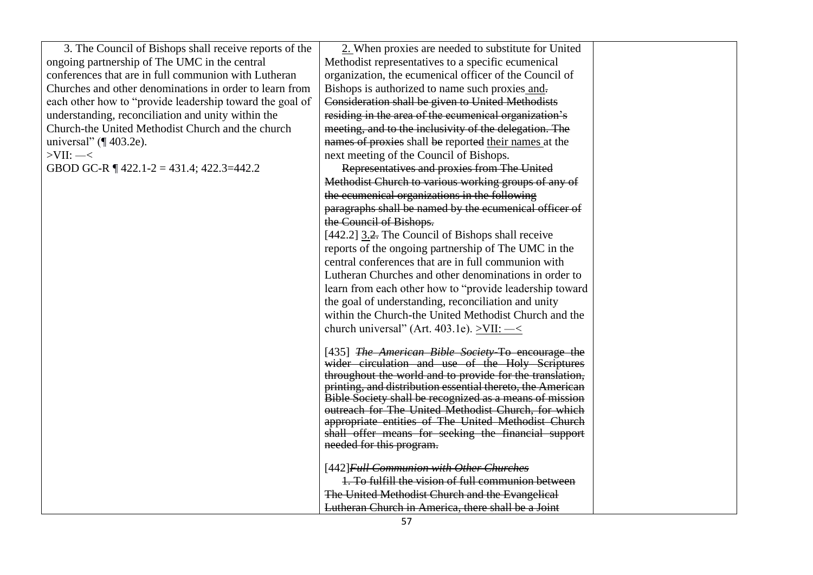| 3. The Council of Bishops shall receive reports of the   |
|----------------------------------------------------------|
| ongoing partnership of The UMC in the central            |
| conferences that are in full communion with Lutheran     |
| Churches and other denominations in order to learn from  |
| each other how to "provide leadership toward the goal of |
| understanding, reconciliation and unity within the       |
| Church-the United Methodist Church and the church        |
| universal" $(\P 403.2e)$ .                               |
| $>VII: -<$                                               |
| GBOD GC-R $\P$ 422.1-2 = 431.4; 422.3=442.2              |

2. When proxies are needed to substitute for United Methodist representatives to a specific ecumenical organization, the ecumenical officer of the Council of Bishops is authorized to name such proxies and. Consideration shall be given to United Methodists residing in the area of the ecumenical organization's meeting, and to the inclusivity of the delegation. The names of proxies shall be reported their names at the next meeting of the Council of Bishops.

Representatives and proxies from The United Methodist Church to various working groups of any of the ecumenical organizations in the following paragraphs shall be named by the ecumenical officer of the Council of Bishops.

[442.2] 3.<del>2.</del> The Council of Bishops shall receive reports of the ongoing partnership of The UMC in the central conferences that are in full communion with Lutheran Churches and other denominations in order to learn from each other how to "provide leadership toward the goal of understanding, reconciliation and unity within the Church-the United Methodist Church and the church universal" (Art. 403.1e). >VII: *—<*

[435] *The American Bible Society*-To encourage the wider circulation and use of the Holy Scriptures throughout the world and to provide for the translation, printing, and distribution essential thereto, the American Bible Society shall be recognized as a means of mission outreach for The United Methodist Church, for which appropriate entities of The United Methodist Church shall offer means for seeking the financial support needed for this program.

[442]*Full Communion with Other Churches*

1. To fulfill the vision of full communion between The United Methodist Church and the Evangelical Lutheran Church in America, there shall be a Joint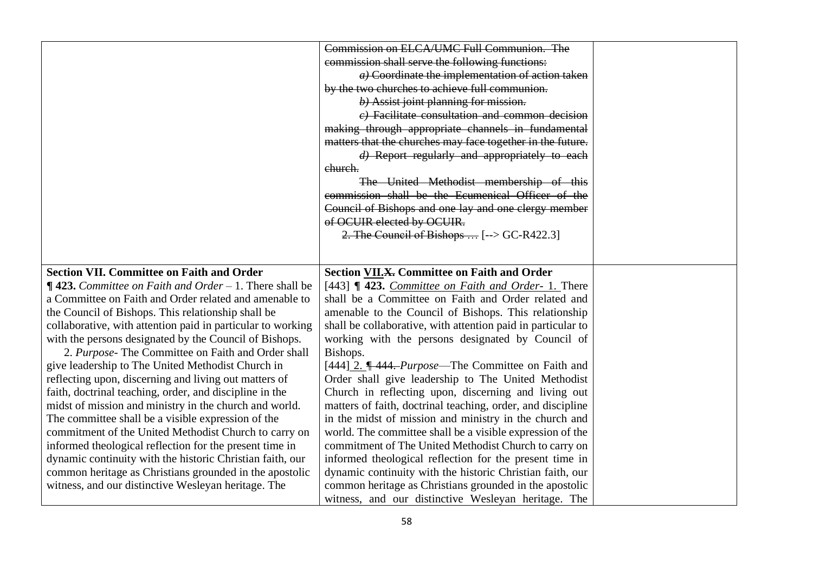|                                                                              | Commission on ELCA/UMC Full Communion. The                   |  |
|------------------------------------------------------------------------------|--------------------------------------------------------------|--|
|                                                                              | commission shall serve the following functions:              |  |
|                                                                              | $a)$ Coordinate the implementation of action taken           |  |
|                                                                              | by the two churches to achieve full communion.               |  |
|                                                                              | b) Assist joint planning for mission.                        |  |
|                                                                              | $e$ ) Facilitate consultation and common decision            |  |
|                                                                              | making through appropriate channels in fundamental           |  |
|                                                                              | matters that the churches may face together in the future.   |  |
|                                                                              | $d$ ) Report regularly and appropriately to each             |  |
|                                                                              | ehureh.                                                      |  |
|                                                                              | The United Methodist membership of this                      |  |
|                                                                              | commission shall be the Ecumenical Officer of the            |  |
|                                                                              | Council of Bishops and one lay and one clergy member         |  |
|                                                                              | of OCUIR elected by OCUIR.                                   |  |
|                                                                              | 2. The Council of Bishops  [--> GC-R422.3]                   |  |
|                                                                              |                                                              |  |
|                                                                              |                                                              |  |
| <b>Section VII. Committee on Faith and Order</b>                             | <b>Section VII.X. Committee on Faith and Order</b>           |  |
| <b><math>\P</math></b> 423. Committee on Faith and Order – 1. There shall be | [443] ¶ 423. Committee on Faith and Order- 1. There          |  |
| a Committee on Faith and Order related and amenable to                       | shall be a Committee on Faith and Order related and          |  |
| the Council of Bishops. This relationship shall be                           | amenable to the Council of Bishops. This relationship        |  |
| collaborative, with attention paid in particular to working                  | shall be collaborative, with attention paid in particular to |  |
| with the persons designated by the Council of Bishops.                       | working with the persons designated by Council of            |  |
| 2. Purpose-The Committee on Faith and Order shall                            | Bishops.                                                     |  |
| give leadership to The United Methodist Church in                            | [444] 2. <i>444</i> Purpose—The Committee on Faith and       |  |
| reflecting upon, discerning and living out matters of                        | Order shall give leadership to The United Methodist          |  |
| faith, doctrinal teaching, order, and discipline in the                      | Church in reflecting upon, discerning and living out         |  |
| midst of mission and ministry in the church and world.                       | matters of faith, doctrinal teaching, order, and discipline  |  |
| The committee shall be a visible expression of the                           | in the midst of mission and ministry in the church and       |  |
| commitment of the United Methodist Church to carry on                        | world. The committee shall be a visible expression of the    |  |
| informed theological reflection for the present time in                      | commitment of The United Methodist Church to carry on        |  |
| dynamic continuity with the historic Christian faith, our                    | informed theological reflection for the present time in      |  |
| common heritage as Christians grounded in the apostolic                      | dynamic continuity with the historic Christian faith, our    |  |
| witness, and our distinctive Wesleyan heritage. The                          | common heritage as Christians grounded in the apostolic      |  |
|                                                                              | witness, and our distinctive Wesleyan heritage. The          |  |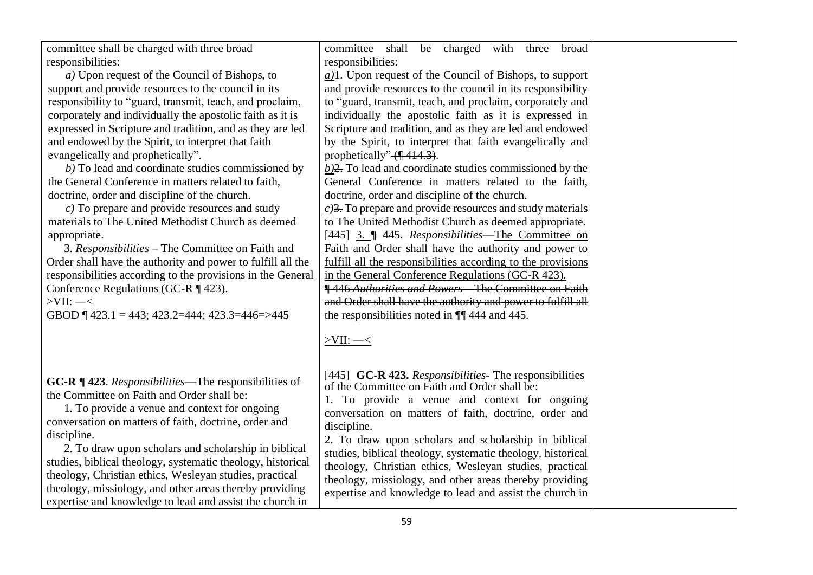| committee shall be charged with three broad<br>responsibilities:<br>a) Upon request of the Council of Bishops, to | be charged with three<br>committee shall<br>broad<br>responsibilities:<br>$\underline{a}$ . Upon request of the Council of Bishops, to support |  |
|-------------------------------------------------------------------------------------------------------------------|------------------------------------------------------------------------------------------------------------------------------------------------|--|
| support and provide resources to the council in its                                                               | and provide resources to the council in its responsibility                                                                                     |  |
| responsibility to "guard, transmit, teach, and proclaim,                                                          | to "guard, transmit, teach, and proclaim, corporately and                                                                                      |  |
| corporately and individually the apostolic faith as it is                                                         | individually the apostolic faith as it is expressed in                                                                                         |  |
| expressed in Scripture and tradition, and as they are led                                                         | Scripture and tradition, and as they are led and endowed                                                                                       |  |
| and endowed by the Spirit, to interpret that faith                                                                | by the Spirit, to interpret that faith evangelically and                                                                                       |  |
| evangelically and prophetically".                                                                                 | prophetically" $(\sqrt{444.3})$ .                                                                                                              |  |
| $b)$ To lead and coordinate studies commissioned by                                                               | $\underline{b}$ . To lead and coordinate studies commissioned by the                                                                           |  |
| the General Conference in matters related to faith,                                                               | General Conference in matters related to the faith,                                                                                            |  |
| doctrine, order and discipline of the church.                                                                     | doctrine, order and discipline of the church.                                                                                                  |  |
| $c$ ) To prepare and provide resources and study                                                                  | $c$ ). To prepare and provide resources and study materials                                                                                    |  |
| materials to The United Methodist Church as deemed                                                                | to The United Methodist Church as deemed appropriate.                                                                                          |  |
| appropriate.                                                                                                      | [445] 3. $\sqrt{445}$ . Responsibilities—The Committee on                                                                                      |  |
| 3. Responsibilities – The Committee on Faith and                                                                  | Faith and Order shall have the authority and power to                                                                                          |  |
| Order shall have the authority and power to fulfill all the                                                       | fulfill all the responsibilities according to the provisions                                                                                   |  |
| responsibilities according to the provisions in the General                                                       | in the General Conference Regulations (GC-R 423).<br>¶446 Authorities and Powers The Committee on Faith                                        |  |
| Conference Regulations (GC-R $\P$ 423).<br>$>$ VII: $-$ <                                                         | and Order shall have the authority and power to fulfill all                                                                                    |  |
| GBOD $\P$ 423.1 = 443; 423.2=444; 423.3=446=>445                                                                  | the responsibilities noted in <b>11</b> 444 and 445.                                                                                           |  |
|                                                                                                                   |                                                                                                                                                |  |
|                                                                                                                   | $>$ VII: $-\leq$                                                                                                                               |  |
|                                                                                                                   | [445] GC-R 423. Responsibilities- The responsibilities                                                                                         |  |
| $GC-R \llbracket$ 423. <i>Responsibilities</i> —The responsibilities of                                           | of the Committee on Faith and Order shall be:                                                                                                  |  |
| the Committee on Faith and Order shall be:                                                                        | 1. To provide a venue and context for ongoing                                                                                                  |  |
| 1. To provide a venue and context for ongoing<br>conversation on matters of faith, doctrine, order and            | conversation on matters of faith, doctrine, order and                                                                                          |  |
| discipline.                                                                                                       | discipline.                                                                                                                                    |  |
| 2. To draw upon scholars and scholarship in biblical                                                              | 2. To draw upon scholars and scholarship in biblical                                                                                           |  |
| studies, biblical theology, systematic theology, historical                                                       | studies, biblical theology, systematic theology, historical                                                                                    |  |
| theology, Christian ethics, Wesleyan studies, practical                                                           | theology, Christian ethics, Wesleyan studies, practical                                                                                        |  |
| theology, missiology, and other areas thereby providing                                                           | theology, missiology, and other areas thereby providing                                                                                        |  |
| expertise and knowledge to lead and assist the church in                                                          | expertise and knowledge to lead and assist the church in                                                                                       |  |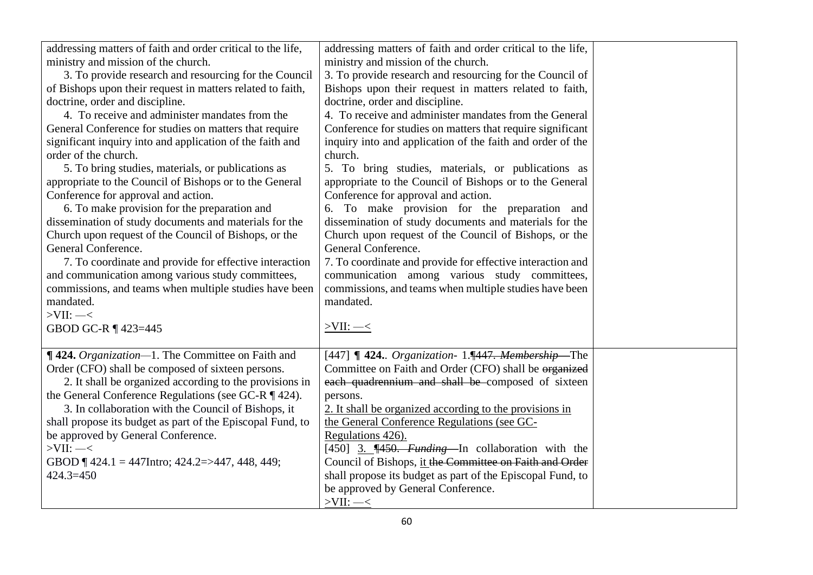| addressing matters of faith and order critical to the life, | addressing matters of faith and order critical to the life, |  |
|-------------------------------------------------------------|-------------------------------------------------------------|--|
| ministry and mission of the church.                         | ministry and mission of the church.                         |  |
| 3. To provide research and resourcing for the Council       | 3. To provide research and resourcing for the Council of    |  |
| of Bishops upon their request in matters related to faith,  | Bishops upon their request in matters related to faith,     |  |
| doctrine, order and discipline.                             | doctrine, order and discipline.                             |  |
| 4. To receive and administer mandates from the              | 4. To receive and administer mandates from the General      |  |
| General Conference for studies on matters that require      | Conference for studies on matters that require significant  |  |
| significant inquiry into and application of the faith and   | inquiry into and application of the faith and order of the  |  |
| order of the church.                                        | church.                                                     |  |
| 5. To bring studies, materials, or publications as          | 5. To bring studies, materials, or publications as          |  |
| appropriate to the Council of Bishops or to the General     | appropriate to the Council of Bishops or to the General     |  |
| Conference for approval and action.                         | Conference for approval and action.                         |  |
| 6. To make provision for the preparation and                | 6. To make provision for the preparation and                |  |
| dissemination of study documents and materials for the      | dissemination of study documents and materials for the      |  |
| Church upon request of the Council of Bishops, or the       | Church upon request of the Council of Bishops, or the       |  |
| General Conference.                                         | General Conference.                                         |  |
| 7. To coordinate and provide for effective interaction      | 7. To coordinate and provide for effective interaction and  |  |
| and communication among various study committees,           | communication among various study committees,               |  |
| commissions, and teams when multiple studies have been      | commissions, and teams when multiple studies have been      |  |
| mandated.                                                   | mandated.                                                   |  |
| $>$ VII: $-$ <                                              |                                                             |  |
| GBOD GC-R ¶ 423=445                                         | $>$ VII: $-\leq$                                            |  |
|                                                             |                                                             |  |
| <b>¶ 424.</b> Organization-1. The Committee on Faith and    | [447] ¶ 424. Organization- 1. [447. Membership-The          |  |
| Order (CFO) shall be composed of sixteen persons.           | Committee on Faith and Order (CFO) shall be organized       |  |
| 2. It shall be organized according to the provisions in     | each quadrennium and shall be composed of sixteen           |  |
| the General Conference Regulations (see GC-R $\P$ 424).     | persons.                                                    |  |
| 3. In collaboration with the Council of Bishops, it         | 2. It shall be organized according to the provisions in     |  |
| shall propose its budget as part of the Episcopal Fund, to  | the General Conference Regulations (see GC-                 |  |
| be approved by General Conference.                          | Regulations 426).                                           |  |
| $>$ VII: $-$ <                                              | [450] 3. [450. <i>Funding</i> —In collaboration with the    |  |
| GBOD $\P$ 424.1 = 447Intro; 424.2=>447, 448, 449;           | Council of Bishops, it the Committee on Faith and Order     |  |
| $424.3 = 450$                                               | shall propose its budget as part of the Episcopal Fund, to  |  |
|                                                             | be approved by General Conference.                          |  |
|                                                             | $>$ VII: $-$ <                                              |  |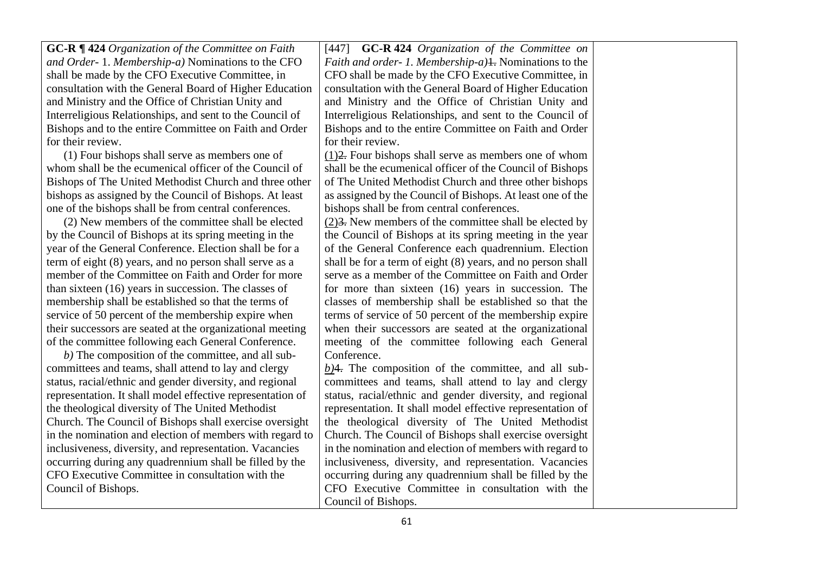| $GC-R \nsubseteq 424$ Organization of the Committee on Faith | [447] GC-R 424 Organization of the Committee on                    |  |
|--------------------------------------------------------------|--------------------------------------------------------------------|--|
| and Order- 1. Membership-a) Nominations to the CFO           | Faith and order- 1. Membership-a) <del>1.</del> Nominations to the |  |
| shall be made by the CFO Executive Committee, in             | CFO shall be made by the CFO Executive Committee, in               |  |
| consultation with the General Board of Higher Education      | consultation with the General Board of Higher Education            |  |
| and Ministry and the Office of Christian Unity and           | and Ministry and the Office of Christian Unity and                 |  |
| Interreligious Relationships, and sent to the Council of     | Interreligious Relationships, and sent to the Council of           |  |
| Bishops and to the entire Committee on Faith and Order       | Bishops and to the entire Committee on Faith and Order             |  |
| for their review.                                            | for their review.                                                  |  |
| (1) Four bishops shall serve as members one of               | $(1)$ 2. Four bishops shall serve as members one of whom           |  |
| whom shall be the ecumenical officer of the Council of       | shall be the ecumenical officer of the Council of Bishops          |  |
| Bishops of The United Methodist Church and three other       | of The United Methodist Church and three other bishops             |  |
| bishops as assigned by the Council of Bishops. At least      | as assigned by the Council of Bishops. At least one of the         |  |
| one of the bishops shall be from central conferences.        | bishops shall be from central conferences.                         |  |
| (2) New members of the committee shall be elected            | $(2)$ 3. New members of the committee shall be elected by          |  |
| by the Council of Bishops at its spring meeting in the       | the Council of Bishops at its spring meeting in the year           |  |
| year of the General Conference. Election shall be for a      | of the General Conference each quadrennium. Election               |  |
| term of eight (8) years, and no person shall serve as a      | shall be for a term of eight (8) years, and no person shall        |  |
| member of the Committee on Faith and Order for more          | serve as a member of the Committee on Faith and Order              |  |
| than sixteen $(16)$ years in succession. The classes of      | for more than sixteen (16) years in succession. The                |  |
| membership shall be established so that the terms of         | classes of membership shall be established so that the             |  |
| service of 50 percent of the membership expire when          | terms of service of 50 percent of the membership expire            |  |
| their successors are seated at the organizational meeting    | when their successors are seated at the organizational             |  |
| of the committee following each General Conference.          | meeting of the committee following each General                    |  |
| $b$ ) The composition of the committee, and all sub-         | Conference.                                                        |  |
| committees and teams, shall attend to lay and clergy         | $b$ )4. The composition of the committee, and all sub-             |  |
| status, racial/ethnic and gender diversity, and regional     | committees and teams, shall attend to lay and clergy               |  |
| representation. It shall model effective representation of   | status, racial/ethnic and gender diversity, and regional           |  |
| the theological diversity of The United Methodist            | representation. It shall model effective representation of         |  |
| Church. The Council of Bishops shall exercise oversight      | the theological diversity of The United Methodist                  |  |
| in the nomination and election of members with regard to     | Church. The Council of Bishops shall exercise oversight            |  |
| inclusiveness, diversity, and representation. Vacancies      | in the nomination and election of members with regard to           |  |
| occurring during any quadrennium shall be filled by the      | inclusiveness, diversity, and representation. Vacancies            |  |
| CFO Executive Committee in consultation with the             | occurring during any quadrennium shall be filled by the            |  |
| Council of Bishops.                                          | CFO Executive Committee in consultation with the                   |  |
|                                                              | Council of Bishops.                                                |  |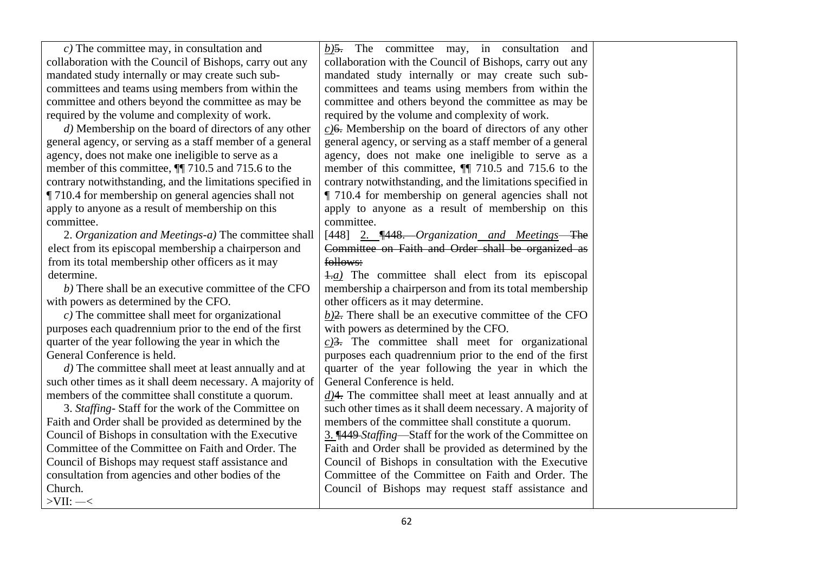| $c$ ) The committee may, in consultation and               | $b)$ 5. The committee may, in consultation and                |  |
|------------------------------------------------------------|---------------------------------------------------------------|--|
| collaboration with the Council of Bishops, carry out any   | collaboration with the Council of Bishops, carry out any      |  |
| mandated study internally or may create such sub-          | mandated study internally or may create such sub-             |  |
| committees and teams using members from within the         | committees and teams using members from within the            |  |
| committee and others beyond the committee as may be        | committee and others beyond the committee as may be           |  |
| required by the volume and complexity of work.             | required by the volume and complexity of work.                |  |
| d) Membership on the board of directors of any other       | $c$ ) 6. Membership on the board of directors of any other    |  |
| general agency, or serving as a staff member of a general  | general agency, or serving as a staff member of a general     |  |
| agency, does not make one ineligible to serve as a         | agency, does not make one ineligible to serve as a            |  |
| member of this committee, ¶ 710.5 and 715.6 to the         | member of this committee, $\P$ 710.5 and 715.6 to the         |  |
| contrary notwithstanding, and the limitations specified in | contrary notwithstanding, and the limitations specified in    |  |
| ¶ 710.4 for membership on general agencies shall not       | 1 710.4 for membership on general agencies shall not          |  |
| apply to anyone as a result of membership on this          | apply to anyone as a result of membership on this             |  |
| committee.                                                 | committee.                                                    |  |
| 2. Organization and Meetings-a) The committee shall        | [448] 2. <b>1448.</b> Organization and Meetings The           |  |
| elect from its episcopal membership a chairperson and      | Committee on Faith and Order shall be organized as            |  |
| from its total membership other officers as it may         | follows:                                                      |  |
| determine.                                                 | $\overline{a}$ . The committee shall elect from its episcopal |  |
| $b)$ There shall be an executive committee of the CFO      | membership a chairperson and from its total membership        |  |
| with powers as determined by the CFO.                      | other officers as it may determine.                           |  |
| $c$ ) The committee shall meet for organizational          | $b)$ . There shall be an executive committee of the CFO       |  |
| purposes each quadrennium prior to the end of the first    | with powers as determined by the CFO.                         |  |
| quarter of the year following the year in which the        | $c$ )3. The committee shall meet for organizational           |  |
| General Conference is held.                                | purposes each quadrennium prior to the end of the first       |  |
| $d$ ) The committee shall meet at least annually and at    | quarter of the year following the year in which the           |  |
| such other times as it shall deem necessary. A majority of | General Conference is held.                                   |  |
| members of the committee shall constitute a quorum.        | $d$ )4. The committee shall meet at least annually and at     |  |
| 3. Staffing - Staff for the work of the Committee on       | such other times as it shall deem necessary. A majority of    |  |
| Faith and Order shall be provided as determined by the     | members of the committee shall constitute a quorum.           |  |
| Council of Bishops in consultation with the Executive      | 3. 449 Staffing—Staff for the work of the Committee on        |  |
| Committee of the Committee on Faith and Order. The         | Faith and Order shall be provided as determined by the        |  |
| Council of Bishops may request staff assistance and        | Council of Bishops in consultation with the Executive         |  |
| consultation from agencies and other bodies of the         | Committee of the Committee on Faith and Order. The            |  |
| Church.                                                    | Council of Bishops may request staff assistance and           |  |
| $>$ VII: $-$ <                                             |                                                               |  |